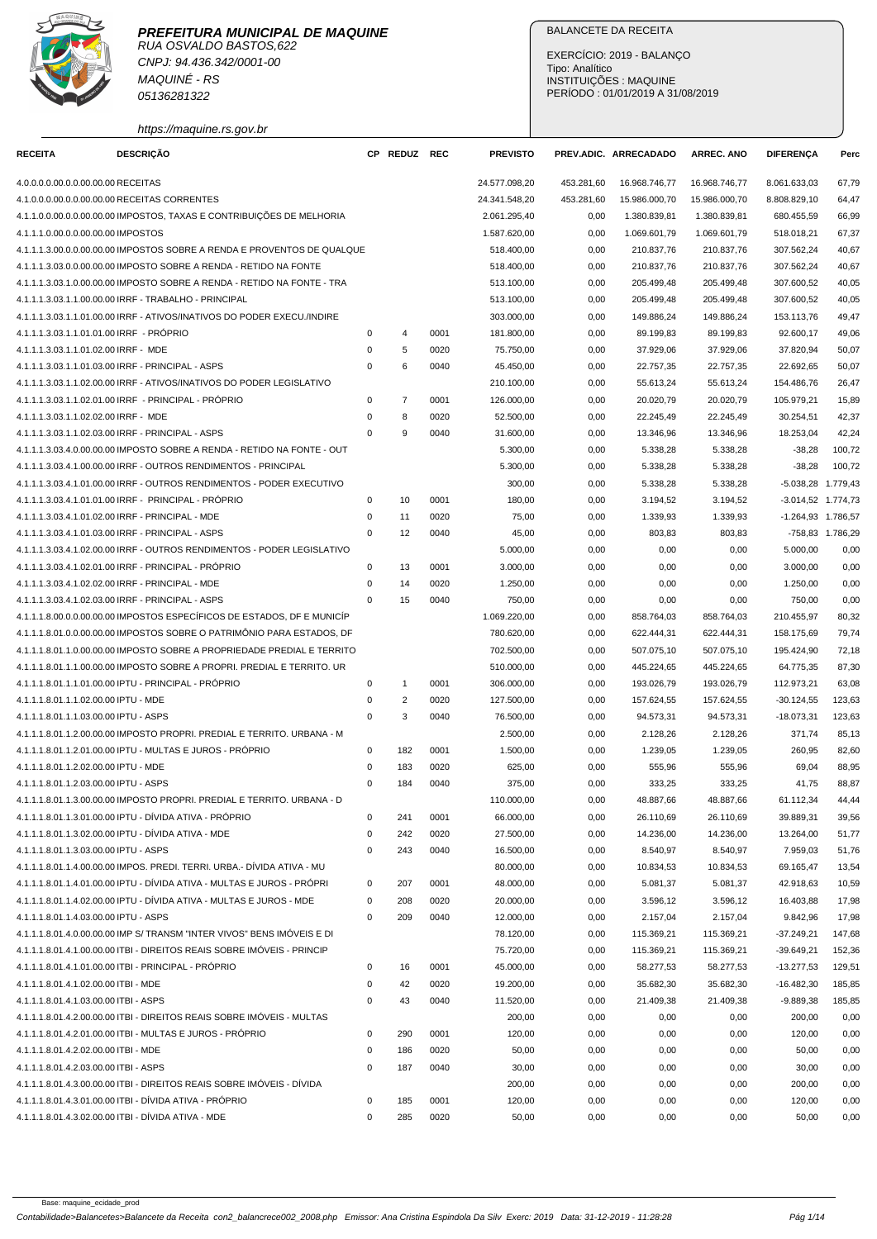

CNPJ: 94.436.342/0001-00 MAQUINÉ - RS 05136281322

https://maquine.rs.gov.br

# BALANCETE DA RECEITA

EXERCÍCIO: 2019 - BALANÇO Tipo: Analítico INSTITUIÇÕES : MAQUINE PERÍODO : 01/01/2019 A 31/08/2019

| <b>RECEITA</b>                           | <b>DESCRIÇÃO</b>                                                        |          | CP REDUZ REC   |      | <b>PREVISTO</b> |            | PREV.ADIC. ARRECADADO | <b>ARREC. ANO</b> | <b>DIFERENÇA</b>     | Perc             |
|------------------------------------------|-------------------------------------------------------------------------|----------|----------------|------|-----------------|------------|-----------------------|-------------------|----------------------|------------------|
| 4.0.0.0.0.00.0.0.00.00.00 RECEITAS       |                                                                         |          |                |      | 24.577.098,20   | 453.281,60 | 16.968.746,77         | 16.968.746,77     | 8.061.633,03         | 67,79            |
|                                          | 4.1.0.0.0.00.0.0.00.00.00 RECEITAS CORRENTES                            |          |                |      | 24.341.548,20   | 453.281,60 | 15.986.000,70         | 15.986.000,70     | 8.808.829,10         | 64,47            |
|                                          | 4.1.1.0.0.00.0.0.00.00.00 IMPOSTOS, TAXAS E CONTRIBUIÇÕES DE MELHORIA   |          |                |      | 2.061.295,40    | 0,00       | 1.380.839,81          | 1.380.839,81      | 680.455,59           | 66,99            |
| 4.1.1.1.0.00.0.0.00.00.00 IMPOSTOS       |                                                                         |          |                |      | 1.587.620,00    | 0,00       | 1.069.601,79          | 1.069.601,79      | 518.018,21           | 67,37            |
|                                          | 4.1.1.1.3.00.0.0.00.00.00 IMPOSTOS SOBRE A RENDA E PROVENTOS DE QUALQUE |          |                |      | 518,400.00      | 0,00       | 210.837,76            | 210.837,76        | 307.562,24           | 40,67            |
|                                          | 4.1.1.1.3.03.0.0.00.00.00 IMPOSTO SOBRE A RENDA - RETIDO NA FONTE       |          |                |      | 518.400,00      | 0,00       | 210.837,76            | 210.837,76        | 307.562,24           | 40,67            |
|                                          | 4.1.1.1.3.03.1.0.00.00.00 IMPOSTO SOBRE A RENDA - RETIDO NA FONTE - TRA |          |                |      | 513.100,00      | 0,00       | 205.499,48            | 205.499,48        | 307.600,52           | 40,05            |
|                                          | 4.1.1.1.3.03.1.1.00.00.00 IRRF - TRABALHO - PRINCIPAL                   |          |                |      | 513.100,00      | 0,00       | 205.499,48            | 205.499,48        | 307.600,52           | 40,05            |
|                                          | 4.1.1.1.3.03.1.1.01.00.00 IRRF - ATIVOS/INATIVOS DO PODER EXECU./INDIRE |          |                |      | 303.000,00      | 0,00       | 149.886,24            | 149.886,24        | 153.113,76           | 49,47            |
| 4.1.1.1.3.03.1.1.01.01.00 IRRF - PRÓPRIO |                                                                         | 0        | $\overline{4}$ | 0001 | 181.800,00      | 0,00       | 89.199,83             | 89.199,83         | 92.600,17            | 49,06            |
| 4.1.1.1.3.03.1.1.01.02.00 IRRF - MDE     |                                                                         | 0        | 5              | 0020 | 75.750,00       | 0,00       | 37.929,06             | 37.929,06         | 37.820,94            | 50,07            |
|                                          | 4.1.1.1.3.03.1.1.01.03.00 IRRF - PRINCIPAL - ASPS                       | 0        | 6              | 0040 | 45.450,00       | 0,00       | 22.757,35             | 22.757,35         | 22.692,65            | 50,07            |
|                                          | 4.1.1.1.3.03.1.1.02.00.00 IRRF - ATIVOS/INATIVOS DO PODER LEGISLATIVO   |          |                |      | 210.100,00      | 0,00       | 55.613,24             | 55.613,24         | 154.486,76           | 26,47            |
|                                          | 4.1.1.1.3.03.1.1.02.01.00 IRRF - PRINCIPAL - PRÓPRIO                    | 0        | $\overline{7}$ | 0001 | 126.000,00      | 0,00       | 20.020,79             | 20.020,79         | 105.979,21           | 15,89            |
| 4.1.1.1.3.03.1.1.02.02.00 IRRF - MDE     |                                                                         | 0        | 8              | 0020 | 52.500,00       | 0,00       | 22.245,49             | 22.245,49         | 30.254,51            | 42,37            |
|                                          | 4.1.1.1.3.03.1.1.02.03.00 IRRF - PRINCIPAL - ASPS                       | 0        | 9              | 0040 | 31.600,00       | 0,00       | 13.346,96             | 13.346,96         | 18.253,04            | 42,24            |
|                                          | 4.1.1.1.3.03.4.0.00.00.00 IMPOSTO SOBRE A RENDA - RETIDO NA FONTE - OUT |          |                |      | 5.300,00        | 0,00       | 5.338,28              | 5.338,28          | $-38,28$             | 100,72           |
|                                          | 4.1.1.1.3.03.4.1.00.00.00 IRRF - OUTROS RENDIMENTOS - PRINCIPAL         |          |                |      | 5.300,00        | 0,00       | 5.338,28              | 5.338,28          | $-38,28$             | 100,72           |
|                                          | 4.1.1.1.3.03.4.1.01.00.00 IRRF - OUTROS RENDIMENTOS - PODER EXECUTIVO   |          |                |      | 300,00          | 0,00       | 5.338,28              | 5.338,28          | -5.038,28 1.779,43   |                  |
|                                          | 4.1.1.1.3.03.4.1.01.01.00 IRRF - PRINCIPAL - PRÓPRIO                    | 0        | 10             | 0001 | 180,00          | 0,00       | 3.194,52              | 3.194.52          | $-3.014,52$ 1.774,73 |                  |
|                                          | 4.1.1.1.3.03.4.1.01.02.00 IRRF - PRINCIPAL - MDE                        | 0        | 11             | 0020 | 75,00           | 0,00       | 1.339,93              | 1.339,93          | -1.264,93 1.786,57   |                  |
|                                          | 4.1.1.1.3.03.4.1.01.03.00 IRRF - PRINCIPAL - ASPS                       | 0        | 12             | 0040 | 45,00           | 0,00       | 803,83                | 803,83            |                      | -758,83 1.786,29 |
|                                          | 4.1.1.1.3.03.4.1.02.00.00 IRRF - OUTROS RENDIMENTOS - PODER LEGISLATIVO |          |                |      | 5.000,00        | 0,00       | 0,00                  | 0,00              | 5.000,00             | 0,00             |
|                                          | 4.1.1.1.3.03.4.1.02.01.00 IRRF - PRINCIPAL - PRÓPRIO                    | 0        | 13             | 0001 | 3.000,00        | 0,00       | 0,00                  | 0,00              | 3.000,00             | 0,00             |
|                                          | 4.1.1.1.3.03.4.1.02.02.00 IRRF - PRINCIPAL - MDE                        | 0        | 14             | 0020 | 1.250,00        | 0,00       | 0,00                  | 0,00              | 1.250,00             | 0,00             |
|                                          | 4.1.1.1.3.03.4.1.02.03.00 IRRF - PRINCIPAL - ASPS                       | $\Omega$ | 15             | 0040 | 750,00          | 0,00       | 0,00                  | 0,00              | 750,00               | 0,00             |
|                                          | 4.1.1.1.8.00.0.0.00.00.00 IMPOSTOS ESPECIFICOS DE ESTADOS, DF E MUNICIP |          |                |      | 1.069.220,00    | 0,00       | 858.764,03            | 858.764,03        | 210.455,97           | 80,32            |
|                                          | 4.1.1.1.8.01.0.0.00.00.00 IMPOSTOS SOBRE O PATRIMÔNIO PARA ESTADOS, DF  |          |                |      | 780.620,00      | 0,00       | 622.444,31            | 622.444,31        | 158.175,69           | 79,74            |
|                                          | 4.1.1.1.8.01.1.0.00.00.00 IMPOSTO SOBRE A PROPRIEDADE PREDIAL E TERRITO |          |                |      | 702.500,00      | 0,00       | 507.075,10            | 507.075,10        | 195.424,90           | 72,18            |
|                                          | 4.1.1.1.8.01.1.1.00.00.00 IMPOSTO SOBRE A PROPRI. PREDIAL E TERRITO. UR |          |                |      | 510.000,00      | 0,00       | 445.224,65            | 445.224,65        | 64.775,35            | 87,30            |
|                                          | 4.1.1.1.8.01.1.1.01.00.00 IPTU - PRINCIPAL - PRÓPRIO                    | 0        | $\mathbf{1}$   | 0001 | 306.000,00      | 0,00       | 193.026,79            | 193.026,79        | 112.973,21           | 63,08            |
| 4.1.1.1.8.01.1.1.02.00.00 IPTU - MDE     |                                                                         | 0        | $\overline{2}$ | 0020 | 127.500,00      | 0,00       | 157.624,55            | 157.624,55        | $-30.124,55$         | 123,63           |
| 4.1.1.1.8.01.1.1.03.00.00 IPTU - ASPS    |                                                                         | 0        | 3              | 0040 | 76.500,00       | 0,00       | 94.573,31             | 94.573,31         | $-18.073,31$         | 123,63           |
|                                          | 4.1.1.1.8.01.1.2.00.00.00 IMPOSTO PROPRI. PREDIAL E TERRITO. URBANA - M |          |                |      | 2.500,00        | 0,00       | 2.128,26              | 2.128,26          | 371,74               | 85,13            |
|                                          | 4.1.1.1.8.01.1.2.01.00.00 IPTU - MULTAS E JUROS - PRÓPRIO               | 0        | 182            | 0001 | 1.500,00        | 0,00       | 1.239,05              | 1.239,05          | 260,95               | 82,60            |
| 4.1.1.1.8.01.1.2.02.00.00 IPTU - MDE     |                                                                         | 0        | 183            | 0020 | 625,00          | 0,00       | 555,96                | 555,96            | 69,04                | 88,95            |
| 4.1.1.1.8.01.1.2.03.00.00 IPTU - ASPS    |                                                                         | 0        | 184            | 0040 | 375,00          | 0,00       | 333,25                | 333,25            | 41,75                | 88,87            |
|                                          | 4.1.1.1.8.01.1.3.00.00.00 IMPOSTO PROPRI. PREDIAL E TERRITO. URBANA - D |          |                |      | 110.000,00      | 0,00       | 48.887.66             | 48.887,66         | 61.112,34            | 44,44            |
|                                          | 4.1.1.1.8.01.1.3.01.00.00 IPTU - DÍVIDA ATIVA - PRÓPRIO                 | 0        | 241            | 0001 | 66.000,00       | 0,00       | 26.110,69             | 26.110,69         | 39.889,31            | 39,56            |
|                                          | 4.1.1.1.8.01.1.3.02.00.00 IPTU - DÍVIDA ATIVA - MDE                     | 0        | 242            | 0020 | 27.500,00       | 0,00       | 14.236,00             | 14.236,00         | 13.264,00            | 51,77            |
| 4.1.1.1.8.01.1.3.03.00.00 IPTU - ASPS    |                                                                         | 0        | 243            | 0040 | 16.500,00       | 0,00       | 8.540,97              | 8.540,97          | 7.959,03             | 51,76            |
|                                          | 4.1.1.1.8.01.1.4.00.00.00 IMPOS. PREDI. TERRI. URBA.- DÍVIDA ATIVA - MU |          |                |      | 80.000,00       | 0,00       | 10.834,53             | 10.834,53         | 69.165,47            | 13,54            |
|                                          | 4.1.1.1.8.01.1.4.01.00.00 IPTU - DIVIDA ATIVA - MULTAS E JUROS - PRÓPRI | 0        | 207            | 0001 | 48.000,00       | 0,00       | 5.081,37              | 5.081,37          | 42.918,63            | 10,59            |
|                                          | 4.1.1.1.8.01.1.4.02.00.00 IPTU - DÍVIDA ATIVA - MULTAS E JUROS - MDE    | 0        | 208            | 0020 | 20.000,00       | 0,00       | 3.596,12              | 3.596,12          | 16.403,88            | 17,98            |
| 4.1.1.1.8.01.1.4.03.00.00 IPTU - ASPS    |                                                                         | 0        | 209            | 0040 | 12.000,00       | 0,00       | 2.157,04              | 2.157,04          | 9.842,96             | 17,98            |
|                                          | 4.1.1.1.8.01.4.0.00.00.00 IMP S/ TRANSM "INTER VIVOS" BENS IMÓVEIS E DI |          |                |      | 78.120,00       | 0,00       | 115.369,21            | 115.369,21        | $-37.249,21$         | 147,68           |
|                                          | 4.1.1.1.8.01.4.1.00.00.00 ITBI - DIREITOS REAIS SOBRE IMÓVEIS - PRINCIP |          |                |      | 75.720,00       | 0,00       | 115.369,21            | 115.369,21        | $-39.649,21$         | 152,36           |
|                                          | 4.1.1.1.8.01.4.1.01.00.00 ITBI - PRINCIPAL - PRÓPRIO                    | 0        | 16             | 0001 | 45.000,00       | 0,00       | 58.277,53             | 58.277,53         | $-13.277,53$         | 129,51           |
| 4.1.1.1.8.01.4.1.02.00.00 ITBI - MDE     |                                                                         | 0        | 42             | 0020 | 19.200,00       | 0,00       | 35.682,30             | 35.682,30         | $-16.482,30$         | 185,85           |
| 4.1.1.1.8.01.4.1.03.00.00 ITBI - ASPS    |                                                                         | 0        | 43             | 0040 | 11.520,00       | 0,00       | 21.409,38             | 21.409,38         | $-9.889,38$          | 185,85           |
|                                          | 4.1.1.1.8.01.4.2.00.00.00 ITBI - DIREITOS REAIS SOBRE IMÓVEIS - MULTAS  |          |                |      | 200,00          | 0,00       | 0,00                  | 0,00              | 200,00               | 0,00             |
|                                          | 4.1.1.1.8.01.4.2.01.00.00 ITBI - MULTAS E JUROS - PRÓPRIO               | 0        | 290            | 0001 | 120,00          | 0,00       | 0,00                  | 0,00              | 120,00               | 0,00             |
| 4.1.1.1.8.01.4.2.02.00.00 ITBI - MDE     |                                                                         | 0        | 186            | 0020 | 50,00           | 0,00       | 0,00                  | 0,00              | 50,00                | 0,00             |
| 4.1.1.1.8.01.4.2.03.00.00 ITBI - ASPS    |                                                                         | 0        | 187            | 0040 | 30,00           | 0,00       | 0,00                  | 0,00              | 30,00                | 0,00             |
|                                          | 4.1.1.1.8.01.4.3.00.00.00 ITBI - DIREITOS REAIS SOBRE IMÓVEIS - DÍVIDA  |          |                |      | 200,00          | 0,00       | 0,00                  | 0,00              | 200,00               | 0,00             |
|                                          | 4.1.1.1.8.01.4.3.01.00.00 ITBI - DÍVIDA ATIVA - PRÓPRIO                 | 0        | 185            | 0001 | 120,00          | 0,00       | 0,00                  | 0,00              | 120,00               | 0,00             |
|                                          | 4.1.1.1.8.01.4.3.02.00.00 ITBI - DÍVIDA ATIVA - MDE                     | 0        | 285            | 0020 | 50,00           | 0,00       | 0,00                  | 0,00              | 50,00                | 0,00             |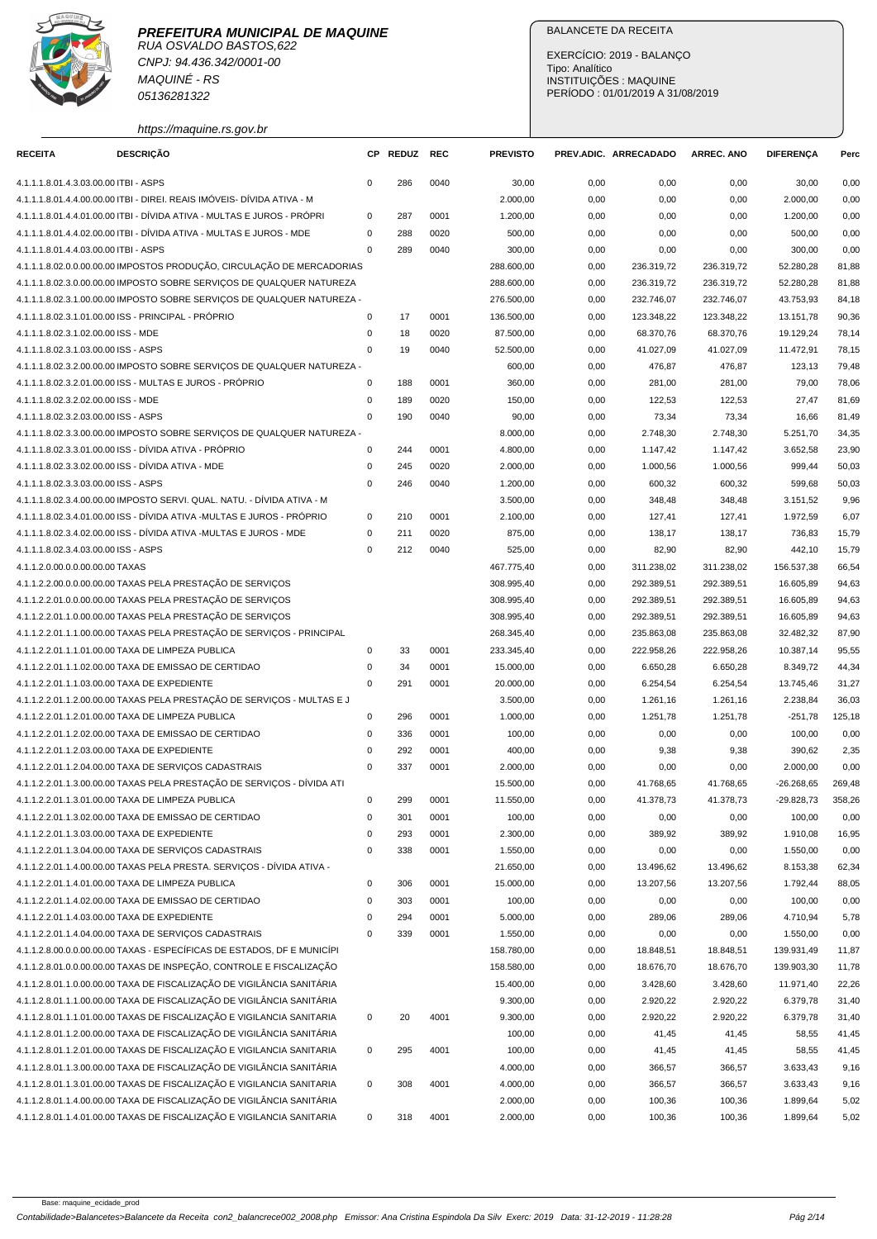

RUA OSVALDO BASTOS,622 CNPJ: 94.436.342/0001-00 MAQUINÉ - RS 05136281322

https://maquine.rs.gov.br

# BALANCETE DA RECEITA

EXERCÍCIO: 2019 - BALANÇO Tipo: Analítico INSTITUIÇÕES : MAQUINE PERÍODO : 01/01/2019 A 31/08/2019

| <b>RECEITA</b>                        | <b>DESCRIÇÃO</b>                                                        | <b>CP</b>   | REDUZ REC |      | <b>PREVISTO</b> |      | PREV.ADIC. ARRECADADO | <b>ARREC. ANO</b> | <b>DIFERENÇA</b> | Perc   |
|---------------------------------------|-------------------------------------------------------------------------|-------------|-----------|------|-----------------|------|-----------------------|-------------------|------------------|--------|
| 4.1.1.1.8.01.4.3.03.00.00 ITBI - ASPS |                                                                         | $\mathbf 0$ | 286       | 0040 | 30,00           | 0,00 | 0,00                  | 0,00              | 30,00            | 0,00   |
|                                       | 4.1.1.1.8.01.4.4.00.00.00 ITBI - DIREI. REAIS IMÓVEIS- DÍVIDA ATIVA - M |             |           |      | 2.000,00        | 0,00 | 0,00                  | 0,00              | 2.000,00         | 0,00   |
|                                       | 4.1.1.1.8.01.4.4.01.00.00 ITBI - DÍVIDA ATIVA - MULTAS E JUROS - PRÓPRI | $\mathbf 0$ | 287       | 0001 | 1.200,00        | 0,00 | 0,00                  | 0,00              | 1.200,00         | 0,00   |
|                                       | 4.1.1.1.8.01.4.4.02.00.00 ITBI - DÍVIDA ATIVA - MULTAS E JUROS - MDE    | 0           | 288       | 0020 | 500,00          | 0,00 | 0,00                  | 0,00              | 500,00           | 0,00   |
| 4.1.1.1.8.01.4.4.03.00.00 ITBI - ASPS |                                                                         | $\mathbf 0$ | 289       | 0040 |                 |      | 0,00                  |                   | 300,00           | 0,00   |
|                                       |                                                                         |             |           |      | 300,00          | 0,00 |                       | 0,00              |                  |        |
|                                       | 4.1.1.1.8.02.0.0.00.00.00 IMPOSTOS PRODUÇÃO, CIRCULAÇÃO DE MERCADORIAS  |             |           |      | 288.600,00      | 0,00 | 236.319,72            | 236.319,72        | 52.280,28        | 81,88  |
|                                       | 4.1.1.1.8.02.3.0.00.00.00 IMPOSTO SOBRE SERVIÇOS DE QUALQUER NATUREZA   |             |           |      | 288.600,00      | 0,00 | 236.319,72            | 236.319,72        | 52.280,28        | 81,88  |
|                                       | 4.1.1.1.8.02.3.1.00.00.00 IMPOSTO SOBRE SERVIÇOS DE QUALQUER NATUREZA - |             |           |      | 276.500,00      | 0,00 | 232.746,07            | 232.746,07        | 43.753,93        | 84,18  |
|                                       | 4.1.1.1.8.02.3.1.01.00.00 ISS - PRINCIPAL - PRÓPRIO                     | 0           | 17        | 0001 | 136.500,00      | 0,00 | 123.348,22            | 123.348,22        | 13.151,78        | 90,36  |
| 4.1.1.1.8.02.3.1.02.00.00 ISS - MDE   |                                                                         | $\mathbf 0$ | 18        | 0020 | 87.500,00       | 0,00 | 68.370,76             | 68.370,76         | 19.129,24        | 78,14  |
| 4.1.1.1.8.02.3.1.03.00.00 ISS - ASPS  |                                                                         | $\mathbf 0$ | 19        | 0040 | 52.500,00       | 0,00 | 41.027,09             | 41.027,09         | 11.472,91        | 78,15  |
|                                       | 4.1.1.1.8.02.3.2.00.00.00 IMPOSTO SOBRE SERVIÇOS DE QUALQUER NATUREZA - |             |           |      | 600,00          | 0,00 | 476,87                | 476,87            | 123,13           | 79,48  |
|                                       | 4.1.1.1.8.02.3.2.01.00.00 ISS - MULTAS E JUROS - PRÓPRIO                | $\mathbf 0$ | 188       | 0001 | 360,00          | 0,00 | 281,00                | 281,00            | 79,00            | 78,06  |
| 4.1.1.1.8.02.3.2.02.00.00 ISS - MDE   |                                                                         | $\mathbf 0$ | 189       | 0020 | 150,00          | 0,00 | 122,53                | 122,53            | 27,47            | 81,69  |
| 4.1.1.1.8.02.3.2.03.00.00 ISS - ASPS  |                                                                         | $\mathbf 0$ | 190       | 0040 | 90,00           | 0,00 | 73,34                 | 73,34             | 16,66            | 81,49  |
|                                       | 4.1.1.1.8.02.3.3.00.00.00 IMPOSTO SOBRE SERVIÇOS DE QUALQUER NATUREZA - |             |           |      | 8.000,00        | 0,00 | 2.748,30              | 2.748,30          | 5.251,70         | 34,35  |
|                                       | 4.1.1.1.8.02.3.3.01.00.00 ISS - DÍVIDA ATIVA - PRÓPRIO                  | $\mathbf 0$ | 244       | 0001 | 4.800,00        | 0,00 | 1.147,42              | 1.147,42          | 3.652,58         | 23,90  |
|                                       | 4.1.1.1.8.02.3.3.02.00.00 ISS - DÍVIDA ATIVA - MDE                      | $\mathbf 0$ | 245       | 0020 | 2.000,00        | 0,00 | 1.000,56              | 1.000,56          | 999,44           | 50,03  |
| 4.1.1.1.8.02.3.3.03.00.00 ISS - ASPS  |                                                                         | $\mathbf 0$ | 246       | 0040 | 1.200,00        | 0,00 | 600,32                | 600,32            | 599,68           | 50,03  |
|                                       | 4.1.1.1.8.02.3.4.00.00.00 IMPOSTO SERVI. QUAL. NATU. - DÍVIDA ATIVA - M |             |           |      | 3.500,00        | 0,00 | 348,48                | 348,48            | 3.151,52         | 9,96   |
|                                       | 4.1.1.1.8.02.3.4.01.00.00 ISS - DIVIDA ATIVA -MULTAS E JUROS - PRÓPRIO  | $\mathbf 0$ | 210       | 0001 | 2.100,00        | 0,00 | 127,41                | 127,41            | 1.972,59         | 6,07   |
|                                       | 4.1.1.1.8.02.3.4.02.00.00 ISS - DÍVIDA ATIVA -MULTAS E JUROS - MDE      | $\mathbf 0$ | 211       | 0020 | 875,00          | 0,00 | 138,17                | 138,17            | 736,83           | 15,79  |
| 4.1.1.1.8.02.3.4.03.00.00 ISS - ASPS  |                                                                         | $\mathbf 0$ | 212       | 0040 | 525,00          | 0,00 | 82,90                 | 82,90             | 442,10           | 15,79  |
| 4.1.1.2.0.00.0.0.00.00.00 TAXAS       |                                                                         |             |           |      | 467.775,40      | 0,00 | 311.238,02            | 311.238,02        | 156.537,38       | 66,54  |
|                                       | 4.1.1.2.2.00.0.0.00.00.00 TAXAS PELA PRESTAÇÃO DE SERVIÇOS              |             |           |      | 308.995,40      | 0,00 | 292.389,51            | 292.389,51        | 16.605,89        | 94,63  |
|                                       | 4.1.1.2.2.01.0.0.00.00.00 TAXAS PELA PRESTAÇÃO DE SERVIÇOS              |             |           |      | 308.995,40      | 0,00 | 292.389,51            | 292.389,51        | 16.605,89        | 94,63  |
|                                       | 4.1.1.2.2.01.1.0.00.00.00 TAXAS PELA PRESTAÇÃO DE SERVIÇOS              |             |           |      | 308.995,40      | 0,00 | 292.389,51            | 292.389,51        | 16.605,89        | 94,63  |
|                                       | 4.1.1.2.2.01.1.1.00.00.00 TAXAS PELA PRESTAÇÃO DE SERVIÇOS - PRINCIPAL  |             |           |      | 268.345,40      | 0,00 | 235.863,08            | 235.863,08        | 32.482,32        | 87,90  |
|                                       | 4.1.1.2.2.01.1.1.01.00.00 TAXA DE LIMPEZA PUBLICA                       | 0           | 33        | 0001 | 233.345,40      | 0,00 | 222.958,26            | 222.958,26        | 10.387,14        | 95,55  |
|                                       | 4.1.1.2.2.01.1.1.02.00.00 TAXA DE EMISSAO DE CERTIDAO                   | 0           | 34        | 0001 | 15.000,00       | 0,00 | 6.650,28              | 6.650,28          | 8.349,72         | 44,34  |
|                                       | 4.1.1.2.2.01.1.1.03.00.00 TAXA DE EXPEDIENTE                            | $\mathbf 0$ | 291       | 0001 | 20.000,00       | 0,00 | 6.254,54              | 6.254,54          | 13.745,46        | 31,27  |
|                                       | 4.1.1.2.2.01.1.2.00.00.00 TAXAS PELA PRESTAÇÃO DE SERVIÇOS - MULTAS E J |             |           |      | 3.500,00        | 0,00 | 1.261,16              | 1.261,16          | 2.238,84         | 36,03  |
|                                       | 4.1.1.2.2.01.1.2.01.00.00 TAXA DE LIMPEZA PUBLICA                       | 0           | 296       | 0001 | 1.000,00        | 0,00 | 1.251,78              | 1.251,78          | $-251,78$        | 125,18 |
|                                       | 4.1.1.2.2.01.1.2.02.00.00 TAXA DE EMISSAO DE CERTIDAO                   | $\mathbf 0$ | 336       | 0001 | 100,00          | 0,00 | 0,00                  | 0,00              | 100,00           | 0,00   |
|                                       | 4.1.1.2.2.01.1.2.03.00.00 TAXA DE EXPEDIENTE                            | $\mathbf 0$ | 292       | 0001 | 400,00          | 0,00 | 9,38                  | 9,38              | 390,62           | 2,35   |
|                                       | 4.1.1.2.2.01.1.2.04.00.00 TAXA DE SERVIÇOS CADASTRAIS                   | $\mathbf 0$ | 337       | 0001 | 2.000,00        |      |                       |                   |                  | 0,00   |
|                                       |                                                                         |             |           |      |                 | 0,00 | 0,00                  | 0,00              | 2.000,00         |        |
|                                       | 4.1.1.2.2.01.1.3.00.00.00 TAXAS PELA PRESTAÇÃO DE SERVIÇOS - DÍVIDA ATI |             |           |      | 15.500,00       | 0,00 | 41.768,65             | 41.768,65         | $-26.268,65$     | 269,48 |
|                                       | 4.1.1.2.2.01.1.3.01.00.00 TAXA DE LIMPEZA PUBLICA                       | $\Omega$    | 299       | 0001 | 11.550,00       | 0,00 | 41.378,73             | 41.378,73         | $-29.828,73$     | 358,26 |
|                                       | 4.1.1.2.2.01.1.3.02.00.00 TAXA DE EMISSAO DE CERTIDAO                   | $\mathbf 0$ | 301       | 0001 | 100,00          | 0,00 | 0,00                  | 0,00              | 100,00           | 0,00   |
|                                       | 4.1.1.2.2.01.1.3.03.00.00 TAXA DE EXPEDIENTE                            | $\pmb{0}$   | 293       | 0001 | 2.300,00        | 0,00 | 389,92                | 389,92            | 1.910,08         | 16,95  |
|                                       | 4.1.1.2.2.01.1.3.04.00.00 TAXA DE SERVIÇOS CADASTRAIS                   | $\mathbf 0$ | 338       | 0001 | 1.550,00        | 0,00 | 0,00                  | 0,00              | 1.550,00         | 0,00   |
|                                       | 4.1.1.2.2.01.1.4.00.00.00 TAXAS PELA PRESTA. SERVIÇOS - DÍVIDA ATIVA -  |             |           |      | 21.650,00       | 0,00 | 13.496,62             | 13.496,62         | 8.153,38         | 62,34  |
|                                       | 4.1.1.2.2.01.1.4.01.00.00 TAXA DE LIMPEZA PUBLICA                       | $\mathbf 0$ | 306       | 0001 | 15.000,00       | 0,00 | 13.207,56             | 13.207,56         | 1.792,44         | 88,05  |
|                                       | 4.1.1.2.2.01.1.4.02.00.00 TAXA DE EMISSAO DE CERTIDAO                   | $\mathsf 0$ | 303       | 0001 | 100,00          | 0,00 | 0,00                  | 0,00              | 100,00           | 0,00   |
|                                       | 4.1.1.2.2.01.1.4.03.00.00 TAXA DE EXPEDIENTE                            | $\pmb{0}$   | 294       | 0001 | 5.000,00        | 0,00 | 289,06                | 289,06            | 4.710,94         | 5,78   |
|                                       | 4.1.1.2.2.01.1.4.04.00.00 TAXA DE SERVIÇOS CADASTRAIS                   | $\pmb{0}$   | 339       | 0001 | 1.550,00        | 0,00 | 0,00                  | 0,00              | 1.550,00         | 0,00   |
|                                       | 4.1.1.2.8.00.0.0.00.00.00 TAXAS - ESPECÍFICAS DE ESTADOS, DF E MUNICÍPI |             |           |      | 158.780,00      | 0,00 | 18.848,51             | 18.848,51         | 139.931,49       | 11,87  |
|                                       | 4.1.1.2.8.01.0.0.00.00.00 TAXAS DE INSPEÇÃO, CONTROLE E FISCALIZAÇÃO    |             |           |      | 158.580,00      | 0,00 | 18.676,70             | 18.676,70         | 139.903,30       | 11,78  |
|                                       | 4.1.1.2.8.01.1.0.00.00.00 TAXA DE FISCALIZAÇÃO DE VIGILÂNCIA SANITÁRIA  |             |           |      | 15.400,00       | 0,00 | 3.428,60              | 3.428,60          | 11.971,40        | 22,26  |
|                                       | 4.1.1.2.8.01.1.1.00.00.00 TAXA DE FISCALIZAÇÃO DE VIGILÂNCIA SANITÁRIA  |             |           |      | 9.300,00        | 0,00 | 2.920,22              | 2.920,22          | 6.379,78         | 31,40  |
|                                       | 4.1.1.2.8.01.1.1.01.00.00 TAXAS DE FISCALIZAÇÃO E VIGILANCIA SANITARIA  | $\mathbf 0$ | 20        | 4001 | 9.300,00        | 0,00 | 2.920,22              | 2.920,22          | 6.379,78         | 31,40  |
|                                       | 4.1.1.2.8.01.1.2.00.00.00 TAXA DE FISCALIZAÇÃO DE VIGILÂNCIA SANITÁRIA  |             |           |      | 100,00          | 0,00 | 41,45                 | 41,45             | 58,55            | 41,45  |
|                                       | 4.1.1.2.8.01.1.2.01.00.00 TAXAS DE FISCALIZAÇÃO E VIGILANCIA SANITARIA  | $\mathbf 0$ | 295       | 4001 | 100,00          | 0,00 | 41,45                 | 41,45             | 58,55            | 41,45  |
|                                       | 4.1.1.2.8.01.1.3.00.00.00 TAXA DE FISCALIZAÇÃO DE VIGILÂNCIA SANITÁRIA  |             |           |      | 4.000,00        | 0,00 | 366,57                | 366,57            | 3.633,43         | 9,16   |
|                                       | 4.1.1.2.8.01.1.3.01.00.00 TAXAS DE FISCALIZAÇÃO E VIGILANCIA SANITARIA  | $\mathbf 0$ | 308       | 4001 | 4.000,00        | 0,00 | 366,57                | 366,57            | 3.633,43         | 9,16   |
|                                       | 4.1.1.2.8.01.1.4.00.00.00 TAXA DE FISCALIZAÇÃO DE VIGILÂNCIA SANITÁRIA  |             |           |      | 2.000,00        | 0,00 | 100,36                | 100,36            | 1.899,64         | 5,02   |
|                                       | 4.1.1.2.8.01.1.4.01.00.00 TAXAS DE FISCALIZAÇÃO E VIGILANCIA SANITARIA  | $\mathbf 0$ | 318       | 4001 | 2.000,00        | 0,00 | 100,36                | 100,36            | 1.899,64         | 5,02   |
|                                       |                                                                         |             |           |      |                 |      |                       |                   |                  |        |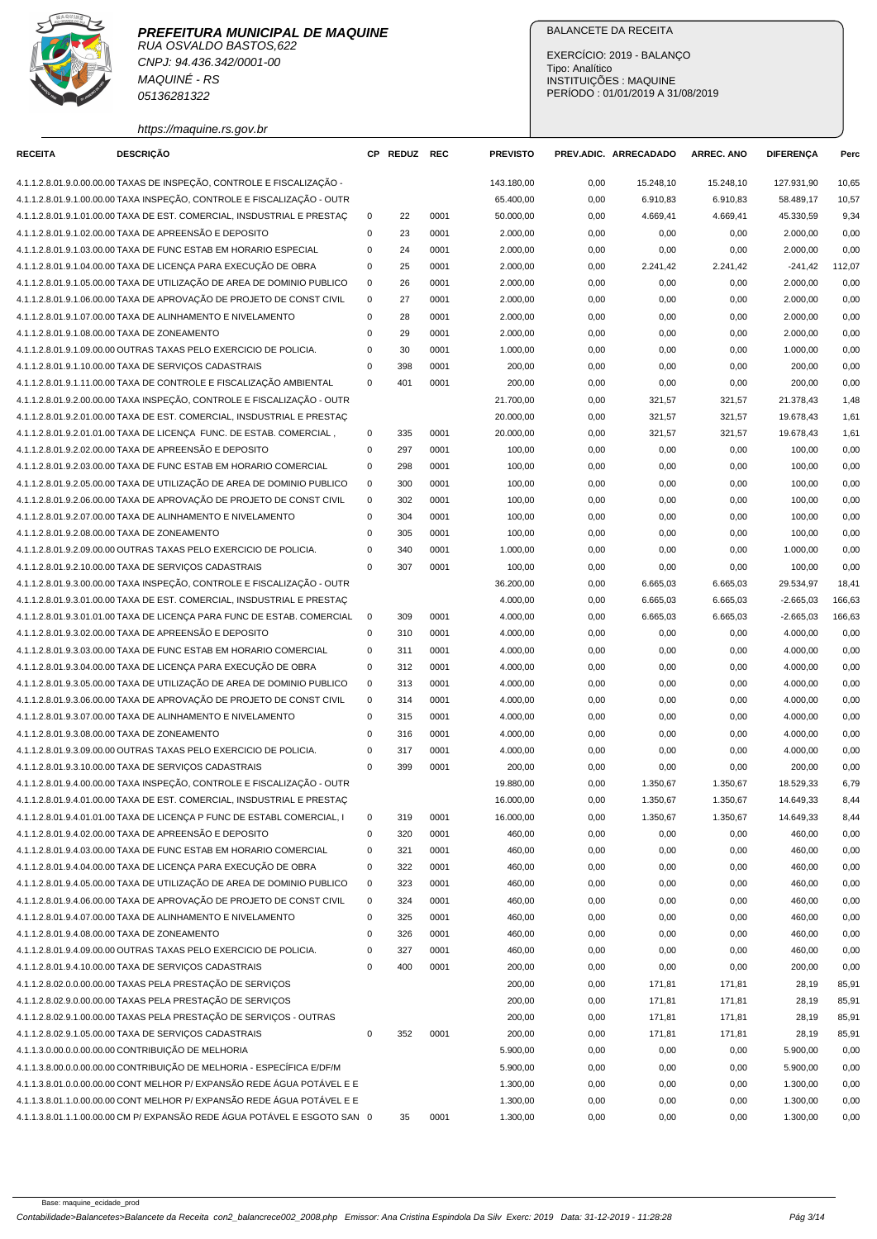

RUA OSVALDO BASTOS,622 CNPJ: 94.436.342/0001-00 MAQUINÉ - RS 05136281322

https://maquine.rs.gov.br

# BALANCETE DA RECEITA

EXERCÍCIO: 2019 - BALANÇO Tipo: Analítico INSTITUIÇÕES : MAQUINE PERÍODO : 01/01/2019 A 31/08/2019

| <b>RECEITA</b> | <b>DESCRIÇÃO</b>                                                          |                         | CP REDUZ REC |              | <b>PREVISTO</b> |              | PREV.ADIC. ARRECADADO | <b>ARREC. ANO</b> | <b>DIFERENCA</b>           | Perc   |
|----------------|---------------------------------------------------------------------------|-------------------------|--------------|--------------|-----------------|--------------|-----------------------|-------------------|----------------------------|--------|
|                | 4.1.1.2.8.01.9.0.00.00.00 TAXAS DE INSPEÇÃO, CONTROLE E FISCALIZAÇÃO -    |                         |              |              | 143.180,00      | 0,00         | 15.248,10             | 15.248,10         | 127.931.90                 | 10,65  |
|                | 4.1.1.2.8.01.9.1.00.00.00 TAXA INSPEÇÃO, CONTROLE E FISCALIZAÇÃO - OUTR   |                         |              |              | 65.400,00       | 0,00         | 6.910,83              | 6.910,83          | 58.489,17                  | 10,57  |
|                | 4.1.1.2.8.01.9.1.01.00.00 TAXA DE EST. COMERCIAL, INSDUSTRIAL E PRESTAC   | 0                       | 22           | 0001         | 50.000,00       | 0,00         | 4.669,41              | 4.669,41          | 45.330,59                  | 9,34   |
|                | 4.1.1.2.8.01.9.1.02.00.00 TAXA DE APREENSÃO E DEPOSITO                    | 0                       | 23           | 0001         | 2.000,00        | 0,00         | 0,00                  | 0,00              | 2.000,00                   | 0,00   |
|                | 4.1.1.2.8.01.9.1.03.00.00 TAXA DE FUNC ESTAB EM HORARIO ESPECIAL          | $\mathbf 0$             | 24           | 0001         | 2.000,00        | 0,00         | 0,00                  | 0,00              | 2.000,00                   | 0,00   |
|                | 4.1.1.2.8.01.9.1.04.00.00 TAXA DE LICENÇA PARA EXECUÇÃO DE OBRA           | 0                       | 25           | 0001         | 2.000,00        | 0,00         | 2.241,42              | 2.241,42          | $-241,42$                  | 112,07 |
|                | 4.1.1.2.8.01.9.1.05.00.00 TAXA DE UTILIZAÇÃO DE AREA DE DOMINIO PUBLICO   | $\mathbf 0$             | 26           | 0001         | 2.000,00        | 0,00         | 0,00                  | 0,00              | 2.000,00                   | 0,00   |
|                | 4.1.1.2.8.01.9.1.06.00.00 TAXA DE APROVAÇÃO DE PROJETO DE CONST CIVIL     | $\mathbf 0$             | 27           | 0001         | 2.000,00        | 0,00         | 0,00                  | 0,00              | 2.000,00                   | 0,00   |
|                | 4.1.1.2.8.01.9.1.07.00.00 TAXA DE ALINHAMENTO E NIVELAMENTO               | $\mathbf 0$             | 28           | 0001         | 2.000,00        | 0,00         | 0,00                  | 0,00              | 2.000,00                   | 0,00   |
|                | 4.1.1.2.8.01.9.1.08.00.00 TAXA DE ZONEAMENTO                              | $\mathbf 0$             | 29           | 0001         | 2.000,00        | 0,00         | 0,00                  | 0,00              | 2.000,00                   | 0,00   |
|                | 4.1.1.2.8.01.9.1.09.00.00 OUTRAS TAXAS PELO EXERCICIO DE POLICIA.         | $\mathbf 0$             | 30           | 0001         | 1.000,00        | 0,00         | 0,00                  | 0,00              | 1.000,00                   | 0,00   |
|                | 4.1.1.2.8.01.9.1.10.00.00 TAXA DE SERVIÇOS CADASTRAIS                     | $\mathbf 0$             | 398          | 0001         | 200,00          | 0,00         | 0,00                  | 0,00              | 200,00                     | 0,00   |
|                | 4.1.1.2.8.01.9.1.11.00.00 TAXA DE CONTROLE E FISCALIZAÇÃO AMBIENTAL       | $\mathbf 0$             | 401          | 0001         | 200,00          | 0,00         | 0,00                  | 0,00              | 200,00                     | 0,00   |
|                | 4.1.1.2.8.01.9.2.00.00.00 TAXA INSPEÇÃO, CONTROLE E FISCALIZAÇÃO - OUTR   |                         |              |              | 21.700,00       | 0,00         | 321,57                | 321,57            | 21.378,43                  | 1,48   |
|                | 4.1.1.2.8.01.9.2.01.00.00 TAXA DE EST. COMERCIAL, INSDUSTRIAL E PRESTAÇ   |                         |              |              | 20.000,00       | 0,00         | 321,57                | 321,57            | 19.678,43                  | 1,61   |
|                | 4.1.1.2.8.01.9.2.01.01.00 TAXA DE LICENÇA FUNC. DE ESTAB. COMERCIAL,      | 0                       | 335          | 0001         | 20.000,00       | 0,00         | 321,57                | 321,57            | 19.678,43                  | 1,61   |
|                | 4.1.1.2.8.01.9.2.02.00.00 TAXA DE APREENSÃO E DEPOSITO                    | $\mathbf 0$             | 297          | 0001         | 100,00          | 0,00         | 0,00                  | 0,00              | 100,00                     | 0,00   |
|                | 4.1.1.2.8.01.9.2.03.00.00 TAXA DE FUNC ESTAB EM HORARIO COMERCIAL         | $\mathbf 0$             | 298          | 0001         | 100,00          | 0,00         | 0,00                  | 0,00              | 100,00                     | 0,00   |
|                | 4.1.1.2.8.01.9.2.05.00.00 TAXA DE UTILIZAÇÃO DE AREA DE DOMINIO PUBLICO   | $\mathbf 0$             | 300          | 0001         | 100,00          | 0,00         | 0,00                  | 0,00              | 100,00                     | 0,00   |
|                | 4.1.1.2.8.01.9.2.06.00.00 TAXA DE APROVAÇÃO DE PROJETO DE CONST CIVIL     | $\mathbf 0$             | 302          | 0001         | 100,00          | 0,00         | 0,00                  | 0,00              | 100,00                     | 0,00   |
|                | 4.1.1.2.8.01.9.2.07.00.00 TAXA DE ALINHAMENTO E NIVELAMENTO               | $\mathbf 0$             | 304          | 0001         | 100,00          | 0,00         | 0,00                  | 0,00              | 100,00                     | 0,00   |
|                | 4.1.1.2.8.01.9.2.08.00.00 TAXA DE ZONEAMENTO                              | $\mathbf 0$             | 305          | 0001         | 100,00          | 0,00         | 0,00                  | 0,00              | 100,00                     | 0,00   |
|                | 4.1.1.2.8.01.9.2.09.00.00 OUTRAS TAXAS PELO EXERCICIO DE POLICIA.         | $\mathbf 0$             | 340          | 0001         | 1.000,00        | 0,00         | 0,00                  | 0,00              | 1.000,00                   | 0,00   |
|                | 4.1.1.2.8.01.9.2.10.00.00 TAXA DE SERVIÇOS CADASTRAIS                     | $\mathbf 0$             | 307          | 0001         | 100,00          | 0,00         | 0,00                  | 0,00              | 100,00                     | 0,00   |
|                | 4.1.1.2.8.01.9.3.00.00.00 TAXA INSPEÇÃO, CONTROLE E FISCALIZAÇÃO - OUTR   |                         |              |              | 36.200,00       | 0,00         | 6.665,03              | 6.665,03          | 29.534,97                  | 18,41  |
|                | 4.1.1.2.8.01.9.3.01.00.00 TAXA DE EST. COMERCIAL, INSDUSTRIAL E PRESTAC   |                         |              |              | 4.000,00        |              | 6.665,03              | 6.665,03          |                            | 166,63 |
|                | 4.1.1.2.8.01.9.3.01.01.00 TAXA DE LICENÇA PARA FUNC DE ESTAB. COMERCIAL   | 0                       | 309          | 0001         | 4.000,00        | 0,00         | 6.665,03              |                   | $-2.665,03$<br>$-2.665,03$ | 166,63 |
|                | 4.1.1.2.8.01.9.3.02.00.00 TAXA DE APREENSÃO E DEPOSITO                    | $\mathbf 0$             | 310          | 0001         | 4.000,00        | 0,00<br>0,00 | 0,00                  | 6.665,03<br>0,00  | 4.000,00                   | 0,00   |
|                | 4.1.1.2.8.01.9.3.03.00.00 TAXA DE FUNC ESTAB EM HORARIO COMERCIAL         | $\mathbf 0$             | 311          | 0001         | 4.000,00        |              |                       |                   | 4.000,00                   | 0,00   |
|                | 4.1.1.2.8.01.9.3.04.00.00 TAXA DE LICENÇA PARA EXECUÇÃO DE OBRA           | $\mathbf 0$             | 312          | 0001         | 4.000,00        | 0,00<br>0,00 | 0,00<br>0,00          | 0,00<br>0,00      | 4.000,00                   | 0,00   |
|                | 4.1.1.2.8.01.9.3.05.00.00 TAXA DE UTILIZAÇÃO DE AREA DE DOMINIO PUBLICO   | 0                       | 313          | 0001         | 4.000,00        |              |                       |                   | 4.000,00                   | 0,00   |
|                | 4.1.1.2.8.01.9.3.06.00.00 TAXA DE APROVAÇÃO DE PROJETO DE CONST CIVIL     | $\mathbf 0$             | 314          | 0001         | 4.000,00        | 0,00<br>0,00 | 0,00<br>0,00          | 0,00<br>0,00      | 4.000,00                   | 0,00   |
|                | 4.1.1.2.8.01.9.3.07.00.00 TAXA DE ALINHAMENTO E NIVELAMENTO               | $\mathbf 0$             |              | 0001         |                 |              |                       |                   |                            |        |
|                | 4.1.1.2.8.01.9.3.08.00.00 TAXA DE ZONEAMENTO                              | $\mathbf 0$             | 315          |              | 4.000,00        | 0,00         | 0,00                  | 0,00              | 4.000,00                   | 0,00   |
|                |                                                                           |                         | 316          | 0001         | 4.000,00        | 0,00         | 0,00                  | 0,00              | 4.000,00                   | 0,00   |
|                | 4.1.1.2.8.01.9.3.09.00.00 OUTRAS TAXAS PELO EXERCICIO DE POLICIA.         | $\mathbf 0$<br>$\Omega$ | 317<br>399   | 0001<br>0001 | 4.000,00        | 0,00         | 0,00                  | 0,00              | 4.000,00                   | 0,00   |
|                | 4.1.1.2.8.01.9.3.10.00.00 TAXA DE SERVIÇOS CADASTRAIS                     |                         |              |              | 200,00          | 0,00         | 0,00                  | 0,00              | 200,00                     | 0,00   |
|                | 4.1.1.2.8.01.9.4.00.00.00 TAXA INSPEÇÃO, CONTROLE E FISCALIZAÇÃO - OUTR   |                         |              |              | 19.880,00       | 0,00         | 1.350,67              | 1.350,67          | 18.529,33                  | 6,79   |
|                | 4.1.1.2.8.01.9.4.01.00.00 TAXA DE EST. COMERCIAL, INSDUSTRIAL E PRESTAÇ   |                         |              |              | 16.000,00       | 0,00         | 1.350,67              | 1.350,67          | 14.649,33                  | 8,44   |
|                | 4.1.1.2.8.01.9.4.01.01.00 TAXA DE LICENÇA P FUNC DE ESTABL COMERCIAL, I   | $\mathbf 0$             | 319          | 0001         | 16.000,00       | 0,00         | 1.350,67              | 1.350,67          | 14.649,33                  | 8,44   |
|                | 4.1.1.2.8.01.9.4.02.00.00 TAXA DE APREENSÃO E DEPOSITO                    | $\mathbf 0$             | 320          | 0001         | 460,00          | 0,00         | 0,00                  | 0,00              | 460,00                     | 0,00   |
|                | 4.1.1.2.8.01.9.4.03.00.00 TAXA DE FUNC ESTAB EM HORARIO COMERCIAL         | $\mathbf 0$             | 321          | 0001         | 460,00          | 0,00         | 0,00                  | 0,00              | 460,00                     | 0,00   |
|                | 4.1.1.2.8.01.9.4.04.00.00 TAXA DE LICENÇA PARA EXECUÇÃO DE OBRA           | $\mathbf 0$             | 322          | 0001         | 460,00          | 0,00         | 0,00                  | 0,00              | 460,00                     | 0,00   |
|                | 4.1.1.2.8.01.9.4.05.00.00 TAXA DE UTILIZAÇÃO DE AREA DE DOMINIO PUBLICO   | 0                       | 323          | 0001         | 460,00          | 0,00         | 0,00                  | 0,00              | 460,00                     | 0,00   |
|                | 4.1.1.2.8.01.9.4.06.00.00 TAXA DE APROVAÇÃO DE PROJETO DE CONST CIVIL     | $\mathbf 0$             | 324          | 0001         | 460,00          | 0,00         | 0,00                  | 0,00              | 460,00                     | 0,00   |
|                | 4.1.1.2.8.01.9.4.07.00.00 TAXA DE ALINHAMENTO E NIVELAMENTO               | $\mathbf 0$             | 325          | 0001         | 460,00          | 0,00         | 0,00                  | 0,00              | 460,00                     | 0,00   |
|                | 4.1.1.2.8.01.9.4.08.00.00 TAXA DE ZONEAMENTO                              | $\mathbf 0$             | 326          | 0001         | 460,00          | 0,00         | 0,00                  | 0,00              | 460,00                     | 0,00   |
|                | 4.1.1.2.8.01.9.4.09.00.00 OUTRAS TAXAS PELO EXERCICIO DE POLICIA.         | $\pmb{0}$               | 327          | 0001         | 460,00          | 0,00         | 0,00                  | 0,00              | 460,00                     | 0,00   |
|                | 4.1.1.2.8.01.9.4.10.00.00 TAXA DE SERVIÇOS CADASTRAIS                     | $\mathbf 0$             | 400          | 0001         | 200,00          | 0,00         | 0,00                  | 0,00              | 200,00                     | 0,00   |
|                | 4.1.1.2.8.02.0.0.00.00.00 TAXAS PELA PRESTAÇÃO DE SERVIÇOS                |                         |              |              | 200,00          | 0,00         | 171,81                | 171,81            | 28,19                      | 85,91  |
|                | 4.1.1.2.8.02.9.0.00.00.00 TAXAS PELA PRESTAÇÃO DE SERVIÇOS                |                         |              |              | 200,00          | 0,00         | 171,81                | 171,81            | 28,19                      | 85,91  |
|                | 4.1.1.2.8.02.9.1.00.00.00 TAXAS PELA PRESTAÇÃO DE SERVIÇOS - OUTRAS       |                         |              |              | 200,00          | 0,00         | 171,81                | 171,81            | 28,19                      | 85,91  |
|                | 4.1.1.2.8.02.9.1.05.00.00 TAXA DE SERVIÇOS CADASTRAIS                     | 0                       | 352          | 0001         | 200,00          | 0,00         | 171,81                | 171,81            | 28,19                      | 85,91  |
|                | 4.1.1.3.0.00.0.0.00.00.00 CONTRIBUIÇÃO DE MELHORIA                        |                         |              |              | 5.900,00        | 0,00         | 0,00                  | 0,00              | 5.900,00                   | 0,00   |
|                | 4.1.1.3.8.00.0.0.00.00.00 CONTRIBUIÇÃO DE MELHORIA - ESPECÍFICA E/DF/M    |                         |              |              | 5.900,00        | 0,00         | 0,00                  | 0,00              | 5.900,00                   | 0,00   |
|                | 4.1.1.3.8.01.0.0.00.00.00 CONT MELHOR P/ EXPANSÃO REDE ÁGUA POTÁVEL E E   |                         |              |              | 1.300,00        | 0,00         | 0,00                  | 0,00              | 1.300,00                   | 0,00   |
|                | 4.1.1.3.8.01.1.0.00.00.00 CONT MELHOR P/ EXPANSÃO REDE ÁGUA POTÁVEL E E   |                         |              |              | 1.300,00        | 0,00         | 0,00                  | 0,00              | 1.300,00                   | 0,00   |
|                | 4.1.1.3.8.01.1.1.00.00.00 CM P/ EXPANSÃO REDE ÁGUA POTÁVEL E ESGOTO SAN 0 |                         | 35           | 0001         | 1.300,00        | 0,00         | 0,00                  | 0,00              | 1.300,00                   | 0,00   |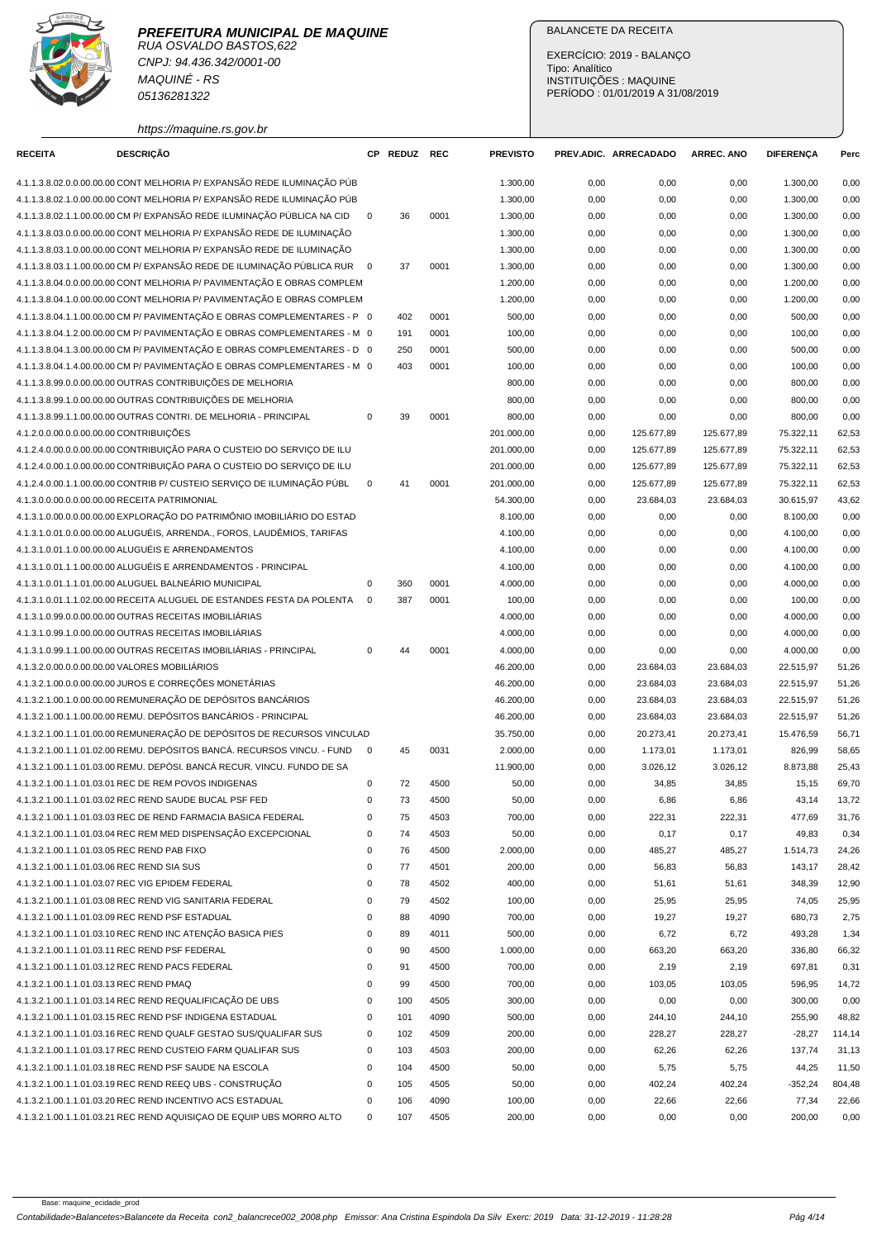

RUA OSVALDO BASTOS,622 CNPJ: 94.436.342/0001-00 MAQUINÉ - RS 05136281322

# BALANCETE DA RECEITA

EXERCÍCIO: 2019 - BALANÇO Tipo: Analítico INSTITUIÇÕES : MAQUINE PERÍODO : 01/01/2019 A 31/08/2019

| https://maguine.rs.gov.br                                                  |             |              |      |                 |      |                       |                   |                  |        |
|----------------------------------------------------------------------------|-------------|--------------|------|-----------------|------|-----------------------|-------------------|------------------|--------|
| <b>DESCRIÇÃO</b><br><b>RECEITA</b>                                         |             | CP REDUZ REC |      | <b>PREVISTO</b> |      | PREV.ADIC. ARRECADADO | <b>ARREC. ANO</b> | <b>DIFERENÇA</b> | Perc   |
| 4.1.1.3.8.02.0.0.00.00.00 CONT MELHORIA P/ EXPANSÃO REDE ILUMINAÇÃO PÚB    |             |              |      | 1.300,00        | 0,00 | 0,00                  | 0,00              | 1.300,00         | 0,00   |
| 4.1.1.3.8.02.1.0.00.00.00 CONT MELHORIA P/ EXPANSÃO REDE ILUMINAÇÃO PÚB    |             |              |      | 1.300,00        | 0,00 | 0,00                  | 0,00              | 1.300,00         | 0,00   |
| 4.1.1.3.8.02.1.1.00.00.00 CM P/ EXPANSÃO REDE ILUMINAÇÃO PÚBLICA NA CID    | $\mathbf 0$ | 36           | 0001 | 1.300,00        | 0,00 | 0,00                  | 0,00              | 1.300,00         | 0,00   |
| 4.1.1.3.8.03.0.0.00.00.00 CONT MELHORIA P/ EXPANSÃO REDE DE ILUMINAÇÃO     |             |              |      | 1.300,00        | 0,00 | 0,00                  | 0,00              | 1.300,00         | 0,00   |
| 4.1.1.3.8.03.1.0.00.00.00 CONT MELHORIA P/ EXPANSÃO REDE DE ILUMINAÇÃO     |             |              |      | 1.300,00        | 0,00 | 0,00                  | 0,00              | 1.300,00         | 0,00   |
| 4.1.1.3.8.03.1.1.00.00.00 CM P/ EXPANSÃO REDE DE ILUMINAÇÃO PÚBLICA RUR  0 |             | 37           | 0001 | 1.300,00        | 0,00 | 0,00                  | 0,00              | 1.300,00         | 0,00   |
| 4.1.1.3.8.04.0.0.00.00.00 CONT MELHORIA P/ PAVIMENTAÇÃO E OBRAS COMPLEM    |             |              |      | 1.200,00        | 0,00 | 0,00                  | 0,00              | 1.200,00         | 0,00   |
| 4.1.1.3.8.04.1.0.00.00.00 CONT MELHORIA P/ PAVIMENTAÇÃO E OBRAS COMPLEM    |             |              |      | 1.200,00        | 0,00 | 0,00                  | 0,00              | 1.200,00         | 0,00   |
| 4.1.1.3.8.04.1.1.00.00.00 CM P/ PAVIMENTAÇÃO E OBRAS COMPLEMENTARES - P 0  |             | 402          | 0001 | 500,00          | 0,00 | 0,00                  | 0,00              | 500,00           | 0,00   |
| 4.1.1.3.8.04.1.2.00.00.00 CM P/ PAVIMENTAÇÃO E OBRAS COMPLEMENTARES - M 0  |             | 191          | 0001 | 100,00          | 0,00 | 0,00                  | 0,00              | 100,00           | 0,00   |
| 4.1.1.3.8.04.1.3.00.00.00 CM P/ PAVIMENTAÇÃO E OBRAS COMPLEMENTARES - D 0  |             | 250          | 0001 | 500,00          | 0,00 | 0,00                  | 0,00              | 500,00           | 0,00   |
| 4.1.1.3.8.04.1.4.00.00.00 CM P/ PAVIMENTAÇÃO E OBRAS COMPLEMENTARES - M 0  |             | 403          | 0001 | 100,00          | 0,00 | 0,00                  | 0,00              | 100,00           | 0,00   |
| 4.1.1.3.8.99.0.0.00.00.00 OUTRAS CONTRIBUIÇÕES DE MELHORIA                 |             |              |      | 800,00          | 0,00 | 0,00                  | 0,00              | 800,00           | 0,00   |
| 4.1.1.3.8.99.1.0.00.00.00 OUTRAS CONTRIBUIÇÕES DE MELHORIA                 |             |              |      | 800,00          | 0,00 | 0,00                  | 0,00              | 800,00           | 0,00   |
| 4.1.1.3.8.99.1.1.00.00.00 OUTRAS CONTRI. DE MELHORIA - PRINCIPAL           | $\mathbf 0$ | 39           | 0001 | 800,00          | 0,00 | 0,00                  | 0,00              | 800,00           | 0,00   |
| 4.1.2.0.0.00.0.0.00.00.00 CONTRIBUIÇÕES                                    |             |              |      | 201.000,00      | 0,00 | 125.677,89            | 125.677,89        | 75.322,11        | 62,53  |
| 4.1.2.4.0.00.0.0.00.00.00 CONTRIBUIÇÃO PARA O CUSTEIO DO SERVIÇO DE ILU    |             |              |      | 201.000,00      | 0,00 | 125.677,89            | 125.677,89        | 75.322,11        | 62,53  |
| 4.1.2.4.0.00.1.0.00.00.00 CONTRIBUIÇÃO PARA O CUSTEIO DO SERVIÇO DE ILU    |             |              |      | 201.000,00      | 0,00 | 125.677,89            | 125.677,89        | 75.322,11        | 62,53  |
| 4.1.2.4.0.00.1.1.00.00.00 CONTRIB P/ CUSTEIO SERVICO DE ILUMINAÇÃO PÚBL    | $\mathbf 0$ | 41           | 0001 | 201.000,00      | 0,00 | 125.677,89            | 125.677,89        | 75.322,11        | 62,53  |
| 4.1.3.0.0.00.0.0.00.00.00 RECEITA PATRIMONIAL                              |             |              |      | 54.300,00       | 0,00 | 23.684,03             | 23.684,03         | 30.615,97        | 43,62  |
| 4.1.3.1.0.00.0.0.00.00.00 EXPLORAÇÃO DO PATRIMÔNIO IMOBILIÁRIO DO ESTAD    |             |              |      | 8.100,00        | 0,00 | 0,00                  | 0,00              | 8.100,00         | 0,00   |
| 4.1.3.1.0.01.0.0.00.00.00 ALUGUÉIS, ARRENDA., FOROS, LAUDÊMIOS, TARIFAS    |             |              |      | 4.100,00        | 0,00 | 0,00                  | 0,00              | 4.100,00         | 0,00   |
| 4.1.3.1.0.01.1.0.00.00.00 ALUGUÉIS E ARRENDAMENTOS                         |             |              |      | 4.100,00        | 0,00 | 0,00                  | 0,00              | 4.100,00         | 0,00   |
| 4.1.3.1.0.01.1.1.00.00.00 ALUGUÉIS E ARRENDAMENTOS - PRINCIPAL             |             |              |      | 4.100,00        | 0,00 | 0,00                  | 0,00              | 4.100,00         | 0,00   |
| 4.1.3.1.0.01.1.1.01.00.00 ALUGUEL BALNEÁRIO MUNICIPAL                      | 0           | 360          | 0001 | 4.000,00        | 0,00 | 0,00                  | 0,00              | 4.000,00         | 0,00   |
| 4.1.3.1.0.01.1.1.02.00.00 RECEITA ALUGUEL DE ESTANDES FESTA DA POLENTA     | $\mathbf 0$ | 387          | 0001 | 100,00          | 0,00 | 0,00                  | 0,00              | 100,00           | 0,00   |
| 4.1.3.1.0.99.0.0.00.00.00 OUTRAS RECEITAS IMOBILIÁRIAS                     |             |              |      | 4.000,00        | 0,00 | 0,00                  | 0,00              | 4.000,00         | 0,00   |
| 4.1.3.1.0.99.1.0.00.00.00 OUTRAS RECEITAS IMOBILIÁRIAS                     |             |              |      | 4.000,00        | 0,00 | 0,00                  | 0,00              | 4.000,00         | 0,00   |
| 4.1.3.1.0.99.1.1.00.00.00 OUTRAS RECEITAS IMOBILIÁRIAS - PRINCIPAL         | 0           | 44           | 0001 | 4.000,00        | 0,00 | 0,00                  | 0,00              | 4.000,00         | 0,00   |
| 4.1.3.2.0.00.0.0.00.00.00 VALORES MOBILIÁRIOS                              |             |              |      | 46.200,00       | 0,00 | 23.684,03             | 23.684,03         | 22.515,97        | 51,26  |
| 4.1.3.2.1.00.0.0.00.00.00 JUROS E CORREÇÕES MONETÁRIAS                     |             |              |      | 46.200,00       | 0,00 | 23.684,03             | 23.684,03         | 22.515,97        | 51,26  |
| 4.1.3.2.1.00.1.0.00.00.00 REMUNERAÇÃO DE DEPÓSITOS BANCÁRIOS               |             |              |      | 46.200,00       | 0,00 | 23.684,03             | 23.684,03         | 22.515,97        | 51,26  |
| 4.1.3.2.1.00.1.1.00.00.00 REMU. DEPÓSITOS BANCÁRIOS - PRINCIPAL            |             |              |      | 46.200,00       | 0,00 | 23.684,03             | 23.684,03         | 22.515,97        | 51,26  |
| 4.1.3.2.1.00.1.1.01.00.00 REMUNERAÇÃO DE DEPÓSITOS DE RECURSOS VINCULAD    |             |              |      | 35.750,00       | 0,00 | 20.273,41             | 20.273,41         | 15.476,59        | 56,71  |
| 4.1.3.2.1.00.1.1.01.02.00 REMU. DEPÓSITOS BANCÁ. RECURSOS VINCU. - FUND    | $\mathbf 0$ | 45           | 0031 | 2.000,00        | 0,00 | 1.173,01              | 1.173,01          | 826,99           | 58,65  |
| 4.1.3.2.1.00.1.1.01.03.00 REMU. DEPÓSI. BANCÁ RECUR. VINCU. FUNDO DE SA    |             |              |      | 11.900,00       | 0,00 | 3.026,12              | 3.026,12          | 8.873,88         | 25,43  |
| 4.1.3.2.1.00.1.1.01.03.01 REC DE REM POVOS INDIGENAS                       | 0           | 72           | 4500 | 50,00           | 0,00 | 34,85                 | 34,85             | 15,15            | 69,70  |
| 4.1.3.2.1.00.1.1.01.03.02 REC REND SAUDE BUCAL PSF FED                     | 0           | 73           | 4500 | 50,00           | 0,00 | 6,86                  | 6,86              | 43,14            | 13,72  |
| 4.1.3.2.1.00.1.1.01.03.03 REC DE REND FARMACIA BASICA FEDERAL              | 0           | 75           | 4503 | 700,00          | 0,00 | 222,31                | 222,31            | 477,69           | 31,76  |
| 4.1.3.2.1.00.1.1.01.03.04 REC REM MED DISPENSAÇÃO EXCEPCIONAL              | 0           | 74           | 4503 | 50,00           | 0,00 | 0,17                  | 0,17              | 49,83            | 0,34   |
| 4.1.3.2.1.00.1.1.01.03.05 REC REND PAB FIXO                                | 0           | 76           | 4500 | 2.000,00        | 0,00 | 485,27                | 485,27            | 1.514,73         | 24,26  |
| 4.1.3.2.1.00.1.1.01.03.06 REC REND SIA SUS                                 | 0           | 77           | 4501 | 200,00          | 0,00 | 56,83                 | 56,83             | 143,17           | 28,42  |
| 4.1.3.2.1.00.1.1.01.03.07 REC VIG EPIDEM FEDERAL                           | 0           | 78           | 4502 | 400,00          | 0,00 | 51,61                 | 51,61             | 348,39           | 12,90  |
| 4.1.3.2.1.00.1.1.01.03.08 REC REND VIG SANITARIA FEDERAL                   | 0           | 79           | 4502 | 100,00          | 0,00 | 25,95                 | 25,95             | 74,05            | 25,95  |
| 4.1.3.2.1.00.1.1.01.03.09 REC REND PSF ESTADUAL                            | 0           | 88           | 4090 | 700,00          | 0,00 | 19,27                 | 19,27             | 680,73           | 2,75   |
| 4.1.3.2.1.00.1.1.01.03.10 REC REND INC ATENÇÃO BASICA PIES                 | 0           | 89           | 4011 | 500,00          | 0,00 | 6,72                  | 6,72              | 493,28           | 1,34   |
| 4.1.3.2.1.00.1.1.01.03.11 REC REND PSF FEDERAL                             | 0           | 90           | 4500 | 1.000,00        | 0,00 | 663,20                | 663,20            | 336,80           | 66,32  |
| 4.1.3.2.1.00.1.1.01.03.12 REC REND PACS FEDERAL                            | 0           | 91           | 4500 | 700,00          | 0,00 | 2,19                  | 2,19              | 697,81           | 0,31   |
| 4.1.3.2.1.00.1.1.01.03.13 REC REND PMAQ                                    | 0           | 99           | 4500 | 700,00          | 0,00 | 103,05                | 103,05            | 596,95           | 14,72  |
| 4.1.3.2.1.00.1.1.01.03.14 REC REND REQUALIFICACÃO DE UBS                   | 0           | 100          | 4505 | 300,00          | 0,00 | 0,00                  | 0,00              | 300,00           | 0,00   |
| 4.1.3.2.1.00.1.1.01.03.15 REC REND PSF INDIGENA ESTADUAL                   | 0           | 101          | 4090 | 500,00          | 0,00 | 244,10                | 244,10            | 255,90           | 48,82  |
| 4.1.3.2.1.00.1.1.01.03.16 REC REND QUALF GESTAO SUS/QUALIFAR SUS           | 0           | 102          | 4509 | 200,00          | 0,00 | 228,27                | 228,27            | $-28,27$         | 114,14 |
| 4.1.3.2.1.00.1.1.01.03.17 REC REND CUSTEIO FARM QUALIFAR SUS               | 0           | 103          | 4503 | 200,00          | 0,00 | 62,26                 | 62,26             | 137,74           | 31,13  |
| 4.1.3.2.1.00.1.1.01.03.18 REC REND PSF SAUDE NA ESCOLA                     | 0           | 104          | 4500 | 50,00           | 0,00 | 5,75                  | 5,75              | 44,25            | 11,50  |
| 4.1.3.2.1.00.1.1.01.03.19 REC REND REEQ UBS - CONSTRUÇÃO                   | 0           | 105          | 4505 | 50,00           | 0,00 | 402,24                | 402,24            | $-352,24$        | 804,48 |
| 4.1.3.2.1.00.1.1.01.03.20 REC REND INCENTIVO ACS ESTADUAL                  | 0           | 106          | 4090 | 100,00          | 0,00 | 22,66                 | 22,66             | 77,34            | 22,66  |
| 4.1.3.2.1.00.1.1.01.03.21 REC REND AQUISIÇAO DE EQUIP UBS MORRO ALTO       | $\mathbf 0$ | 107          | 4505 | 200,00          | 0,00 | 0,00                  | 0,00              | 200,00           | 0,00   |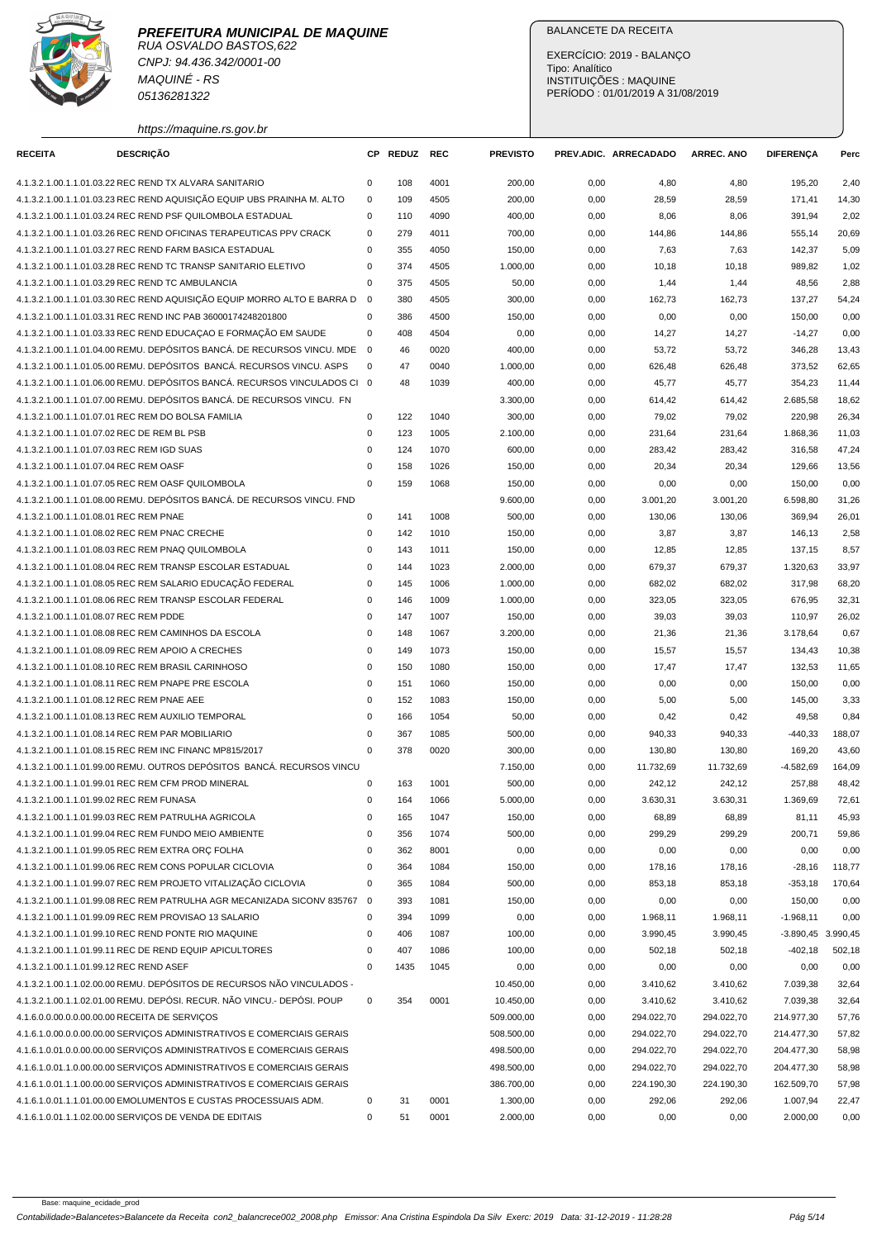



CNPJ: 94.436.342/0001-00 MAQUINÉ - RS 05136281322

https://maquine.rs.gov.br

# BALANCETE DA RECEITA

EXERCÍCIO: 2019 - BALANÇO Tipo: Analítico INSTITUIÇÕES : MAQUINE PERÍODO : 01/01/2019 A 31/08/2019

| <b>RECEITA</b>                           | <b>DESCRIÇÃO</b>                                                                                                                     |                         | CP REDUZ   | <b>REC</b>   | <b>PREVISTO</b>  |              | PREV.ADIC. ARRECADADO | <b>ARREC. ANO</b> | <b>DIFERENÇA</b>     | Perc           |
|------------------------------------------|--------------------------------------------------------------------------------------------------------------------------------------|-------------------------|------------|--------------|------------------|--------------|-----------------------|-------------------|----------------------|----------------|
|                                          |                                                                                                                                      |                         |            |              |                  |              |                       |                   |                      |                |
|                                          | 4.1.3.2.1.00.1.1.01.03.22 REC REND TX ALVARA SANITARIO                                                                               | 0<br>$\mathbf 0$        | 108        | 4001         | 200,00           | 0,00         | 4,80                  | 4,80              | 195,20               | 2,40           |
|                                          | 4.1.3.2.1.00.1.1.01.03.23 REC REND AQUISIÇÃO EQUIP UBS PRAINHA M. ALTO<br>4.1.3.2.1.00.1.1.01.03.24 REC REND PSF QUILOMBOLA ESTADUAL | 0                       | 109<br>110 | 4505<br>4090 | 200,00           | 0,00         | 28,59                 | 28,59             | 171,41               | 14,30<br>2,02  |
|                                          | 4.1.3.2.1.00.1.1.01.03.26 REC REND OFICINAS TERAPEUTICAS PPV CRACK                                                                   | $\mathsf 0$             | 279        | 4011         | 400,00<br>700,00 | 0,00<br>0,00 | 8,06<br>144,86        | 8,06<br>144,86    | 391,94<br>555,14     | 20,69          |
|                                          | 4.1.3.2.1.00.1.1.01.03.27 REC REND FARM BASICA ESTADUAL                                                                              | $\mathbf 0$             | 355        | 4050         | 150,00           | 0,00         |                       | 7,63              | 142,37               | 5,09           |
|                                          | 4.1.3.2.1.00.1.1.01.03.28 REC REND TC TRANSP SANITARIO ELETIVO                                                                       | $\mathbf 0$             | 374        | 4505         | 1.000,00         | 0,00         | 7,63<br>10,18         | 10,18             | 989,82               | 1,02           |
|                                          | 4.1.3.2.1.00.1.1.01.03.29 REC REND TC AMBULANCIA                                                                                     | $\Omega$                | 375        | 4505         | 50,00            | 0,00         | 1,44                  | 1,44              | 48,56                | 2,88           |
|                                          | 4.1.3.2.1.00.1.1.01.03.30 REC REND AQUISICÃO EQUIP MORRO ALTO E BARRA D                                                              | $\mathbf{0}$            | 380        | 4505         | 300,00           | 0,00         | 162,73                | 162,73            | 137,27               | 54,24          |
|                                          | 4.1.3.2.1.00.1.1.01.03.31 REC REND INC PAB 36000174248201800                                                                         | $\mathbf 0$             | 386        | 4500         | 150,00           | 0,00         | 0,00                  | 0,00              | 150,00               | 0,00           |
|                                          | 4.1.3.2.1.00.1.1.01.03.33 REC REND EDUCAÇÃO E FORMAÇÃO EM SAUDE                                                                      | 0                       | 408        | 4504         | 0,00             |              |                       |                   |                      | 0,00           |
|                                          | 4.1.3.2.1.00.1.1.01.04.00 REMU, DEPÓSITOS BANCÁ, DE RECURSOS VINCU, MDE                                                              | $\overline{\mathbf{0}}$ | 46         | 0020         | 400,00           | 0,00<br>0,00 | 14,27<br>53,72        | 14,27<br>53,72    | $-14,27$<br>346,28   | 13,43          |
|                                          | 4.1.3.2.1.00.1.1.01.05.00 REMU, DEPÓSITOS BANCÁ, RECURSOS VINCU, ASPS                                                                | $\mathbf 0$             | 47         | 0040         | 1.000,00         | 0,00         | 626,48                | 626,48            | 373,52               | 62,65          |
|                                          | 4.1.3.2.1.00.1.1.01.06.00 REMU. DEPÓSITOS BANCÁ. RECURSOS VINCULADOS CI 0                                                            |                         | 48         | 1039         | 400,00           |              |                       |                   |                      |                |
|                                          | 4.1.3.2.1.00.1.1.01.07.00 REMU. DEPÓSITOS BANCÁ. DE RECURSOS VINCU. FN                                                               |                         |            |              | 3.300,00         | 0,00<br>0,00 | 45,77<br>614,42       | 45,77<br>614,42   | 354,23<br>2.685,58   | 11,44<br>18,62 |
|                                          | 4.1.3.2.1.00.1.1.01.07.01 REC REM DO BOLSA FAMILIA                                                                                   | $\mathbf 0$             | 122        | 1040         | 300,00           | 0,00         | 79,02                 | 79,02             | 220,98               | 26,34          |
|                                          | 4.1.3.2.1.00.1.1.01.07.02 REC DE REM BL PSB                                                                                          | $\mathbf 0$             | 123        | 1005         | 2.100,00         | 0,00         | 231,64                | 231,64            | 1.868,36             | 11,03          |
|                                          | 4.1.3.2.1.00.1.1.01.07.03 REC REM IGD SUAS                                                                                           | $\mathbf 0$             | 124        | 1070         | 600,00           | 0,00         | 283,42                | 283,42            | 316,58               | 47,24          |
| 4.1.3.2.1.00.1.1.01.07.04 REC REM OASF   |                                                                                                                                      | $\pmb{0}$               | 158        | 1026         | 150,00           | 0,00         | 20,34                 | 20,34             | 129,66               | 13,56          |
|                                          | 4.1.3.2.1.00.1.1.01.07.05 REC REM OASF QUILOMBOLA                                                                                    | $\mathbf 0$             | 159        | 1068         | 150,00           | 0,00         | 0,00                  | 0,00              | 150,00               | 0,00           |
|                                          | 4.1.3.2.1.00.1.1.01.08.00 REMU. DEPÓSITOS BANCÁ. DE RECURSOS VINCU. FND                                                              |                         |            |              | 9.600,00         | 0,00         | 3.001,20              | 3.001,20          | 6.598,80             | 31,26          |
| 4.1.3.2.1.00.1.1.01.08.01 REC REM PNAE   |                                                                                                                                      | $\mathsf 0$             | 141        | 1008         | 500,00           | 0,00         | 130,06                | 130,06            | 369,94               | 26,01          |
|                                          | 4.1.3.2.1.00.1.1.01.08.02 REC REM PNAC CRECHE                                                                                        | $\mathsf 0$             | 142        | 1010         | 150,00           | 0,00         | 3,87                  | 3,87              | 146,13               | 2,58           |
|                                          | 4.1.3.2.1.00.1.1.01.08.03 REC REM PNAQ QUILOMBOLA                                                                                    | $\mathbf 0$             | 143        | 1011         | 150,00           | 0,00         | 12,85                 | 12,85             | 137,15               | 8,57           |
|                                          | 4.1.3.2.1.00.1.1.01.08.04 REC REM TRANSP ESCOLAR ESTADUAL                                                                            | $\mathbf 0$             | 144        | 1023         | 2.000,00         | 0,00         | 679,37                | 679,37            | 1.320,63             | 33,97          |
|                                          | 4.1.3.2.1.00.1.1.01.08.05 REC REM SALARIO EDUCAÇÃO FEDERAL                                                                           | $\mathbf 0$             | 145        | 1006         | 1.000,00         | 0,00         | 682,02                | 682,02            | 317,98               | 68,20          |
|                                          | 4.1.3.2.1.00.1.1.01.08.06 REC REM TRANSP ESCOLAR FEDERAL                                                                             | $\mathbf 0$             | 146        | 1009         | 1.000,00         | 0,00         | 323,05                | 323,05            | 676,95               | 32,31          |
| 4.1.3.2.1.00.1.1.01.08.07 REC REM PDDE   |                                                                                                                                      | $\mathsf 0$             | 147        | 1007         | 150,00           | 0,00         | 39,03                 | 39,03             | 110,97               | 26,02          |
|                                          | 4.1.3.2.1.00.1.1.01.08.08 REC REM CAMINHOS DA ESCOLA                                                                                 | 0                       | 148        | 1067         | 3.200,00         | 0,00         | 21,36                 | 21,36             | 3.178,64             | 0,67           |
|                                          | 4.1.3.2.1.00.1.1.01.08.09 REC REM APOIO A CRECHES                                                                                    | $\mathsf 0$             | 149        | 1073         | 150,00           | 0,00         | 15,57                 | 15,57             | 134,43               | 10,38          |
|                                          | 4.1.3.2.1.00.1.1.01.08.10 REC REM BRASIL CARINHOSO                                                                                   | $\mathbf 0$             | 150        | 1080         | 150,00           | 0,00         | 17,47                 | 17,47             | 132,53               | 11,65          |
|                                          | 4.1.3.2.1.00.1.1.01.08.11 REC REM PNAPE PRE ESCOLA                                                                                   | $\mathbf 0$             | 151        | 1060         | 150,00           | 0,00         | 0,00                  | 0,00              | 150,00               | 0,00           |
|                                          | 4.1.3.2.1.00.1.1.01.08.12 REC REM PNAE AEE                                                                                           | $\mathbf 0$             | 152        | 1083         | 150,00           | 0,00         | 5,00                  | 5,00              | 145,00               | 3,33           |
|                                          | 4.1.3.2.1.00.1.1.01.08.13 REC REM AUXILIO TEMPORAL                                                                                   | $\mathbf 0$             | 166        | 1054         | 50,00            | 0,00         | 0,42                  | 0,42              | 49,58                | 0,84           |
|                                          | 4.1.3.2.1.00.1.1.01.08.14 REC REM PAR MOBILIARIO                                                                                     | $\mathbf 0$             | 367        | 1085         | 500,00           | 0,00         | 940,33                | 940,33            | $-440,33$            | 188,07         |
|                                          | 4.1.3.2.1.00.1.1.01.08.15 REC REM INC FINANC MP815/2017                                                                              | $\mathbf 0$             | 378        | 0020         | 300,00           | 0,00         | 130,80                | 130,80            | 169,20               | 43,60          |
|                                          | 4.1.3.2.1.00.1.1.01.99.00 REMU. OUTROS DEPÓSITOS BANCÁ. RECURSOS VINCU                                                               |                         |            |              | 7.150,00         | 0,00         | 11.732,69             | 11.732,69         | $-4.582,69$          | 164,09         |
|                                          | 4.1.3.2.1.00.1.1.01.99.01 REC REM CFM PROD MINERAL                                                                                   | 0                       | 163        | 1001         | 500,00           | 0,00         | 242,12                | 242,12            | 257,88               | 48,42          |
| 4.1.3.2.1.00.1.1.01.99.02 REC REM FUNASA |                                                                                                                                      | 0                       | 164        | 1066         | 5.000,00         | 0,00         | 3.630,31              | 3.630,31          | 1.369.69             | 72,61          |
|                                          | 4.1.3.2.1.00.1.1.01.99.03 REC REM PATRULHA AGRICOLA                                                                                  | $\mathsf 0$             | 165        | 1047         | 150,00           | 0,00         | 68,89                 | 68,89             | 81,11                | 45,93          |
|                                          | 4.1.3.2.1.00.1.1.01.99.04 REC REM FUNDO MEIO AMBIENTE                                                                                | $\pmb{0}$               | 356        | 1074         | 500,00           | 0,00         | 299,29                | 299,29            | 200,71               | 59,86          |
|                                          | 4.1.3.2.1.00.1.1.01.99.05 REC REM EXTRA ORC FOLHA                                                                                    | $\pmb{0}$               | 362        | 8001         | 0,00             | 0,00         | 0,00                  | 0,00              | 0,00                 | 0,00           |
|                                          | 4.1.3.2.1.00.1.1.01.99.06 REC REM CONS POPULAR CICLOVIA                                                                              | 0                       | 364        | 1084         | 150,00           | 0,00         | 178,16                | 178,16            | $-28,16$             | 118,77         |
|                                          | 4.1.3.2.1.00.1.1.01.99.07 REC REM PROJETO VITALIZAÇÃO CICLOVIA                                                                       | $\pmb{0}$               | 365        | 1084         | 500,00           | 0,00         | 853,18                | 853,18            | $-353,18$            | 170,64         |
|                                          | 4.1.3.2.1.00.1.1.01.99.08 REC REM PATRULHA AGR MECANIZADA SICONV 835767                                                              | $\overline{\mathbf{0}}$ | 393        | 1081         | 150,00           | 0,00         | 0,00                  | 0,00              | 150,00               | 0,00           |
|                                          | 4.1.3.2.1.00.1.1.01.99.09 REC REM PROVISAO 13 SALARIO                                                                                | $\mathsf 0$             | 394        | 1099         | 0,00             | 0,00         | 1.968,11              | 1.968,11          | $-1.968, 11$         | 0,00           |
|                                          | 4.1.3.2.1.00.1.1.01.99.10 REC REND PONTE RIO MAQUINE                                                                                 | 0                       | 406        | 1087         | 100,00           | 0,00         | 3.990,45              | 3.990,45          | $-3.890,45$ 3.990,45 |                |
|                                          | 4.1.3.2.1.00.1.1.01.99.11 REC DE REND EQUIP APICULTORES                                                                              | 0                       | 407        | 1086         | 100,00           | 0,00         | 502,18                | 502,18            | $-402,18$            | 502,18         |
| 4.1.3.2.1.00.1.1.01.99.12 REC REND ASEF  |                                                                                                                                      | $\mathbf 0$             | 1435       | 1045         | 0,00             | 0,00         | 0,00                  | 0,00              | 0,00                 | 0,00           |
|                                          | 4.1.3.2.1.00.1.1.02.00.00 REMU. DEPÓSITOS DE RECURSOS NÃO VINCULADOS -                                                               |                         |            |              | 10.450,00        | 0,00         | 3.410,62              | 3.410,62          | 7.039,38             | 32,64          |
|                                          | 4.1.3.2.1.00.1.1.02.01.00 REMU. DEPÓSI. RECUR. NÃO VINCU.- DEPÓSI. POUP                                                              | 0                       | 354        | 0001         | 10.450,00        | 0,00         | 3.410,62              | 3.410,62          | 7.039,38             | 32,64          |
|                                          | 4.1.6.0.0.00.0.0.00.00.00 RECEITA DE SERVIÇOS                                                                                        |                         |            |              | 509.000,00       | 0,00         | 294.022,70            | 294.022,70        | 214.977,30           | 57,76          |
|                                          | 4.1.6.1.0.00.0.0.00.00.00 SERVIÇOS ADMINISTRATIVOS E COMERCIAIS GERAIS                                                               |                         |            |              | 508.500,00       | 0,00         | 294.022,70            | 294.022,70        | 214.477,30           | 57,82          |
|                                          | 4.1.6.1.0.01.0.0.00.00.00 SERVIÇOS ADMINISTRATIVOS E COMERCIAIS GERAIS                                                               |                         |            |              | 498.500,00       | 0,00         | 294.022,70            | 294.022,70        | 204.477,30           | 58,98          |
|                                          | 4.1.6.1.0.01.1.0.00.00.00 SERVIÇOS ADMINISTRATIVOS E COMERCIAIS GERAIS                                                               |                         |            |              | 498.500,00       | 0,00         | 294.022,70            | 294.022,70        | 204.477,30           | 58,98          |
|                                          | 4.1.6.1.0.01.1.1.00.00.00 SERVIÇOS ADMINISTRATIVOS E COMERCIAIS GERAIS                                                               |                         |            |              | 386.700,00       | 0,00         | 224.190,30            | 224.190,30        | 162.509,70           | 57,98          |
|                                          | 4.1.6.1.0.01.1.1.01.00.00 EMOLUMENTOS E CUSTAS PROCESSUAIS ADM.                                                                      | 0                       | 31         | 0001         | 1.300,00         | 0,00         | 292,06                | 292,06            | 1.007,94             | 22,47          |
|                                          | 4.1.6.1.0.01.1.1.02.00.00 SERVIÇOS DE VENDA DE EDITAIS                                                                               | 0                       | 51         | 0001         | 2.000,00         | 0,00         | 0,00                  | 0,00              | 2.000,00             | 0,00           |
|                                          |                                                                                                                                      |                         |            |              |                  |              |                       |                   |                      |                |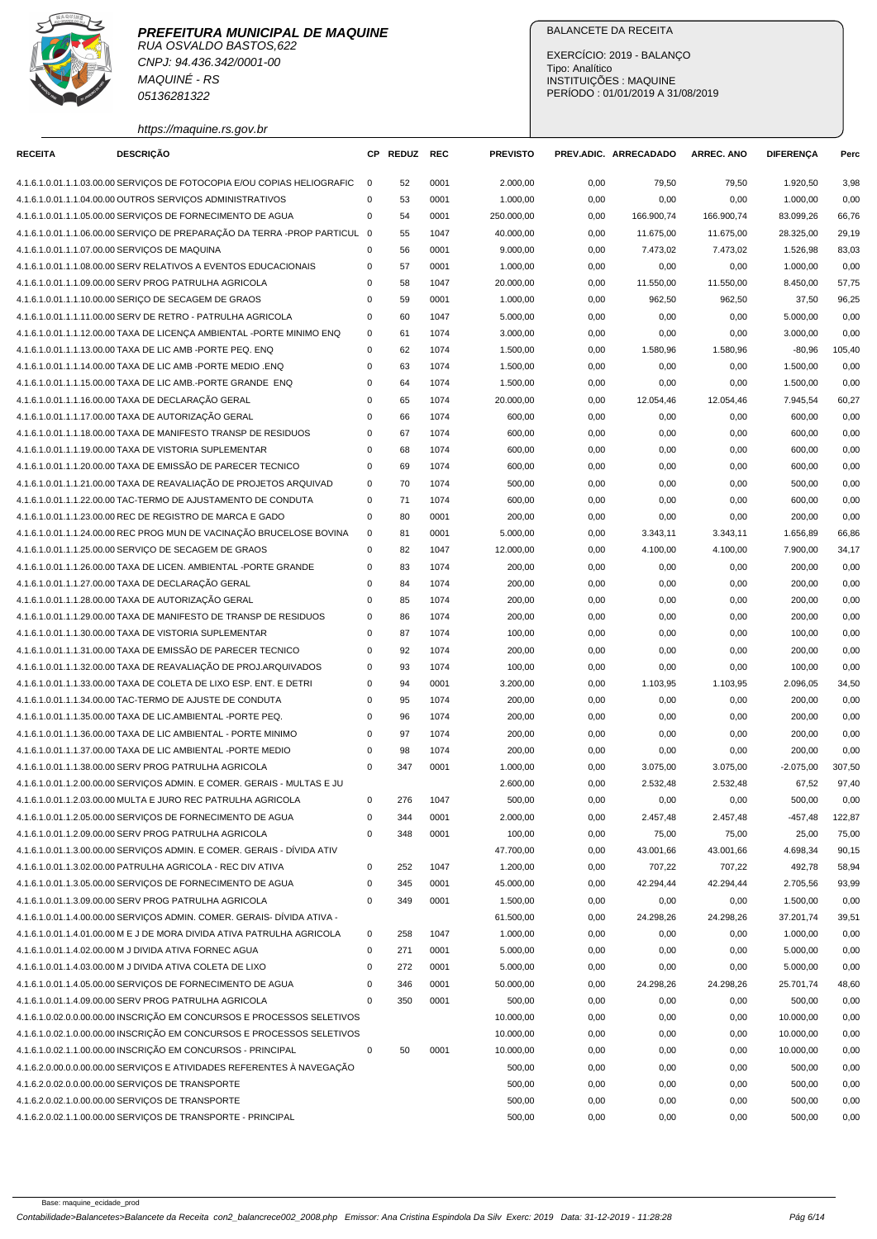



CNPJ: 94.436.342/0001-00 MAQUINÉ - RS 05136281322

https://maquine.rs.gov.br

# BALANCETE DA RECEITA

EXERCÍCIO: 2019 - BALANÇO Tipo: Analítico INSTITUIÇÕES : MAQUINE PERÍODO : 01/01/2019 A 31/08/2019

| <b>RECEITA</b> | <b>DESCRIÇÃO</b>                                                          |             | CP REDUZ | <b>REC</b> | <b>PREVISTO</b> |      | PREV.ADIC. ARRECADADO | <b>ARREC. ANO</b> | <b>DIFERENÇA</b> | Perc   |
|----------------|---------------------------------------------------------------------------|-------------|----------|------------|-----------------|------|-----------------------|-------------------|------------------|--------|
|                | 4.1.6.1.0.01.1.1.03.00.00 SERVIÇOS DE FOTOCOPIA E/OU COPIAS HELIOGRAFIC   | $\mathbf 0$ | 52       | 0001       | 2.000,00        | 0,00 | 79,50                 | 79,50             | 1.920,50         | 3,98   |
|                | 4.1.6.1.0.01.1.1.04.00.00 OUTROS SERVIÇOS ADMINISTRATIVOS                 | $\Omega$    | 53       | 0001       | 1.000,00        | 0,00 | 0,00                  | 0,00              | 1.000,00         | 0,00   |
|                | 4.1.6.1.0.01.1.1.05.00.00 SERVIÇOS DE FORNECIMENTO DE AGUA                | 0           | 54       | 0001       | 250.000,00      | 0,00 | 166.900,74            | 166.900,74        | 83.099,26        | 66,76  |
|                | 4.1.6.1.0.01.1.1.06.00.00 SERVIÇO DE PREPARAÇÃO DA TERRA -PROP PARTICUL 0 |             | 55       | 1047       | 40.000,00       | 0,00 | 11.675,00             | 11.675,00         | 28.325,00        | 29,19  |
|                | 4.1.6.1.0.01.1.1.07.00.00 SERVICOS DE MAQUINA                             | 0           | 56       | 0001       | 9.000,00        | 0,00 | 7.473,02              | 7.473,02          | 1.526,98         | 83,03  |
|                | 4.1.6.1.0.01.1.1.08.00.00 SERV RELATIVOS A EVENTOS EDUCACIONAIS           | 0           | 57       | 0001       | 1.000,00        | 0,00 | 0,00                  | 0,00              | 1.000,00         | 0,00   |
|                | 4.1.6.1.0.01.1.1.09.00.00 SERV PROG PATRULHA AGRICOLA                     | 0           | 58       | 1047       | 20.000,00       | 0,00 | 11.550,00             | 11.550,00         | 8.450,00         | 57,75  |
|                | 4.1.6.1.0.01.1.1.10.00.00 SERIÇO DE SECAGEM DE GRAOS                      | 0           | 59       | 0001       | 1.000.00        | 0,00 | 962,50                | 962,50            | 37,50            | 96,25  |
|                | 4.1.6.1.0.01.1.1.11.00.00 SERV DE RETRO - PATRULHA AGRICOLA               | 0           | 60       | 1047       | 5.000,00        | 0,00 | 0,00                  | 0,00              | 5.000,00         | 0,00   |
|                | 4.1.6.1.0.01.1.1.12.00.00 TAXA DE LICENCA AMBIENTAL -PORTE MINIMO ENQ     | 0           | 61       | 1074       | 3.000,00        | 0,00 | 0,00                  | 0,00              | 3.000,00         | 0,00   |
|                | 4.1.6.1.0.01.1.1.13.00.00 TAXA DE LIC AMB - PORTE PEQ. ENQ                | 0           | 62       | 1074       | 1.500,00        | 0,00 | 1.580,96              | 1.580,96          | $-80,96$         | 105,40 |
|                | 4.1.6.1.0.01.1.1.14.00.00 TAXA DE LIC AMB -PORTE MEDIO .ENQ               | 0           | 63       | 1074       | 1.500,00        | 0,00 | 0,00                  | 0,00              | 1.500,00         | 0,00   |
|                | 4.1.6.1.0.01.1.1.15.00.00 TAXA DE LIC AMB.-PORTE GRANDE ENQ               | 0           | 64       | 1074       | 1.500,00        | 0,00 | 0,00                  | 0,00              | 1.500,00         | 0,00   |
|                | 4.1.6.1.0.01.1.1.16.00.00 TAXA DE DECLARAÇÃO GERAL                        | 0           | 65       | 1074       | 20.000,00       | 0,00 | 12.054,46             | 12.054,46         | 7.945,54         | 60,27  |
|                | 4.1.6.1.0.01.1.1.17.00.00 TAXA DE AUTORIZAÇÃO GERAL                       | $\Omega$    | 66       | 1074       | 600,00          | 0,00 | 0,00                  | 0,00              | 600,00           | 0,00   |
|                | 4.1.6.1.0.01.1.1.18.00.00 TAXA DE MANIFESTO TRANSP DE RESIDUOS            | 0           | 67       | 1074       | 600,00          | 0,00 | 0,00                  | 0,00              | 600,00           | 0,00   |
|                | 4.1.6.1.0.01.1.1.19.00.00 TAXA DE VISTORIA SUPLEMENTAR                    | 0           | 68       | 1074       | 600,00          | 0,00 | 0,00                  | 0,00              | 600,00           | 0,00   |
|                | 4.1.6.1.0.01.1.1.20.00.00 TAXA DE EMISSÃO DE PARECER TECNICO              | 0           | 69       | 1074       | 600,00          | 0,00 | 0,00                  | 0,00              | 600,00           | 0,00   |
|                | 4.1.6.1.0.01.1.1.21.00.00 TAXA DE REAVALIAÇÃO DE PROJETOS ARQUIVAD        | 0           | 70       | 1074       | 500,00          | 0,00 | 0,00                  | 0,00              | 500,00           | 0,00   |
|                | 4.1.6.1.0.01.1.1.22.00.00 TAC-TERMO DE AJUSTAMENTO DE CONDUTA             | 0           | 71       | 1074       | 600,00          | 0,00 | 0,00                  | 0,00              | 600,00           | 0,00   |
|                | 4.1.6.1.0.01.1.1.23.00.00 REC DE REGISTRO DE MARCA E GADO                 | 0           | 80       | 0001       | 200,00          | 0,00 | 0,00                  | 0,00              | 200,00           | 0,00   |
|                | 4.1.6.1.0.01.1.1.24.00.00 REC PROG MUN DE VACINAÇÃO BRUCELOSE BOVINA      | 0           | 81       | 0001       | 5.000,00        | 0,00 | 3.343,11              | 3.343,11          | 1.656,89         | 66,86  |
|                | 4.1.6.1.0.01.1.1.25.00.00 SERVICO DE SECAGEM DE GRAOS                     | 0           | 82       | 1047       | 12.000,00       | 0,00 | 4.100,00              | 4.100,00          | 7.900,00         | 34,17  |
|                | 4.1.6.1.0.01.1.1.26.00.00 TAXA DE LICEN. AMBIENTAL -PORTE GRANDE          | 0           | 83       | 1074       | 200,00          | 0,00 | 0,00                  | 0,00              | 200,00           | 0,00   |
|                | 4.1.6.1.0.01.1.1.27.00.00 TAXA DE DECLARAÇÃO GERAL                        | 0           | 84       | 1074       |                 |      |                       |                   |                  |        |
|                |                                                                           |             |          |            | 200,00          | 0,00 | 0,00                  | 0,00              | 200,00           | 0,00   |
|                | 4.1.6.1.0.01.1.1.28.00.00 TAXA DE AUTORIZAÇÃO GERAL                       | 0           | 85       | 1074       | 200,00          | 0,00 | 0,00                  | 0,00              | 200,00           | 0,00   |
|                | 4.1.6.1.0.01.1.1.29.00.00 TAXA DE MANIFESTO DE TRANSP DE RESIDUOS         | 0           | 86       | 1074       | 200,00          | 0,00 | 0,00                  | 0,00              | 200,00           | 0,00   |
|                | 4.1.6.1.0.01.1.1.30.00.00 TAXA DE VISTORIA SUPLEMENTAR                    | 0           | 87       | 1074       | 100,00          | 0,00 | 0,00                  | 0,00              | 100,00           | 0,00   |
|                | 4.1.6.1.0.01.1.1.31.00.00 TAXA DE EMISSÃO DE PARECER TECNICO              | 0           | 92       | 1074       | 200,00          | 0,00 | 0,00                  | 0,00              | 200,00           | 0,00   |
|                | 4.1.6.1.0.01.1.1.32.00.00 TAXA DE REAVALIAÇÃO DE PROJ.ARQUIVADOS          | 0           | 93       | 1074       | 100,00          | 0,00 | 0,00                  | 0,00              | 100,00           | 0,00   |
|                | 4.1.6.1.0.01.1.1.33.00.00 TAXA DE COLETA DE LIXO ESP. ENT. E DETRI        | 0           | 94       | 0001       | 3.200,00        | 0,00 | 1.103,95              | 1.103,95          | 2.096,05         | 34,50  |
|                | 4.1.6.1.0.01.1.1.34.00.00 TAC-TERMO DE AJUSTE DE CONDUTA                  | 0           | 95       | 1074       | 200,00          | 0,00 | 0,00                  | 0,00              | 200,00           | 0,00   |
|                | 4.1.6.1.0.01.1.1.35.00.00 TAXA DE LIC.AMBIENTAL -PORTE PEQ.               | 0           | 96       | 1074       | 200,00          | 0,00 | 0,00                  | 0,00              | 200,00           | 0,00   |
|                | 4.1.6.1.0.01.1.1.36.00.00 TAXA DE LIC AMBIENTAL - PORTE MINIMO            | 0           | 97       | 1074       | 200,00          | 0,00 | 0,00                  | 0,00              | 200,00           | 0,00   |
|                | 4.1.6.1.0.01.1.1.37.00.00 TAXA DE LIC AMBIENTAL -PORTE MEDIO              | 0           | 98       | 1074       | 200,00          | 0,00 | 0,00                  | 0,00              | 200,00           | 0,00   |
|                | 4.1.6.1.0.01.1.1.38.00.00 SERV PROG PATRULHA AGRICOLA                     | 0           | 347      | 0001       | 1.000,00        | 0,00 | 3.075,00              | 3.075,00          | $-2.075,00$      | 307,50 |
|                | 4.1.6.1.0.01.1.2.00.00.00 SERVIÇOS ADMIN. E COMER. GERAIS - MULTAS E JU   |             |          |            | 2.600,00        | 0,00 | 2.532,48              | 2.532,48          | 67,52            | 97,40  |
|                | 4.1.6.1.0.01.1.2.03.00.00 MULTA E JURO REC PATRULHA AGRICOLA              | 0           | 276      | 1047       | 500,00          | 0,00 | 0,00                  | 0,00              | 500,00           | 0,00   |
|                | 4.1.6.1.0.01.1.2.05.00.00 SERVICOS DE FORNECIMENTO DE AGUA                | 0           | 344      | 0001       | 2.000,00        | 0,00 | 2.457,48              | 2.457,48          | $-457,48$        | 122,87 |
|                | 4.1.6.1.0.01.1.2.09.00.00 SERV PROG PATRULHA AGRICOLA                     | 0           | 348      | 0001       | 100,00          | 0,00 | 75,00                 | 75,00             | 25,00            | 75,00  |
|                | 4.1.6.1.0.01.1.3.00.00.00 SERVIÇOS ADMIN. E COMER. GERAIS - DÍVIDA ATIV   |             |          |            | 47.700,00       | 0,00 | 43.001,66             | 43.001,66         | 4.698,34         | 90,15  |
|                | 4.1.6.1.0.01.1.3.02.00.00 PATRULHA AGRICOLA - REC DIV ATIVA               | 0           | 252      | 1047       | 1.200,00        | 0,00 | 707,22                | 707,22            | 492,78           | 58,94  |
|                | 4.1.6.1.0.01.1.3.05.00.00 SERVIÇOS DE FORNECIMENTO DE AGUA                | 0           | 345      | 0001       | 45.000,00       | 0,00 | 42.294,44             | 42.294,44         | 2.705,56         | 93,99  |
|                | 4.1.6.1.0.01.1.3.09.00.00 SERV PROG PATRULHA AGRICOLA                     | 0           | 349      | 0001       | 1.500,00        | 0,00 | 0,00                  | 0,00              | 1.500,00         | 0,00   |
|                | 4.1.6.1.0.01.1.4.00.00.00 SERVIÇOS ADMIN. COMER. GERAIS- DÍVIDA ATIVA -   |             |          |            | 61.500,00       | 0,00 | 24.298,26             | 24.298,26         | 37.201,74        | 39,51  |
|                | 4.1.6.1.0.01.1.4.01.00.00 M E J DE MORA DIVIDA ATIVA PATRULHA AGRICOLA    | $\mathsf 0$ | 258      | 1047       | 1.000,00        | 0,00 | 0,00                  | 0,00              | 1.000,00         | 0,00   |
|                | 4.1.6.1.0.01.1.4.02.00.00 M J DIVIDA ATIVA FORNEC AGUA                    | $\mathsf 0$ | 271      | 0001       | 5.000,00        | 0,00 | 0,00                  | 0,00              | 5.000,00         | 0,00   |
|                | 4.1.6.1.0.01.1.4.03.00.00 M J DIVIDA ATIVA COLETA DE LIXO                 | 0           | 272      | 0001       | 5.000,00        | 0,00 | 0,00                  | 0,00              | 5.000,00         | 0,00   |
|                | 4.1.6.1.0.01.1.4.05.00.00 SERVIÇOS DE FORNECIMENTO DE AGUA                | 0           | 346      | 0001       | 50.000,00       | 0,00 | 24.298,26             | 24.298,26         | 25.701,74        | 48,60  |
|                | 4.1.6.1.0.01.1.4.09.00.00 SERV PROG PATRULHA AGRICOLA                     | $\Omega$    | 350      | 0001       | 500,00          | 0,00 | 0,00                  | 0,00              | 500,00           | 0,00   |
|                | 4.1.6.1.0.02.0.0.00.00.00 INSCRIÇÃO EM CONCURSOS E PROCESSOS SELETIVOS    |             |          |            | 10.000,00       | 0,00 | 0,00                  | 0,00              | 10.000,00        | 0,00   |
|                | 4.1.6.1.0.02.1.0.00.00.00 INSCRIÇÃO EM CONCURSOS E PROCESSOS SELETIVOS    |             |          |            | 10.000,00       | 0,00 | 0,00                  | 0,00              | 10.000,00        | 0,00   |
|                | 4.1.6.1.0.02.1.1.00.00.00 INSCRIÇÃO EM CONCURSOS - PRINCIPAL              | $\pmb{0}$   | 50       | 0001       | 10.000,00       | 0,00 | 0,00                  | 0,00              | 10.000,00        | 0,00   |
|                | 4.1.6.2.0.00.0.0.00.00.00 SERVIÇOS E ATIVIDADES REFERENTES À NAVEGAÇÃO    |             |          |            | 500,00          | 0,00 | 0,00                  | 0,00              | 500,00           | 0,00   |
|                | 4.1.6.2.0.02.0.0.00.00.00 SERVIÇOS DE TRANSPORTE                          |             |          |            | 500,00          | 0,00 | 0,00                  | 0,00              | 500,00           | 0,00   |
|                | 4.1.6.2.0.02.1.0.00.00.00 SERVIÇOS DE TRANSPORTE                          |             |          |            | 500,00          | 0,00 | 0,00                  | 0,00              | 500,00           | 0,00   |
|                | 4.1.6.2.0.02.1.1.00.00.00 SERVIÇOS DE TRANSPORTE - PRINCIPAL              |             |          |            | 500,00          | 0,00 | 0,00                  | 0,00              | 500,00           | 0,00   |
|                |                                                                           |             |          |            |                 |      |                       |                   |                  |        |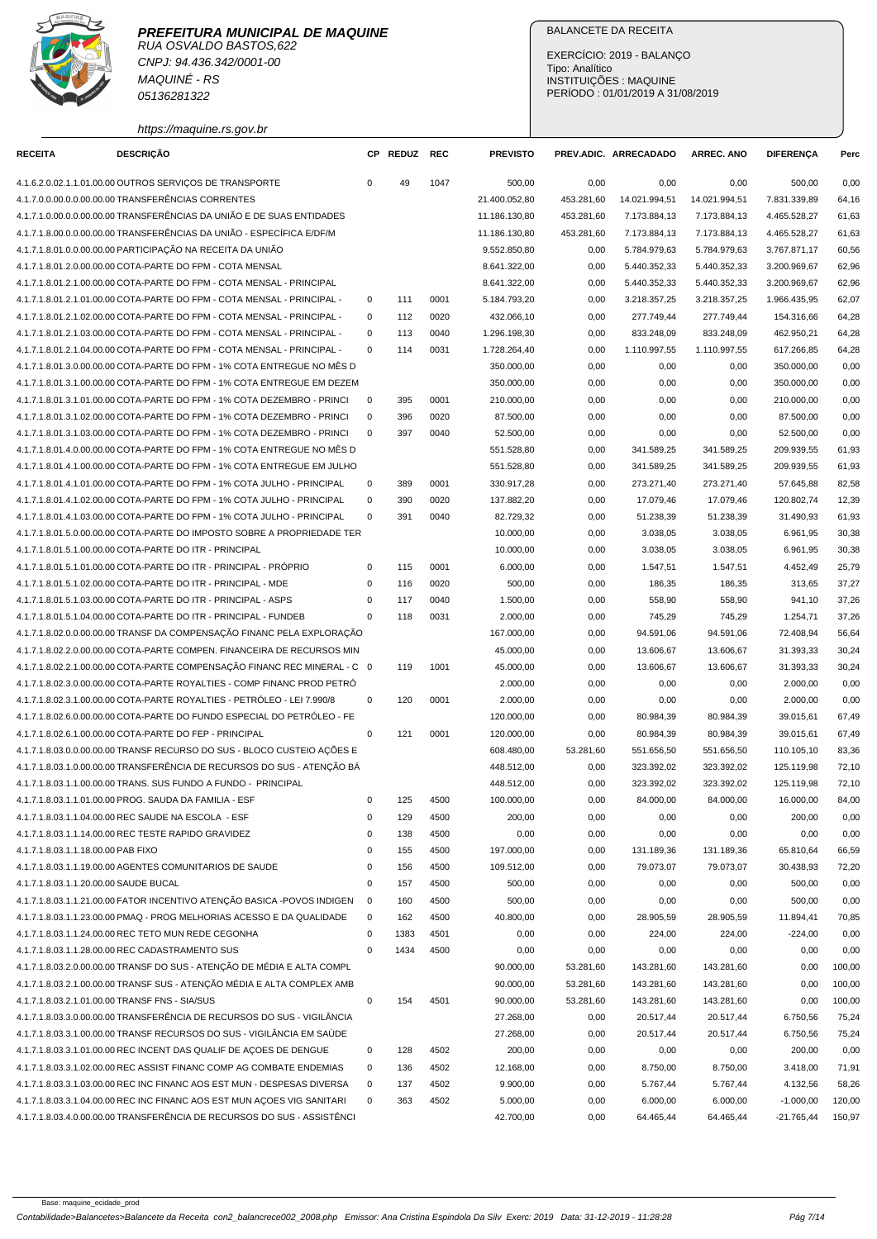CNPJ: 94.436.342/0001-00 MAQUINÉ - RS 05136281322

https://maquine.rs.gov.br

#### BALANCETE DA RECEITA

EXERCÍCIO: 2019 - BALANÇO Tipo: Analítico INSTITUIÇÕES : MAQUINE PERÍODO : 01/01/2019 A 31/08/2019

| 4.1.6.2.0.02.1.1.01.00.00 OUTROS SERVIÇOS DE TRANSPORTE                   | 0            | 49   | 1047 | 500,00        | 0,00       | 0,00          | 0,00          | 500,00       | 0,00   |
|---------------------------------------------------------------------------|--------------|------|------|---------------|------------|---------------|---------------|--------------|--------|
| 4.1.7.0.0.00.0.0.00.00.00 TRANSFERÊNCIAS CORRENTES                        |              |      |      | 21.400.052,80 | 453.281,60 | 14.021.994,51 | 14.021.994,51 | 7.831.339,89 | 64,16  |
| 4.1.7.1.0.00.0.0.00.00.00 TRANSFERÊNCIAS DA UNIÃO E DE SUAS ENTIDADES     |              |      |      | 11.186.130,80 | 453.281,60 | 7.173.884,13  | 7.173.884,13  | 4.465.528,27 | 61,63  |
| 4.1.7.1.8.00.0.0.00.00.00 TRANSFERÊNCIAS DA UNIÃO - ESPECÍFICA E/DF/M     |              |      |      | 11.186.130,80 | 453.281,60 | 7.173.884,13  | 7.173.884,13  | 4.465.528,27 | 61,63  |
| 4.1.7.1.8.01.0.0.00.00.00 PARTICIPAÇÃO NA RECEITA DA UNIÃO                |              |      |      | 9.552.850,80  | 0,00       | 5.784.979,63  | 5.784.979,63  | 3.767.871,17 | 60,56  |
| 4.1.7.1.8.01.2.0.00.00.00 COTA-PARTE DO FPM - COTA MENSAL                 |              |      |      | 8.641.322,00  | 0,00       | 5.440.352,33  | 5.440.352,33  | 3.200.969,67 | 62,96  |
| 4.1.7.1.8.01.2.1.00.00.00 COTA-PARTE DO FPM - COTA MENSAL - PRINCIPAL     |              |      |      | 8.641.322,00  | 0,00       | 5.440.352,33  | 5.440.352,33  | 3.200.969,67 | 62,96  |
| 4.1.7.1.8.01.2.1.01.00.00 COTA-PARTE DO FPM - COTA MENSAL - PRINCIPAL -   | 0            | 111  | 0001 | 5.184.793,20  | 0,00       | 3.218.357,25  | 3.218.357,25  | 1.966.435,95 | 62,07  |
| 4.1.7.1.8.01.2.1.02.00.00 COTA-PARTE DO FPM - COTA MENSAL - PRINCIPAL -   | $\mathbf 0$  | 112  | 0020 | 432.066,10    | 0,00       | 277.749,44    | 277.749,44    | 154.316,66   | 64,28  |
| 4.1.7.1.8.01.2.1.03.00.00 COTA-PARTE DO FPM - COTA MENSAL - PRINCIPAL -   | $\mathbf 0$  | 113  | 0040 | 1.296.198,30  | 0,00       | 833.248,09    | 833.248,09    | 462.950.21   | 64,28  |
| 4.1.7.1.8.01.2.1.04.00.00 COTA-PARTE DO FPM - COTA MENSAL - PRINCIPAL -   | $\mathbf 0$  | 114  | 0031 | 1.728.264,40  | 0,00       | 1.110.997,55  | 1.110.997,55  | 617.266,85   | 64,28  |
| 4.1.7.1.8.01.3.0.00.00.00 COTA-PARTE DO FPM - 1% COTA ENTREGUE NO MÉS D   |              |      |      | 350.000,00    | 0,00       | 0,00          | 0,00          | 350.000,00   | 0,00   |
|                                                                           |              |      |      |               |            |               |               |              |        |
| 4.1.7.1.8.01.3.1.00.00.00 COTA-PARTE DO FPM - 1% COTA ENTREGUE EM DEZEM   |              |      |      | 350.000,00    | 0,00       | 0,00          | 0,00          | 350.000,00   | 0,00   |
| 4.1.7.1.8.01.3.1.01.00.00 COTA-PARTE DO FPM - 1% COTA DEZEMBRO - PRINCI   | $\mathbf 0$  | 395  | 0001 | 210.000,00    | 0,00       | 0,00          | 0,00          | 210.000,00   | 0,00   |
| 4.1.7.1.8.01.3.1.02.00.00 COTA-PARTE DO FPM - 1% COTA DEZEMBRO - PRINCI   | $\mathbf 0$  | 396  | 0020 | 87.500,00     | 0,00       | 0,00          | 0,00          | 87.500,00    | 0,00   |
| 4.1.7.1.8.01.3.1.03.00.00 COTA-PARTE DO FPM - 1% COTA DEZEMBRO - PRINCI   | $\mathbf 0$  | 397  | 0040 | 52.500,00     | 0,00       | 0,00          | 0,00          | 52.500,00    | 0,00   |
| 4.1.7.1.8.01.4.0.00.00.00 COTA-PARTE DO FPM - 1% COTA ENTREGUE NO MËS D   |              |      |      | 551.528,80    | 0,00       | 341.589,25    | 341.589,25    | 209.939,55   | 61,93  |
| 4.1.7.1.8.01.4.1.00.00.00 COTA-PARTE DO FPM - 1% COTA ENTREGUE EM JULHO   |              |      |      | 551.528,80    | 0,00       | 341.589,25    | 341.589,25    | 209.939,55   | 61,93  |
| 4.1.7.1.8.01.4.1.01.00.00 COTA-PARTE DO FPM - 1% COTA JULHO - PRINCIPAL   | 0            | 389  | 0001 | 330.917,28    | 0,00       | 273.271,40    | 273.271,40    | 57.645,88    | 82,58  |
| 4.1.7.1.8.01.4.1.02.00.00 COTA-PARTE DO FPM - 1% COTA JULHO - PRINCIPAL   | $\pmb{0}$    | 390  | 0020 | 137.882,20    | 0,00       | 17.079,46     | 17.079,46     | 120.802,74   | 12,39  |
| 4.1.7.1.8.01.4.1.03.00.00 COTA-PARTE DO FPM - 1% COTA JULHO - PRINCIPAL   | $\mathbf 0$  | 391  | 0040 | 82.729,32     | 0,00       | 51.238,39     | 51.238,39     | 31.490,93    | 61,93  |
| 4.1.7.1.8.01.5.0.00.00.00 COTA-PARTE DO IMPOSTO SOBRE A PROPRIEDADE TER   |              |      |      | 10.000,00     | 0,00       | 3.038,05      | 3.038,05      | 6.961,95     | 30,38  |
| 4.1.7.1.8.01.5.1.00.00.00 COTA-PARTE DO ITR - PRINCIPAL                   |              |      |      | 10.000,00     | 0,00       | 3.038,05      | 3.038,05      | 6.961,95     | 30,38  |
| 4.1.7.1.8.01.5.1.01.00.00 COTA-PARTE DO ITR - PRINCIPAL - PRÓPRIO         | $\mathbf 0$  | 115  | 0001 | 6.000,00      | 0,00       | 1.547,51      | 1.547,51      | 4.452,49     | 25,79  |
| 4.1.7.1.8.01.5.1.02.00.00 COTA-PARTE DO ITR - PRINCIPAL - MDE             | $\mathbf 0$  | 116  | 0020 | 500,00        | 0,00       | 186,35        | 186,35        | 313,65       | 37,27  |
| 4.1.7.1.8.01.5.1.03.00.00 COTA-PARTE DO ITR - PRINCIPAL - ASPS            | $\mathbf 0$  | 117  | 0040 | 1.500,00      | 0,00       | 558,90        | 558,90        | 941,10       | 37,26  |
| 4.1.7.1.8.01.5.1.04.00.00 COTA-PARTE DO ITR - PRINCIPAL - FUNDEB          | $\mathbf 0$  | 118  | 0031 | 2.000,00      | 0,00       | 745,29        | 745,29        | 1.254,71     | 37,26  |
| 4.1.7.1.8.02.0.0.00.00.00 TRANSF DA COMPENSAÇÃO FINANC PELA EXPLORAÇÃO    |              |      |      | 167.000,00    | 0,00       | 94.591,06     | 94.591,06     | 72.408,94    | 56,64  |
| 4.1.7.1.8.02.2.0.00.00.00 COTA-PARTE COMPEN. FINANCEIRA DE RECURSOS MIN   |              |      |      | 45.000,00     | 0,00       | 13.606,67     | 13.606,67     | 31.393,33    | 30,24  |
| 4.1.7.1.8.02.2.1.00.00.00 COTA-PARTE COMPENSAÇÃO FINANC REC MINERAL - C 0 |              | 119  | 1001 | 45.000,00     | 0,00       | 13.606,67     | 13.606,67     | 31.393,33    | 30,24  |
| 4.1.7.1.8.02.3.0.00.00.00 COTA-PARTE ROYALTIES - COMP FINANC PROD PETRO   |              |      |      | 2.000,00      | 0,00       | 0,00          | 0,00          | 2.000,00     | 0,00   |
| 4.1.7.1.8.02.3.1.00.00.00 COTA-PARTE ROYALTIES - PETRÓLEO - LEI 7.990/8   | $\mathbf 0$  | 120  | 0001 | 2.000,00      | 0,00       | 0,00          | 0,00          | 2.000,00     | 0,00   |
| 4.1.7.1.8.02.6.0.00.00.00 COTA-PARTE DO FUNDO ESPECIAL DO PETRÓLEO - FE   |              |      |      | 120.000,00    | 0,00       | 80.984,39     | 80.984,39     | 39.015,61    | 67,49  |
| 4.1.7.1.8.02.6.1.00.00.00 COTA-PARTE DO FEP - PRINCIPAL                   | $\pmb{0}$    | 121  | 0001 | 120.000,00    | 0,00       | 80.984,39     | 80.984,39     | 39.015,61    | 67,49  |
| 4.1.7.1.8.03.0.0.00.00.00 TRANSF RECURSO DO SUS - BLOCO CUSTEIO AÇÕES E   |              |      |      | 608.480,00    | 53.281,60  | 551.656,50    | 551.656,50    | 110.105,10   | 83,36  |
| 4.1.7.1.8.03.1.0.00.00.00 TRANSFERÊNCIA DE RECURSOS DO SUS - ATENÇÃO BÁ   |              |      |      | 448.512,00    | 0,00       | 323.392,02    | 323.392,02    | 125.119,98   | 72,10  |
| 4.1.7.1.8.03.1.1.00.00.00 TRANS. SUS FUNDO A FUNDO - PRINCIPAL            |              |      |      | 448.512,00    | 0,00       | 323.392,02    | 323.392,02    | 125.119,98   | 72,10  |
| 4.1.7.1.8.03.1.1.01.00.00 PROG. SAUDA DA FAMILIA - ESF                    | 0            | 125  | 4500 | 100.000,00    | 0,00       | 84.000,00     | 84.000,00     | 16.000,00    | 84,00  |
| 4.1.7.1.8.03.1.1.04.00.00 REC SAUDE NA ESCOLA - ESF                       | $\mathbf 0$  | 129  | 4500 | 200,00        | 0,00       | 0,00          | 0,00          | 200,00       | 0,00   |
| 4.1.7.1.8.03.1.1.14.00.00 REC TESTE RAPIDO GRAVIDEZ                       | $\mathbf{0}$ | 138  | 4500 | 0,00          | 0,00       | 0,00          | 0,00          | 0,00         | 0,00   |
| 4.1.7.1.8.03.1.1.18.00.00 PAB FIXO                                        | $\pmb{0}$    | 155  | 4500 | 197.000,00    | 0,00       | 131.189,36    | 131.189,36    | 65.810,64    | 66,59  |
| 4.1.7.1.8.03.1.1.19.00.00 AGENTES COMUNITARIOS DE SAUDE                   | $\pmb{0}$    | 156  | 4500 | 109.512,00    | 0,00       | 79.073,07     | 79.073,07     | 30.438,93    | 72,20  |
| 4.1.7.1.8.03.1.1.20.00.00 SAUDE BUCAL                                     | 0            | 157  | 4500 | 500,00        | 0,00       |               |               | 500,00       | 0,00   |
| 4.1.7.1.8.03.1.1.21.00.00 FATOR INCENTIVO ATENÇÃO BASICA -POVOS INDIGEN   |              |      |      |               |            | 0,00          | 0,00          |              |        |
|                                                                           | $\mathbf 0$  | 160  | 4500 | 500,00        | 0,00       | 0,00          | 0,00          | 500,00       | 0,00   |
| 4.1.7.1.8.03.1.1.23.00.00 PMAQ - PROG MELHORIAS ACESSO E DA QUALIDADE     | $\mathbf 0$  | 162  | 4500 | 40.800,00     | 0,00       | 28.905,59     | 28.905,59     | 11.894,41    | 70,85  |
| 4.1.7.1.8.03.1.1.24.00.00 REC TETO MUN REDE CEGONHA                       | 0            | 1383 | 4501 | 0,00          | 0,00       | 224,00        | 224,00        | $-224,00$    | 0,00   |
| 4.1.7.1.8.03.1.1.28.00.00 REC CADASTRAMENTO SUS                           | 0            | 1434 | 4500 | 0,00          | 0,00       | 0,00          | 0,00          | 0,00         | 0,00   |
| 4.1.7.1.8.03.2.0.00.00.00 TRANSF DO SUS - ATENÇÃO DE MÉDIA E ALTA COMPL   |              |      |      | 90.000,00     | 53.281,60  | 143.281,60    | 143.281,60    | 0,00         | 100,00 |
| 4.1.7.1.8.03.2.1.00.00.00 TRANSF SUS - ATENCÃO MÉDIA E ALTA COMPLEX AMB   |              |      |      | 90.000,00     | 53.281,60  | 143.281,60    | 143.281,60    | 0,00         | 100,00 |
| 4.1.7.1.8.03.2.1.01.00.00 TRANSF FNS - SIA/SUS                            | $\mathbf 0$  | 154  | 4501 | 90.000,00     | 53.281,60  | 143.281,60    | 143.281,60    | 0,00         | 100,00 |
| 4.1.7.1.8.03.3.0.00.00.00 TRANSFERÊNCIA DE RECURSOS DO SUS - VIGILÂNCIA   |              |      |      | 27.268,00     | 0,00       | 20.517,44     | 20.517,44     | 6.750,56     | 75,24  |
| 4.1.7.1.8.03.3.1.00.00.00 TRANSF RECURSOS DO SUS - VIGILÂNCIA EM SAÚDE    |              |      |      | 27.268,00     | 0,00       | 20.517,44     | 20.517,44     | 6.750,56     | 75,24  |
| 4.1.7.1.8.03.3.1.01.00.00 REC INCENT DAS QUALIF DE AÇOES DE DENGUE        | 0            | 128  | 4502 | 200,00        | 0,00       | 0,00          | 0,00          | 200,00       | 0,00   |
| 4.1.7.1.8.03.3.1.02.00.00 REC ASSIST FINANC COMP AG COMBATE ENDEMIAS      | $\Omega$     | 136  | 4502 | 12 168 00     | 0.00       | 8 750 00      | 8 750 00      | 341800       | 71 91  |

4.1.7.1.8.03.3.1.03.00.00 REC INC FINANC AOS EST MUN - DESPESAS DIVERSA 0 137 4502 9.900,00 0,00 5.767,44 5.767,44 4.132,56 58,26 4.1.7.1.8.03.3.1.04.00.00 REC INC FINANC AOS EST MUN AÇOES VIG SANITARI 0 363 4502 5.000,00 0,00 6.000,00 6.000,00 -1.000,00 120,00 4.1.7.1.8.03.4.0.00.00.00 TRANSFERÊNCIA DE RECURSOS DO SUS - ASSISTÊNCI 42.700,00 0,00 64.465,44 64.465,44 -21.765,44 150,97

**RECEITA DESCRIÇÃO CP REDUZ REC PREVISTO PREV.ADIC. ARRECADADO ARREC. ANO DIFERENÇA Perc**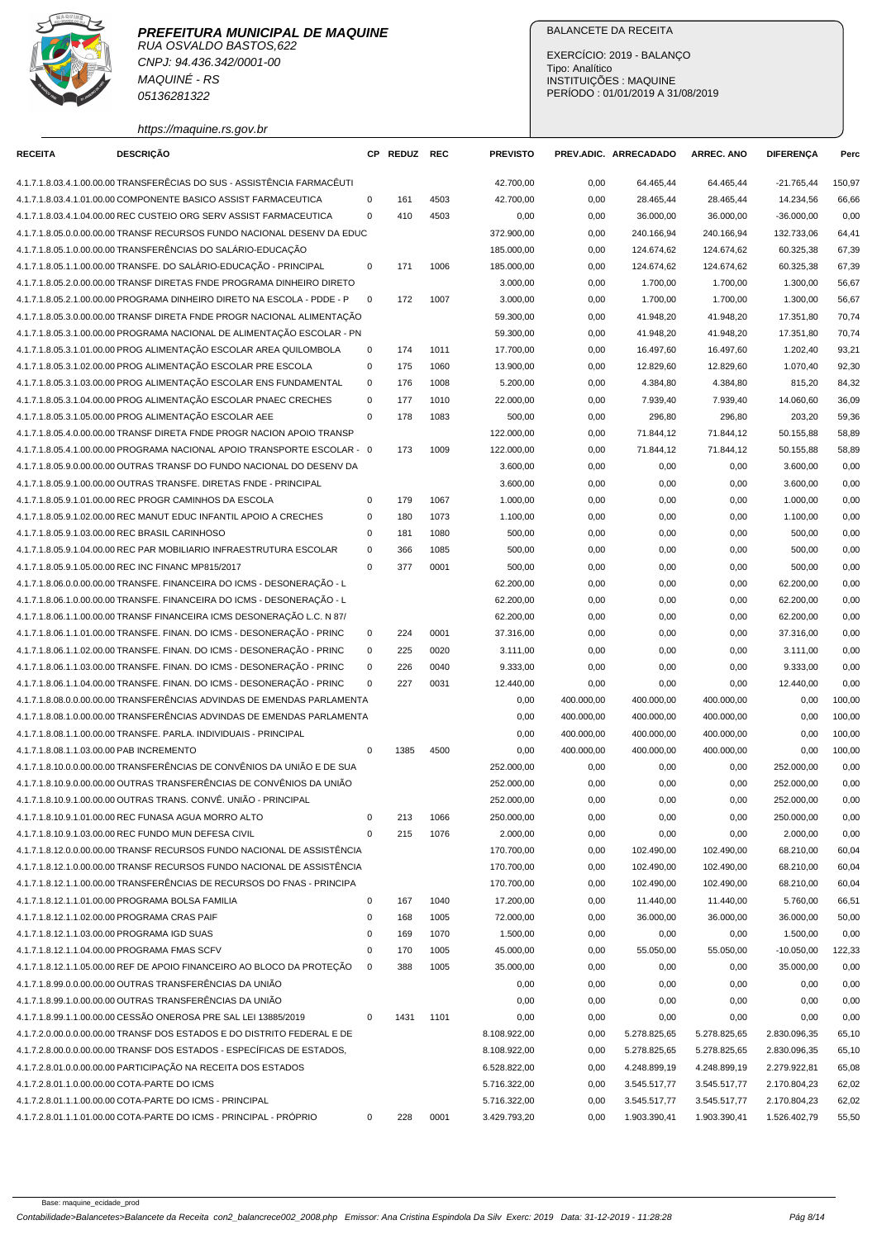

CNPJ: 94.436.342/0001-00 MAQUINÉ - RS 05136281322

https://maquine.rs.gov.br

### BALANCETE DA RECEITA

EXERCÍCIO: 2019 - BALANÇO Tipo: Analítico INSTITUIÇÕES : MAQUINE PERÍODO : 01/01/2019 A 31/08/2019

| 4.1.7.1.8.03.4.1.00.00.00 TRANSFERÊCIAS DO SUS - ASSISTÊNCIA FARMACÊUTI  |             |      |      | 42.700,00    | 0,00       | 64.465,44    | 64.465,44    | $-21.765,44$ | 150,97 |
|--------------------------------------------------------------------------|-------------|------|------|--------------|------------|--------------|--------------|--------------|--------|
| 4.1.7.1.8.03.4.1.01.00.00 COMPONENTE BASICO ASSIST FARMACEUTICA          | 0           | 161  | 4503 | 42.700,00    | 0,00       | 28.465,44    | 28.465,44    | 14.234,56    | 66,66  |
| 4.1.7.1.8.03.4.1.04.00.00 REC CUSTEIO ORG SERV ASSIST FARMACEUTICA       | $\mathbf 0$ | 410  | 4503 | 0,00         | 0,00       | 36.000,00    | 36.000,00    | $-36.000,00$ | 0,00   |
| 4.1.7.1.8.05.0.0.00.00.00 TRANSF RECURSOS FUNDO NACIONAL DESENV DA EDUC  |             |      |      | 372.900,00   | 0,00       | 240.166,94   | 240.166,94   | 132.733,06   | 64,41  |
| 4.1.7.1.8.05.1.0.00.00.00 TRANSFERÊNCIAS DO SALÁRIO-EDUCAÇÃO             |             |      |      | 185.000,00   | 0,00       | 124.674,62   | 124.674,62   | 60.325,38    | 67,39  |
| 4.1.7.1.8.05.1.1.00.00.00 TRANSFE. DO SALÁRIO-EDUCAÇÃO - PRINCIPAL       | 0           | 171  | 1006 | 185.000,00   | 0,00       | 124.674,62   | 124.674,62   | 60.325,38    | 67,39  |
| 4.1.7.1.8.05.2.0.00.00.00 TRANSF DIRETAS FNDE PROGRAMA DINHEIRO DIRETO   |             |      |      | 3.000,00     | 0,00       | 1.700,00     | 1.700,00     | 1.300,00     | 56,67  |
| 4.1.7.1.8.05.2.1.00.00.00 PROGRAMA DINHEIRO DIRETO NA ESCOLA - PDDE - P  | $\mathbf 0$ | 172  | 1007 | 3.000,00     | 0,00       | 1.700,00     | 1.700,00     | 1.300,00     | 56,67  |
| 4.1.7.1.8.05.3.0.00.00.00 TRANSF DIRETA FNDE PROGR NACIONAL ALIMENTAÇÃO  |             |      |      | 59.300,00    | 0,00       | 41.948,20    | 41.948,20    | 17.351,80    | 70,74  |
| 4.1.7.1.8.05.3.1.00.00.00 PROGRAMA NACIONAL DE ALIMENTACÃO ESCOLAR - PN  |             |      |      | 59.300,00    | 0,00       | 41.948,20    | 41.948,20    | 17.351,80    | 70,74  |
| 4.1.7.1.8.05.3.1.01.00.00 PROG ALIMENTAÇÃO ESCOLAR AREA QUILOMBOLA       | 0           | 174  | 1011 | 17.700,00    | 0,00       | 16.497,60    | 16.497,60    | 1.202,40     | 93,21  |
| 4.1.7.1.8.05.3.1.02.00.00 PROG ALIMENTAÇÃO ESCOLAR PRE ESCOLA            | 0           | 175  | 1060 | 13.900,00    | 0,00       | 12.829,60    | 12.829,60    | 1.070,40     | 92,30  |
| 4.1.7.1.8.05.3.1.03.00.00 PROG ALIMENTAÇÃO ESCOLAR ENS FUNDAMENTAL       | 0           | 176  | 1008 | 5.200,00     | 0,00       | 4.384,80     | 4.384,80     | 815,20       | 84,32  |
| 4.1.7.1.8.05.3.1.04.00.00 PROG ALIMENTAÇÃO ESCOLAR PNAEC CRECHES         | $\mathbf 0$ | 177  | 1010 | 22.000,00    | 0,00       | 7.939,40     | 7.939,40     | 14.060,60    | 36,09  |
| 4.1.7.1.8.05.3.1.05.00.00 PROG ALIMENTAÇÃO ESCOLAR AEE                   | 0           | 178  | 1083 | 500,00       | 0,00       | 296,80       | 296,80       | 203,20       | 59,36  |
| 4.1.7.1.8.05.4.0.00.00.00 TRANSF DIRETA FNDE PROGR NACION APOIO TRANSP   |             |      |      | 122.000,00   | 0,00       | 71.844,12    | 71.844,12    | 50.155,88    | 58,89  |
| 4.1.7.1.8.05.4.1.00.00.00 PROGRAMA NACIONAL APOIO TRANSPORTE ESCOLAR - 0 |             | 173  | 1009 | 122.000,00   | 0,00       | 71.844,12    | 71.844,12    | 50.155,88    | 58,89  |
| 4.1.7.1.8.05.9.0.00.00.00 OUTRAS TRANSF DO FUNDO NACIONAL DO DESENV DA   |             |      |      | 3.600,00     | 0,00       | 0,00         | 0,00         | 3.600,00     | 0,00   |
| 4.1.7.1.8.05.9.1.00.00.00 OUTRAS TRANSFE. DIRETAS FNDE - PRINCIPAL       |             |      |      | 3.600,00     | 0,00       | 0,00         | 0,00         | 3.600,00     | 0,00   |
| 4.1.7.1.8.05.9.1.01.00.00 REC PROGR CAMINHOS DA ESCOLA                   | 0           | 179  | 1067 | 1.000,00     | 0,00       | 0,00         | 0,00         | 1.000,00     | 0,00   |
| 4.1.7.1.8.05.9.1.02.00.00 REC MANUT EDUC INFANTIL APOIO A CRECHES        | 0           | 180  | 1073 | 1.100,00     | 0,00       | 0,00         | 0,00         | 1.100,00     | 0,00   |
| 4.1.7.1.8.05.9.1.03.00.00 REC BRASIL CARINHOSO                           | 0           | 181  | 1080 | 500,00       | 0,00       | 0,00         | 0,00         | 500,00       | 0,00   |
| 4.1.7.1.8.05.9.1.04.00.00 REC PAR MOBILIARIO INFRAESTRUTURA ESCOLAR      | $\mathbf 0$ | 366  | 1085 | 500,00       | 0,00       | 0,00         | 0,00         | 500,00       | 0,00   |
| 4.1.7.1.8.05.9.1.05.00.00 REC INC FINANC MP815/2017                      | 0           | 377  | 0001 | 500,00       | 0,00       | 0,00         | 0,00         | 500,00       | 0,00   |
| 4.1.7.1.8.06.0.0.00.00.00 TRANSFE. FINANCEIRA DO ICMS - DESONERAÇÃO - L  |             |      |      | 62.200,00    | 0,00       | 0,00         | 0,00         | 62.200,00    | 0,00   |
| 4.1.7.1.8.06.1.0.00.00.00 TRANSFE. FINANCEIRA DO ICMS - DESONERAÇÃO - L  |             |      |      | 62.200,00    | 0,00       | 0,00         | 0,00         | 62.200,00    | 0,00   |
| 4.1.7.1.8.06.1.1.00.00.00 TRANSF FINANCEIRA ICMS DESONERAÇÃO L.C. N 87/  |             |      |      | 62.200,00    | 0,00       | 0,00         | 0,00         | 62.200,00    | 0,00   |
| 4.1.7.1.8.06.1.1.01.00.00 TRANSFE. FINAN. DO ICMS - DESONERAÇÃO - PRINC  | 0           | 224  | 0001 | 37.316,00    | 0,00       | 0,00         | 0,00         | 37.316,00    | 0,00   |
| 4.1.7.1.8.06.1.1.02.00.00 TRANSFE. FINAN. DO ICMS - DESONERAÇÃO - PRINC  | 0           | 225  | 0020 | 3.111,00     | 0,00       | 0,00         | 0,00         | 3.111,00     | 0,00   |
| 4.1.7.1.8.06.1.1.03.00.00 TRANSFE. FINAN. DO ICMS - DESONERAÇÃO - PRINC  | 0           | 226  | 0040 | 9.333,00     | 0,00       | 0,00         | 0,00         | 9.333,00     | 0,00   |
| 4.1.7.1.8.06.1.1.04.00.00 TRANSFE. FINAN. DO ICMS - DESONERAÇÃO - PRINC  | 0           | 227  | 0031 | 12.440,00    | 0,00       | 0,00         | 0,00         | 12.440,00    | 0,00   |
| 4.1.7.1.8.08.0.0.00.00.00 TRANSFERÊNCIAS ADVINDAS DE EMENDAS PARLAMENTA  |             |      |      | 0,00         | 400.000,00 | 400.000,00   | 400.000,00   | 0,00         | 100,00 |
| 4.1.7.1.8.08.1.0.00.00.00 TRANSFERÊNCIAS ADVINDAS DE EMENDAS PARLAMENTA  |             |      |      | 0,00         | 400.000,00 | 400.000,00   | 400.000,00   | 0,00         | 100,00 |
| 4.1.7.1.8.08.1.1.00.00.00 TRANSFE, PARLA, INDIVIDUAIS - PRINCIPAL        |             |      |      | 0,00         | 400.000,00 | 400.000,00   | 400.000.00   | 0,00         | 100,00 |
| 4.1.7.1.8.08.1.1.03.00.00 PAB INCREMENTO                                 | $\mathbf 0$ | 1385 | 4500 | 0,00         | 400.000,00 | 400.000,00   | 400.000,00   | 0,00         | 100,00 |
| 4.1.7.1.8.10.0.0.00.00.00 TRANSFERÊNCIAS DE CONVÊNIOS DA UNIÃO E DE SUA  |             |      |      | 252.000,00   | 0,00       | 0,00         | 0,00         | 252.000,00   | 0,00   |
| 4.1.7.1.8.10.9.0.00.00.00 OUTRAS TRANSFERÊNCIAS DE CONVÊNIOS DA UNIÃO    |             |      |      | 252.000,00   | 0,00       | 0,00         | 0,00         | 252.000,00   | 0,00   |
| 4.1.7.1.8.10.9.1.00.00.00 OUTRAS TRANS. CONVÊ. UNIÃO - PRINCIPAL         |             |      |      | 252.000,00   | 0,00       | 0,00         | 0,00         | 252.000,00   | 0,00   |
| 4.1.7.1.8.10.9.1.01.00.00 REC FUNASA AGUA MORRO ALTO                     | 0           | 213  | 1066 | 250.000,00   | 0,00       | 0,00         | 0,00         | 250.000,00   | 0,00   |
| 4.1.7.1.8.10.9.1.03.00.00 REC FUNDO MUN DEFESA CIVIL                     | 0           | 215  | 1076 | 2.000,00     | 0,00       | 0,00         | 0,00         | 2.000,00     | 0,00   |
| 4.1.7.1.8.12.0.0.00.00.00 TRANSF RECURSOS FUNDO NACIONAL DE ASSISTÊNCIA  |             |      |      | 170.700,00   | 0,00       | 102.490,00   | 102.490,00   | 68.210,00    | 60,04  |
| 4.1.7.1.8.12.1.0.00.00.00 TRANSF RECURSOS FUNDO NACIONAL DE ASSISTÊNCIA  |             |      |      | 170.700,00   | 0,00       | 102.490,00   | 102.490,00   | 68.210,00    | 60,04  |
| 4.1.7.1.8.12.1.1.00.00.00 TRANSFERÊNCIAS DE RECURSOS DO FNAS - PRINCIPA  |             |      |      | 170.700,00   | 0,00       | 102.490,00   | 102.490,00   | 68.210,00    | 60,04  |
| 4.1.7.1.8.12.1.1.01.00.00 PROGRAMA BOLSA FAMILIA                         | 0           | 167  | 1040 | 17.200,00    | 0,00       | 11.440,00    | 11.440,00    | 5.760,00     | 66,51  |
| 4.1.7.1.8.12.1.1.02.00.00 PROGRAMA CRAS PAIF                             | 0           | 168  | 1005 | 72.000,00    | 0,00       | 36.000,00    | 36.000,00    | 36.000,00    | 50,00  |
| 4.1.7.1.8.12.1.1.03.00.00 PROGRAMA IGD SUAS                              | 0           | 169  | 1070 | 1.500,00     | 0,00       | 0,00         | 0,00         | 1.500,00     | 0,00   |
| 4.1.7.1.8.12.1.1.04.00.00 PROGRAMA FMAS SCFV                             | 0           | 170  | 1005 | 45.000,00    | 0,00       | 55.050,00    | 55.050,00    | $-10.050,00$ | 122,33 |
| 4.1.7.1.8.12.1.1.05.00.00 REF DE APOIO FINANCEIRO AO BLOCO DA PROTEÇÃO   | 0           | 388  | 1005 | 35.000,00    | 0,00       | 0,00         | 0,00         | 35.000,00    | 0,00   |
| 4.1.7.1.8.99.0.0.00.00.00 OUTRAS TRANSFERÊNCIAS DA UNIÃO                 |             |      |      | 0,00         | 0,00       | 0,00         | 0,00         | 0,00         | 0,00   |
| 4.1.7.1.8.99.1.0.00.00.00 OUTRAS TRANSFERÊNCIAS DA UNIÃO                 |             |      |      | 0,00         | 0,00       | 0,00         | 0,00         | 0,00         | 0,00   |
| 4.1.7.1.8.99.1.1.00.00.00 CESSÃO ONEROSA PRE SAL LEI 13885/2019          | 0           | 1431 | 1101 | 0,00         | 0,00       | 0,00         | 0,00         | 0,00         | 0,00   |
| 4.1.7.2.0.00.0.0.00.00.00 TRANSF DOS ESTADOS E DO DISTRITO FEDERAL E DE  |             |      |      | 8.108.922,00 | 0,00       | 5.278.825,65 | 5.278.825,65 | 2.830.096,35 | 65,10  |
| 4.1.7.2.8.00.0.0.00.00.00 TRANSF DOS ESTADOS - ESPECÍFICAS DE ESTADOS,   |             |      |      | 8.108.922,00 | 0,00       | 5.278.825,65 | 5.278.825,65 | 2.830.096,35 | 65,10  |
| 4.1.7.2.8.01.0.0.00.00.00 PARTICIPAÇÃO NA RECEITA DOS ESTADOS            |             |      |      | 6.528.822,00 | 0,00       | 4.248.899,19 | 4.248.899,19 | 2.279.922,81 | 65,08  |
| 4.1.7.2.8.01.1.0.00.00.00 COTA-PARTE DO ICMS                             |             |      |      | 5.716.322,00 | 0,00       | 3.545.517,77 | 3.545.517,77 | 2.170.804,23 | 62,02  |
| 4.1.7.2.8.01.1.1.00.00.00 COTA-PARTE DO ICMS - PRINCIPAL                 |             |      |      | 5.716.322,00 | 0,00       | 3.545.517,77 | 3.545.517,77 | 2.170.804,23 | 62,02  |

4.1.7.2.8.01.1.1.01.00.00 COTA-PARTE DO ICMS - PRINCIPAL - PRÓPRIO 0 228 0001 3.429.793,20 0,00 1.903.390,41 1.903.390,41 1.526.402,79 55,50

**RECEITA DESCRIÇÃO CP REDUZ REC PREVISTO PREV.ADIC. ARRECADADO ARREC. ANO DIFERENÇA Perc**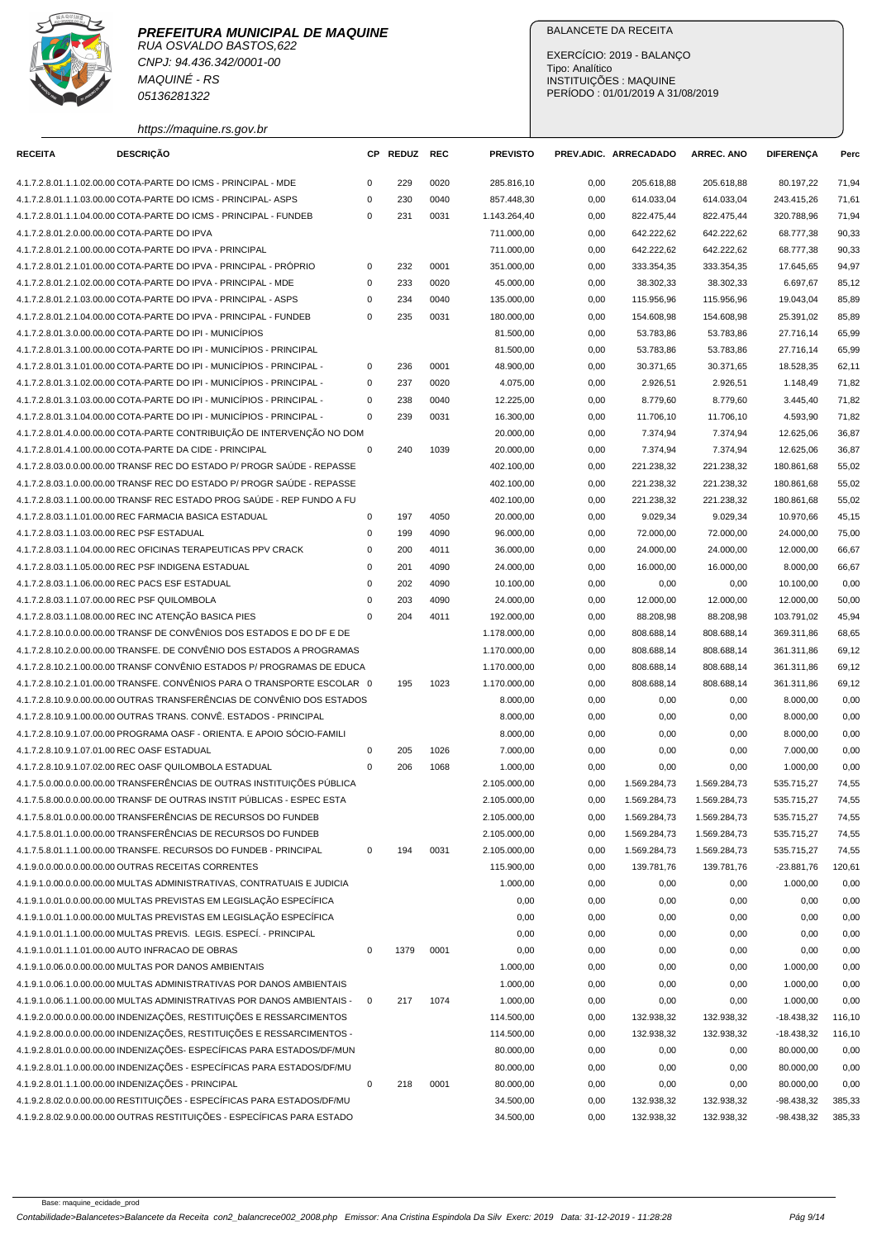

CNPJ: 94.436.342/0001-00 MAQUINÉ - RS 05136281322

# BALANCETE DA RECEITA

EXERCÍCIO: 2019 - BALANÇO Tipo: Analítico INSTITUIÇÕES : MAQUINE PERÍODO : 01/01/2019 A 31/08/2019

| https://maquine.rs.gov.br |  |
|---------------------------|--|
|                           |  |

| <b>RECEITA</b> | <b>DESCRIÇÃO</b>                                                         | СP          | <b>REDUZ</b> | REC  | <b>PREVISTO</b> |      | PREV.ADIC. ARRECADADO | <b>ARREC. ANO</b> | DIFERENÇA    | Perc   |
|----------------|--------------------------------------------------------------------------|-------------|--------------|------|-----------------|------|-----------------------|-------------------|--------------|--------|
|                | 4.1.7.2.8.01.1.1.02.00.00 COTA-PARTE DO ICMS - PRINCIPAL - MDE           | 0           | 229          | 0020 | 285.816,10      | 0,00 | 205.618,88            | 205.618,88        | 80.197,22    | 71,94  |
|                | 4.1.7.2.8.01.1.1.03.00.00 COTA-PARTE DO ICMS - PRINCIPAL- ASPS           | $\mathbf 0$ | 230          | 0040 | 857.448,30      | 0,00 | 614.033,04            | 614.033,04        | 243.415,26   | 71,61  |
|                | 4.1.7.2.8.01.1.1.04.00.00 COTA-PARTE DO ICMS - PRINCIPAL - FUNDEB        | $\mathbf 0$ | 231          | 0031 | 1.143.264,40    | 0,00 | 822.475,44            | 822.475,44        | 320.788,96   | 71,94  |
|                | 4.1.7.2.8.01.2.0.00.00.00 COTA-PARTE DO IPVA                             |             |              |      | 711.000,00      | 0,00 | 642.222,62            | 642.222,62        | 68.777,38    | 90,33  |
|                | 4.1.7.2.8.01.2.1.00.00.00 COTA-PARTE DO IPVA - PRINCIPAL                 |             |              |      | 711.000,00      | 0,00 | 642.222,62            | 642.222,62        | 68.777,38    | 90,33  |
|                | 4.1.7.2.8.01.2.1.01.00.00 COTA-PARTE DO IPVA - PRINCIPAL - PRÓPRIO       | 0           | 232          | 0001 | 351.000,00      | 0,00 | 333.354,35            | 333.354,35        | 17.645,65    | 94,97  |
|                | 4.1.7.2.8.01.2.1.02.00.00 COTA-PARTE DO IPVA - PRINCIPAL - MDE           | 0           | 233          | 0020 | 45.000,00       | 0,00 | 38.302,33             | 38.302,33         | 6.697,67     | 85,12  |
|                | 4.1.7.2.8.01.2.1.03.00.00 COTA-PARTE DO IPVA - PRINCIPAL - ASPS          | $\mathsf 0$ | 234          | 0040 | 135.000,00      | 0,00 | 115.956,96            | 115.956,96        | 19.043,04    | 85,89  |
|                | 4.1.7.2.8.01.2.1.04.00.00 COTA-PARTE DO IPVA - PRINCIPAL - FUNDEB        | 0           | 235          | 0031 | 180.000,00      | 0,00 | 154.608,98            | 154.608,98        | 25.391,02    | 85,89  |
|                | 4.1.7.2.8.01.3.0.00.00.00 COTA-PARTE DO IPI - MUNICÍPIOS                 |             |              |      | 81.500,00       | 0,00 | 53.783,86             | 53.783,86         | 27.716,14    | 65,99  |
|                | 4.1.7.2.8.01.3.1.00.00.00 COTA-PARTE DO IPI - MUNICÍPIOS - PRINCIPAL     |             |              |      | 81.500,00       | 0,00 | 53.783,86             | 53.783,86         | 27.716,14    | 65,99  |
|                | 4.1.7.2.8.01.3.1.01.00.00 COTA-PARTE DO IPI - MUNICIPIOS - PRINCIPAL -   | 0           | 236          | 0001 | 48.900,00       | 0,00 | 30.371,65             | 30.371,65         | 18.528,35    | 62,11  |
|                | 4.1.7.2.8.01.3.1.02.00.00 COTA-PARTE DO IPI - MUNICIPIOS - PRINCIPAL -   | 0           | 237          | 0020 | 4.075,00        | 0,00 | 2.926,51              | 2.926,51          | 1.148,49     | 71,82  |
|                | 4.1.7.2.8.01.3.1.03.00.00 COTA-PARTE DO IPI - MUNICIPIOS - PRINCIPAL -   | 0           | 238          | 0040 | 12.225,00       | 0,00 | 8.779,60              | 8.779,60          | 3.445,40     | 71,82  |
|                | 4.1.7.2.8.01.3.1.04.00.00 COTA-PARTE DO IPI - MUNICÍPIOS - PRINCIPAL -   | $\mathbf 0$ | 239          | 0031 | 16.300,00       | 0,00 | 11.706,10             | 11.706,10         | 4.593,90     | 71,82  |
|                | 4.1.7.2.8.01.4.0.00.00.00 COTA-PARTE CONTRIBUIÇÃO DE INTERVENÇÃO NO DOM  |             |              |      | 20.000,00       | 0,00 | 7.374,94              | 7.374,94          | 12.625,06    | 36,87  |
|                | 4.1.7.2.8.01.4.1.00.00.00 COTA-PARTE DA CIDE - PRINCIPAL                 | $\mathsf 0$ | 240          | 1039 | 20.000,00       | 0,00 | 7.374,94              | 7.374,94          | 12.625,06    | 36,87  |
|                | 4.1.7.2.8.03.0.0.00.00.00 TRANSF REC DO ESTADO P/ PROGR SAÚDE - REPASSE  |             |              |      | 402.100,00      | 0,00 | 221.238,32            | 221.238,32        | 180.861,68   | 55,02  |
|                | 4.1.7.2.8.03.1.0.00.00.00 TRANSF REC DO ESTADO P/ PROGR SAÚDE - REPASSE  |             |              |      | 402.100,00      | 0,00 | 221.238,32            | 221.238,32        | 180.861,68   | 55,02  |
|                | 4.1.7.2.8.03.1.1.00.00.00 TRANSF REC ESTADO PROG SAÚDE - REP FUNDO A FU  |             |              |      | 402.100,00      | 0,00 | 221.238,32            | 221.238,32        | 180.861,68   | 55,02  |
|                | 4.1.7.2.8.03.1.1.01.00.00 REC FARMACIA BASICA ESTADUAL                   | $\mathsf 0$ | 197          | 4050 | 20.000,00       | 0,00 | 9.029,34              | 9.029,34          | 10.970,66    | 45,15  |
|                | 4.1.7.2.8.03.1.1.03.00.00 REC PSF ESTADUAL                               | 0           | 199          | 4090 | 96.000,00       | 0,00 | 72.000,00             | 72.000,00         | 24.000,00    | 75,00  |
|                | 4.1.7.2.8.03.1.1.04.00.00 REC OFICINAS TERAPEUTICAS PPV CRACK            | 0           | 200          | 4011 | 36.000,00       | 0,00 | 24.000,00             | 24.000,00         | 12.000,00    | 66,67  |
|                | 4.1.7.2.8.03.1.1.05.00.00 REC PSF INDIGENA ESTADUAL                      | 0           | 201          | 4090 | 24.000,00       | 0,00 | 16.000,00             | 16.000,00         | 8.000,00     | 66,67  |
|                | 4.1.7.2.8.03.1.1.06.00.00 REC PACS ESF ESTADUAL                          | 0           | 202          | 4090 | 10.100,00       | 0,00 | 0,00                  | 0,00              | 10.100,00    | 0,00   |
|                | 4.1.7.2.8.03.1.1.07.00.00 REC PSF QUILOMBOLA                             | $\Omega$    | 203          | 4090 | 24.000,00       | 0,00 | 12.000,00             | 12.000,00         | 12.000,00    | 50,00  |
|                | 4.1.7.2.8.03.1.1.08.00.00 REC INC ATENÇÃO BASICA PIES                    | 0           | 204          | 4011 | 192.000,00      | 0,00 | 88.208,98             | 88.208,98         | 103.791,02   | 45,94  |
|                | 4.1.7.2.8.10.0.0.00.00.00 TRANSF DE CONVÊNIOS DOS ESTADOS E DO DF E DE   |             |              |      | 1.178.000,00    | 0,00 | 808.688,14            | 808.688,14        | 369.311,86   | 68,65  |
|                | 4.1.7.2.8.10.2.0.00.00.00 TRANSFE. DE CONVÊNIO DOS ESTADOS A PROGRAMAS   |             |              |      | 1.170.000,00    | 0,00 | 808.688,14            | 808.688,14        | 361.311,86   | 69,12  |
|                | 4.1.7.2.8.10.2.1.00.00.00 TRANSF CONVÊNIO ESTADOS P/ PROGRAMAS DE EDUCA  |             |              |      | 1.170.000,00    | 0,00 | 808.688,14            | 808.688,14        | 361.311,86   | 69,12  |
|                | 4.1.7.2.8.10.2.1.01.00.00 TRANSFE. CONVÊNIOS PARA O TRANSPORTE ESCOLAR 0 |             | 195          | 1023 | 1.170.000,00    | 0,00 | 808.688,14            | 808.688,14        | 361.311,86   | 69,12  |
|                | 4.1.7.2.8.10.9.0.00.00.00 OUTRAS TRANSFERÊNCIAS DE CONVÊNIO DOS ESTADOS  |             |              |      | 8.000,00        | 0,00 | 0,00                  | 0,00              | 8.000,00     | 0,00   |
|                | 4.1.7.2.8.10.9.1.00.00.00 OUTRAS TRANS. CONVË. ESTADOS - PRINCIPAL       |             |              |      | 8.000,00        | 0,00 | 0,00                  | 0,00              | 8.000,00     | 0,00   |
|                | 4.1.7.2.8.10.9.1.07.00.00 PROGRAMA OASF - ORIENTA. E APOIO SÓCIO-FAMILI  |             |              |      | 8.000,00        | 0,00 | 0,00                  | 0,00              | 8.000,00     | 0,00   |
|                | 4.1.7.2.8.10.9.1.07.01.00 REC OASF ESTADUAL                              | 0           | 205          | 1026 | 7.000,00        | 0,00 | 0,00                  | 0,00              | 7.000,00     | 0,00   |
|                | 4.1.7.2.8.10.9.1.07.02.00 REC OASF QUILOMBOLA ESTADUAL                   | $\mathbf 0$ | 206          | 1068 | 1.000,00        | 0,00 | 0,00                  | 0,00              | 1.000,00     | 0,00   |
|                | 4.1.7.5.0.00.0.0.00.00.00 TRANSFERÊNCIAS DE OUTRAS INSTITUIÇÕES PÚBLICA  |             |              |      | 2.105.000,00    | 0,00 | 1.569.284,73          | 1.569.284,73      | 535.715,27   | 74,55  |
|                | 4.1.7.5.8.00.0.0.00.00.00 TRANSF DE OUTRAS INSTIT PÚBLICAS - ESPEC ESTA  |             |              |      | 2.105.000,00    | 0,00 | 1.569.284,73          | 1.569.284,73      | 535.715,27   | 74,55  |
|                | 4.1.7.5.8.01.0.0.00.00.00 TRANSFERENCIAS DE RECURSOS DO FUNDEB           |             |              |      | 2.105.000,00    | 0,00 | 1.569.284,73          | 1.569.284,73      | 535.715,27   | 74,55  |
|                | 4.1.7.5.8.01.1.0.00.00.00 TRANSFERÊNCIAS DE RECURSOS DO FUNDEB           |             |              |      | 2.105.000,00    | 0,00 | 1.569.284,73          | 1.569.284,73      | 535.715,27   | 74,55  |
|                | 4.1.7.5.8.01.1.1.00.00.00 TRANSFE. RECURSOS DO FUNDEB - PRINCIPAL        | 0           | 194          | 0031 | 2.105.000,00    | 0,00 | 1.569.284,73          | 1.569.284,73      | 535.715,27   | 74,55  |
|                | 4.1.9.0.0.00.0.0.00.00.00 OUTRAS RECEITAS CORRENTES                      |             |              |      | 115.900,00      | 0,00 | 139.781,76            | 139.781,76        | -23.881,76   | 120,61 |
|                | 4.1.9.1.0.00.0.0.00.00.00 MULTAS ADMINISTRATIVAS, CONTRATUAIS E JUDICIA  |             |              |      | 1.000,00        | 0,00 | 0,00                  | 0,00              | 1.000,00     | 0,00   |
|                | 4.1.9.1.0.01.0.0.00.00.00 MULTAS PREVISTAS EM LEGISLAÇÃO ESPECÍFICA      |             |              |      | 0,00            | 0,00 | 0,00                  | 0,00              | 0,00         | 0,00   |
|                | 4.1.9.1.0.01.1.0.00.00.00 MULTAS PREVISTAS EM LEGISLAÇÃO ESPECÍFICA      |             |              |      | 0,00            | 0,00 | 0,00                  | 0,00              | 0,00         | 0,00   |
|                | 4.1.9.1.0.01.1.1.00.00.00 MULTAS PREVIS. LEGIS. ESPECÍ. - PRINCIPAL      |             |              |      | 0,00            | 0,00 | 0,00                  | 0,00              | 0,00         | 0,00   |
|                | 4.1.9.1.0.01.1.1.01.00.00 AUTO INFRACAO DE OBRAS                         | $\pmb{0}$   | 1379         | 0001 | 0,00            | 0,00 | 0,00                  | 0,00              | 0,00         | 0,00   |
|                | 4.1.9.1.0.06.0.0.00.00.00 MULTAS POR DANOS AMBIENTAIS                    |             |              |      | 1.000,00        | 0,00 | 0,00                  | 0,00              | 1.000,00     | 0,00   |
|                | 4.1.9.1.0.06.1.0.00.00.00 MULTAS ADMINISTRATIVAS POR DANOS AMBIENTAIS    |             |              |      | 1.000,00        | 0,00 | 0,00                  | 0,00              | 1.000,00     | 0,00   |
|                | 4.1.9.1.0.06.1.1.00.00.00 MULTAS ADMINISTRATIVAS POR DANOS AMBIENTAIS -  | 0           | 217          | 1074 | 1.000,00        | 0,00 | 0,00                  | 0,00              | 1.000,00     | 0,00   |
|                | 4.1.9.2.0.00.0.0.00.00.00 INDENIZAÇÕES, RESTITUIÇÕES E RESSARCIMENTOS    |             |              |      | 114.500,00      | 0,00 | 132.938,32            | 132.938,32        | $-18.438,32$ | 116,10 |
|                | 4.1.9.2.8.00.0.0.00.00.00 INDENIZAÇÕES, RESTITUIÇÕES E RESSARCIMENTOS -  |             |              |      | 114.500,00      | 0,00 | 132.938,32            | 132.938,32        | $-18.438,32$ | 116,10 |
|                | 4.1.9.2.8.01.0.0.00.00.00 INDENIZAÇÕES- ESPECÍFICAS PARA ESTADOS/DF/MUN  |             |              |      | 80.000,00       | 0,00 | 0,00                  | 0,00              | 80.000,00    | 0,00   |
|                | 4.1.9.2.8.01.1.0.00.00.00 INDENIZAÇÕES - ESPECÍFICAS PARA ESTADOS/DF/MU  |             |              |      | 80.000,00       | 0,00 | 0,00                  | 0,00              | 80.000,00    | 0,00   |
|                | 4.1.9.2.8.01.1.1.00.00.00 INDENIZAÇÕES - PRINCIPAL                       | 0           | 218          | 0001 | 80.000,00       | 0,00 | 0,00                  | 0,00              | 80.000,00    | 0,00   |
|                | 4.1.9.2.8.02.0.0.00.00.00 RESTITUIÇÕES - ESPECÍFICAS PARA ESTADOS/DF/MU  |             |              |      | 34.500,00       | 0,00 | 132.938,32            | 132.938,32        | -98.438,32   | 385,33 |
|                | 4.1.9.2.8.02.9.0.00.00.00 OUTRAS RESTITUIÇÕES - ESPECÍFICAS PARA ESTADO  |             |              |      | 34.500,00       | 0,00 | 132.938,32            | 132.938,32        | $-98.438,32$ | 385,33 |
|                |                                                                          |             |              |      |                 |      |                       |                   |              |        |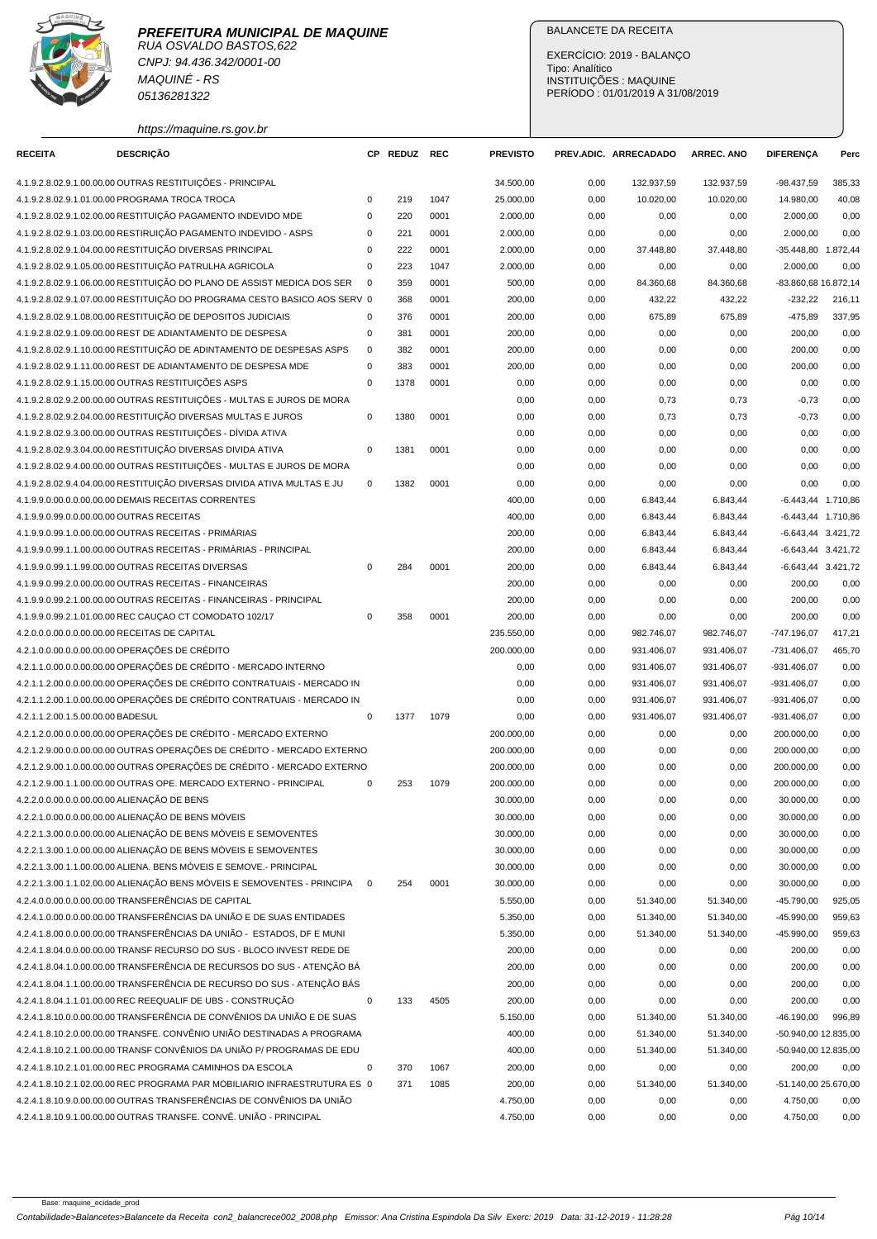

CNPJ: 94.436.342/0001-00 MAQUINÉ - RS 05136281322

https://maquine.rs.gov.br

# BALANCETE DA RECEITA

EXERCÍCIO: 2019 - BALANÇO Tipo: Analítico INSTITUIÇÕES : MAQUINE PERÍODO : 01/01/2019 A 31/08/2019

| <b>RECEITA</b>                    | <b>DESCRIÇÃO</b>                                                                                                                                   |             | CP REDUZ | <b>REC</b> | <b>PREVISTO</b> |              | PREV.ADIC. ARRECADADO  | <b>ARREC. ANO</b>      | <b>DIFERENÇA</b>      | Perc   |
|-----------------------------------|----------------------------------------------------------------------------------------------------------------------------------------------------|-------------|----------|------------|-----------------|--------------|------------------------|------------------------|-----------------------|--------|
|                                   | 4.1.9.2.8.02.9.1.00.00.00 OUTRAS RESTITUIÇÕES - PRINCIPAL                                                                                          |             |          |            | 34.500,00       | 0,00         | 132.937,59             | 132.937,59             | $-98.437,59$          | 385,33 |
|                                   | 4.1.9.2.8.02.9.1.01.00.00 PROGRAMA TROCA TROCA                                                                                                     | $\mathbf 0$ | 219      | 1047       | 25.000,00       | 0,00         | 10.020,00              | 10.020,00              | 14.980,00             | 40,08  |
|                                   | 4.1.9.2.8.02.9.1.02.00.00 RESTITUIÇÃO PAGAMENTO INDEVIDO MDE                                                                                       | $\mathsf 0$ | 220      | 0001       | 2.000,00        | 0,00         | 0,00                   | 0,00                   | 2.000,00              | 0,00   |
|                                   | 4.1.9.2.8.02.9.1.03.00.00 RESTIRUIÇÃO PAGAMENTO INDEVIDO - ASPS                                                                                    | 0           | 221      | 0001       | 2.000,00        | 0,00         | 0,00                   | 0,00                   | 2.000,00              | 0,00   |
|                                   | 4.1.9.2.8.02.9.1.04.00.00 RESTITUIÇÃO DIVERSAS PRINCIPAL                                                                                           | 0           | 222      | 0001       | 2.000,00        | 0,00         | 37.448,80              | 37.448,80              | -35.448,80 1.872,44   |        |
|                                   | 4.1.9.2.8.02.9.1.05.00.00 RESTITUIÇÃO PATRULHA AGRICOLA                                                                                            | $\mathsf 0$ | 223      | 1047       | 2.000,00        | 0,00         | 0,00                   | 0,00                   | 2.000,00              | 0,00   |
|                                   | 4.1.9.2.8.02.9.1.06.00.00 RESTITUIÇÃO DO PLANO DE ASSIST MEDICA DOS SER                                                                            | $\mathbf 0$ | 359      | 0001       | 500,00          | 0,00         | 84.360,68              | 84.360,68              | -83.860,68 16.872,14  |        |
|                                   | 4.1.9.2.8.02.9.1.07.00.00 RESTITUICÃO DO PROGRAMA CESTO BASICO AOS SERV 0                                                                          |             | 368      | 0001       | 200,00          | 0,00         | 432,22                 | 432,22                 | $-232,22$             | 216,11 |
|                                   | 4.1.9.2.8.02.9.1.08.00.00 RESTITUIÇÃO DE DEPOSITOS JUDICIAIS                                                                                       | 0           | 376      | 0001       | 200,00          | 0,00         | 675,89                 | 675,89                 | $-475,89$             | 337,95 |
|                                   | 4.1.9.2.8.02.9.1.09.00.00 REST DE ADIANTAMENTO DE DESPESA                                                                                          | $\mathsf 0$ | 381      | 0001       | 200,00          | 0,00         | 0,00                   | 0,00                   | 200,00                | 0,00   |
|                                   | 4.1.9.2.8.02.9.1.10.00.00 RESTITUIÇÃO DE ADINTAMENTO DE DESPESAS ASPS                                                                              | $\mathbf 0$ | 382      | 0001       | 200,00          | 0,00         | 0,00                   | 0,00                   | 200,00                | 0,00   |
|                                   | 4.1.9.2.8.02.9.1.11.00.00 REST DE ADIANTAMENTO DE DESPESA MDE                                                                                      | $\mathbf 0$ | 383      | 0001       | 200,00          | 0,00         | 0,00                   | 0,00                   | 200,00                | 0,00   |
|                                   | 4.1.9.2.8.02.9.1.15.00.00 OUTRAS RESTITUIÇÕES ASPS                                                                                                 | $\mathbf 0$ | 1378     | 0001       | 0,00            | 0,00         | 0,00                   | 0,00                   | 0,00                  | 0,00   |
|                                   | 4.1.9.2.8.02.9.2.00.00.00 OUTRAS RESTITUIÇÕES - MULTAS E JUROS DE MORA                                                                             |             |          |            | 0,00            | 0,00         | 0,73                   | 0,73                   | $-0,73$               | 0,00   |
|                                   | 4.1.9.2.8.02.9.2.04.00.00 RESTITUIÇÃO DIVERSAS MULTAS E JUROS                                                                                      | $\mathbf 0$ | 1380     | 0001       | 0,00            | 0,00         | 0,73                   | 0,73                   | $-0,73$               | 0,00   |
|                                   | 4.1.9.2.8.02.9.3.00.00.00 OUTRAS RESTITUIÇÕES - DÍVIDA ATIVA                                                                                       |             |          |            | 0,00            | 0,00         | 0,00                   | 0,00                   | 0,00                  | 0,00   |
|                                   | 4.1.9.2.8.02.9.3.04.00.00 RESTITUIÇÃO DIVERSAS DIVIDA ATIVA                                                                                        | $\mathbf 0$ | 1381     | 0001       | 0,00            | 0,00         | 0,00                   | 0,00                   | 0,00                  | 0,00   |
|                                   | 4.1.9.2.8.02.9.4.00.00.00 OUTRAS RESTITUIÇÕES - MULTAS E JUROS DE MORA                                                                             |             |          |            | 0,00            | 0,00         | 0,00                   | 0,00                   | 0,00                  | 0,00   |
|                                   | 4.1.9.2.8.02.9.4.04.00.00 RESTITUIÇÃO DIVERSAS DIVIDA ATIVA MULTAS E JU                                                                            | $\mathbf 0$ | 1382     | 0001       | 0,00            | 0,00         | 0,00                   | 0,00                   | 0,00                  | 0,00   |
|                                   | 4.1.9.9.0.00.0.0.00.00.00 DEMAIS RECEITAS CORRENTES                                                                                                |             |          |            | 400,00          | 0,00         | 6.843,44               | 6.843,44               | $-6.443,44$ 1.710,86  |        |
|                                   | 4.1.9.9.0.99.0.0.00.00.00 OUTRAS RECEITAS                                                                                                          |             |          |            | 400,00          | 0,00         | 6.843,44               | 6.843,44               | -6.443,44 1.710,86    |        |
|                                   | 4.1.9.9.0.99.1.0.00.00.00 OUTRAS RECEITAS - PRIMÁRIAS                                                                                              |             |          |            | 200,00          | 0,00         | 6.843,44               | 6.843,44               | -6.643.44 3.421.72    |        |
|                                   | 4.1.9.9.0.99.1.1.00.00.00 OUTRAS RECEITAS - PRIMÁRIAS - PRINCIPAL                                                                                  |             |          |            | 200,00          | 0,00         | 6.843,44               | 6.843,44               | -6.643,44 3.421,72    |        |
|                                   | 4.1.9.9.0.99.1.1.99.00.00 OUTRAS RECEITAS DIVERSAS                                                                                                 | $\mathbf 0$ | 284      | 0001       | 200,00          | 0,00         | 6.843,44               | 6.843,44               | $-6.643, 44$ 3.421,72 |        |
|                                   | 4.1.9.9.0.99.2.0.00.00.00 OUTRAS RECEITAS - FINANCEIRAS                                                                                            |             |          |            | 200,00          | 0,00         | 0,00                   | 0,00                   | 200,00                | 0,00   |
|                                   | 4.1.9.9.0.99.2.1.00.00.00 OUTRAS RECEITAS - FINANCEIRAS - PRINCIPAL                                                                                |             |          |            | 200,00          | 0,00         | 0,00                   | 0,00                   | 200,00                | 0,00   |
|                                   | 4.1.9.9.0.99.2.1.01.00.00 REC CAUÇAO CT COMODATO 102/17                                                                                            | $\mathbf 0$ | 358      | 0001       | 200,00          | 0,00         | 0,00                   | 0,00                   | 200,00                | 0,00   |
|                                   | 4.2.0.0.0.00.0.0.00.00.00 RECEITAS DE CAPITAL                                                                                                      |             |          |            | 235.550,00      | 0,00         | 982.746,07             | 982.746,07             | $-747.196,07$         | 417,21 |
|                                   | 4.2.1.0.0.00.0.0.00.00.00 OPERAÇÕES DE CRÉDITO                                                                                                     |             |          |            | 200.000,00      | 0,00         | 931.406,07             | 931.406,07             | $-731.406,07$         | 465,70 |
|                                   | 4.2.1.1.0.00.0.0.00.00.00 OPERAÇÕES DE CRÉDITO - MERCADO INTERNO                                                                                   |             |          |            | 0,00            | 0,00         | 931.406,07             | 931.406,07             | -931.406,07           | 0,00   |
|                                   | 4.2.1.1.2.00.0.0.00.00.00 OPERAÇÕES DE CRÉDITO CONTRATUAIS - MERCADO IN                                                                            |             |          |            | 0,00            | 0,00         | 931.406,07             | 931.406,07             | -931.406,07           | 0,00   |
|                                   | 4.2.1.1.2.00.1.0.00.00.00 OPERAÇÕES DE CRÉDITO CONTRATUAIS - MERCADO IN                                                                            |             |          |            | 0,00            | 0,00         | 931.406,07             | 931.406,07             | -931.406,07           | 0,00   |
| 4.2.1.1.2.00.1.5.00.00.00 BADESUL |                                                                                                                                                    | $\mathbf 0$ | 1377     | 1079       | 0,00            | 0,00         | 931.406,07             | 931.406,07             | -931.406,07           | 0,00   |
|                                   | 4.2.1.2.0.00.0.0.00.00.00 OPERAÇÕES DE CRÉDITO - MERCADO EXTERNO                                                                                   |             |          |            | 200.000,00      | 0,00         | 0,00                   | 0,00                   | 200.000,00            | 0,00   |
|                                   | 4.2.1.2.9.00.0.0.00.00.00 OUTRAS OPERAÇÕES DE CRÉDITO - MERCADO EXTERNO                                                                            |             |          |            | 200.000,00      | 0,00         | 0,00                   | 0,00                   | 200.000,00            | 0,00   |
|                                   | 4.2.1.2.9.00.1.0.00.00.00 OUTRAS OPERAÇÕES DE CRÉDITO - MERCADO EXTERNO                                                                            |             |          |            | 200.000,00      | 0,00         | 0,00                   | 0,00                   | 200.000,00            | 0,00   |
|                                   | 4.2.1.2.9.00.1.1.00.00.00 OUTRAS OPE. MERCADO EXTERNO - PRINCIPAL                                                                                  | $\mathbf 0$ | 253      | 1079       | 200.000,00      | 0,00         | 0,00                   | 0,00                   | 200.000,00            | 0,00   |
|                                   | 4.2.2.0.0.00.0.0.00.00.00 ALIENAÇÃO DE BENS                                                                                                        |             |          |            | 30.000,00       | 0,00         | 0,00                   | 0,00                   | 30.000,00             | 0,00   |
|                                   | 4.2.2.1.0.00.0.0.00.00.00 ALIENAÇÃO DE BENS MÓVEIS                                                                                                 |             |          |            | 30.000,00       | 0,00         | 0,00                   | 0,00                   | 30.000,00             | 0,00   |
|                                   | 4.2.2.1.3.00.0.0.00.00.00 ALIENAÇÃO DE BENS MÓVEIS E SEMOVENTES                                                                                    |             |          |            | 30.000,00       | 0,00         | 0,00                   | 0,00                   | 30.000,00             | 0,00   |
|                                   | 4.2.2.1.3.00.1.0.00.00.00 ALIENAÇÃO DE BENS MÓVEIS E SEMOVENTES                                                                                    |             |          |            | 30.000,00       | 0,00         | 0,00                   | 0,00                   | 30.000,00             | 0,00   |
|                                   | 4.2.2.1.3.00.1.1.00.00.00 ALIENA. BENS MÓVEIS E SEMOVE.- PRINCIPAL                                                                                 |             |          |            | 30.000,00       | 0,00         | 0,00                   | 0,00                   | 30.000,00             | 0,00   |
|                                   | 4.2.2.1.3.00.1.1.02.00.00 ALIENAÇÃO BENS MÓVEIS E SEMOVENTES - PRINCIPA                                                                            | $\mathbf 0$ | 254      | 0001       | 30.000,00       | 0,00         | 0,00                   | 0,00                   | 30.000,00             | 0,00   |
|                                   | 4.2.4.0.0.00.0.0.00.00.00 TRANSFERÊNCIAS DE CAPITAL                                                                                                |             |          |            | 5.550,00        | 0,00         | 51.340,00              | 51.340,00              | $-45.790,00$          | 925,05 |
|                                   | 4.2.4.1.0.00.0.0.00.00.00 TRANSFERÊNCIAS DA UNIÃO E DE SUAS ENTIDADES                                                                              |             |          |            | 5.350,00        | 0,00         | 51.340,00              | 51.340,00              | $-45.990,00$          | 959,63 |
|                                   | 4.2.4.1.8.00.0.0.00.00.00 TRANSFERÊNCIAS DA UNIÃO - ESTADOS. DF E MUNI                                                                             |             |          |            | 5.350,00        | 0,00         | 51.340,00              | 51.340,00              | $-45.990,00$          | 959,63 |
|                                   | 4.2.4.1.8.04.0.0.00.00.00 TRANSF RECURSO DO SUS - BLOCO INVEST REDE DE                                                                             |             |          |            | 200,00          | 0,00         | 0,00                   | 0,00                   | 200,00                | 0,00   |
|                                   | 4.2.4.1.8.04.1.0.00.00.00 TRANSFERÊNCIA DE RECURSOS DO SUS - ATENÇÃO BÁ                                                                            |             |          |            | 200,00          | 0,00         | 0,00                   | 0,00                   | 200,00                | 0,00   |
|                                   | 4.2.4.1.8.04.1.1.00.00.00 TRANSFERÊNCIA DE RECURSO DO SUS - ATENÇÃO BÁS                                                                            |             |          |            | 200,00          | 0,00         | 0,00                   | 0,00                   | 200,00                | 0,00   |
|                                   | 4.2.4.1.8.04.1.1.01.00.00 REC REEQUALIF DE UBS - CONSTRUÇÃO                                                                                        | $\mathbf 0$ | 133      | 4505       | 200,00          | 0,00         | 0,00                   | 0,00                   | 200,00                | 0,00   |
|                                   | 4.2.4.1.8.10.0.0.00.00.00 TRANSFERÊNCIA DE CONVÊNIOS DA UNIÃO E DE SUAS                                                                            |             |          |            | 5.150,00        |              |                        |                        | $-46.190,00$          | 996,89 |
|                                   | 4.2.4.1.8.10.2.0.00.00.00 TRANSFE. CONVÊNIO UNIÃO DESTINADAS A PROGRAMA                                                                            |             |          |            | 400,00          | 0,00<br>0,00 | 51.340,00<br>51.340,00 | 51.340,00<br>51.340,00 | -50.940,00 12.835,00  |        |
|                                   | 4.2.4.1.8.10.2.1.00.00.00 TRANSF CONVÊNIOS DA UNIÃO P/ PROGRAMAS DE EDU                                                                            |             |          |            | 400,00          | 0,00         | 51.340,00              | 51.340,00              | -50.940,00 12.835,00  |        |
|                                   | 4.2.4.1.8.10.2.1.01.00.00 REC PROGRAMA CAMINHOS DA ESCOLA                                                                                          | $\pmb{0}$   | 370      | 1067       | 200,00          | 0,00         |                        |                        |                       | 0,00   |
|                                   |                                                                                                                                                    |             |          |            |                 |              | 0,00                   | 0,00                   | 200,00                |        |
|                                   | 4.2.4.1.8.10.2.1.02.00.00 REC PROGRAMA PAR MOBILIARIO INFRAESTRUTURA ES 0<br>4.2.4.1.8.10.9.0.00.00.00 OUTRAS TRANSFERÊNCIAS DE CONVÊNIOS DA UNIÃO |             | 371      | 1085       | 200,00          | 0,00         | 51.340,00              | 51.340,00              | -51.140,00 25.670,00  |        |
|                                   |                                                                                                                                                    |             |          |            | 4.750,00        | 0,00         | 0,00                   | 0,00                   | 4.750,00              | 0,00   |
|                                   | 4.2.4.1.8.10.9.1.00.00.00 OUTRAS TRANSFE. CONVÊ. UNIÃO - PRINCIPAL                                                                                 |             |          |            | 4.750,00        | 0,00         | 0,00                   | 0,00                   | 4.750,00              | 0,00   |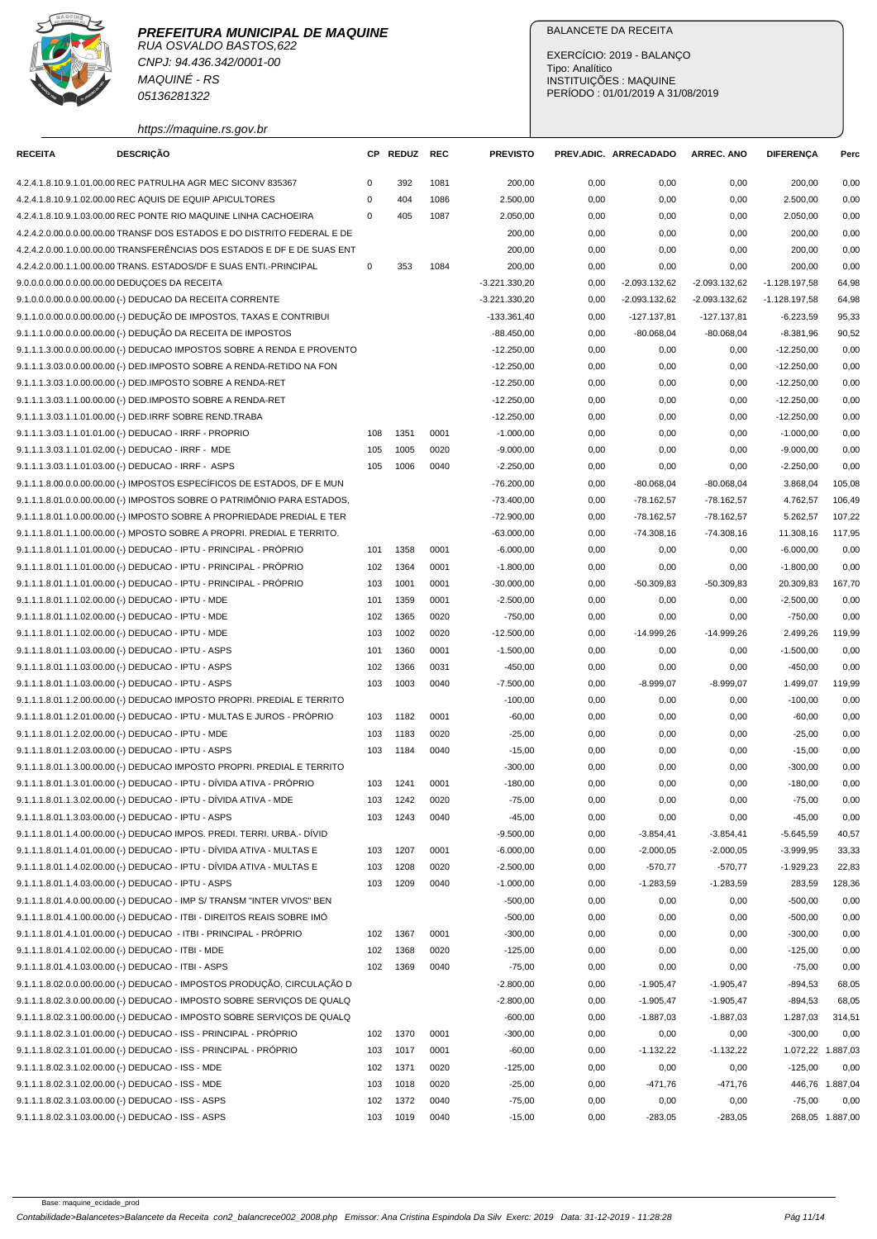

CNPJ: 94.436.342/0001-00 MAQUINÉ - RS 05136281322

# BALANCETE DA RECEITA

EXERCÍCIO: 2019 - BALANÇO Tipo: Analítico INSTITUIÇÕES : MAQUINE PERÍODO : 01/01/2019 A 31/08/2019

| https://maquine.rs.gov.br |  |  |
|---------------------------|--|--|
|                           |  |  |

| <b>RECEITA</b> | DESCRIÇÃO                                                               | CР          | <b>REDUZ</b> | REC  | <b>PREVISTO</b> |      | PREV.ADIC. ARRECADADO | <b>ARREC. ANO</b> | <b>DIFERENÇA</b> | Perc              |
|----------------|-------------------------------------------------------------------------|-------------|--------------|------|-----------------|------|-----------------------|-------------------|------------------|-------------------|
|                | 4.2.4.1.8.10.9.1.01.00.00 REC PATRULHA AGR MEC SICONV 835367            | $\mathbf 0$ | 392          | 1081 | 200,00          | 0,00 | 0,00                  | 0,00              | 200,00           | 0,00              |
|                | 4.2.4.1.8.10.9.1.02.00.00 REC AQUIS DE EQUIP APICULTORES                | $\mathbf 0$ | 404          | 1086 | 2.500,00        | 0,00 | 0,00                  | 0,00              | 2.500,00         | 0,00              |
|                | 4.2.4.1.8.10.9.1.03.00.00 REC PONTE RIO MAQUINE LINHA CACHOEIRA         | $\mathbf 0$ | 405          | 1087 | 2.050,00        | 0,00 | 0,00                  | 0,00              | 2.050,00         | 0,00              |
|                | 4.2.4.2.0.00.0.0.00.00.00 TRANSF DOS ESTADOS E DO DISTRITO FEDERAL E DE |             |              |      | 200,00          | 0,00 | 0,00                  | 0,00              | 200,00           | 0,00              |
|                | 4.2.4.2.0.00.1.0.00.00.00 TRANSFERÊNCIAS DOS ESTADOS E DF E DE SUAS ENT |             |              |      | 200,00          | 0,00 | 0,00                  | 0,00              | 200,00           | 0,00              |
|                | 4.2.4.2.0.00.1.1.00.00.00 TRANS. ESTADOS/DF E SUAS ENTI.-PRINCIPAL      | $\mathbf 0$ | 353          | 1084 | 200,00          | 0,00 | 0,00                  | 0,00              | 200,00           | 0,00              |
|                | 9.0.0.0.0.00.0.0.00.00.00 DEDUÇOES DA RECEITA                           |             |              |      | $-3.221.330,20$ | 0,00 | -2.093.132,62         | $-2.093.132,62$   | $-1.128.197,58$  | 64,98             |
|                | 9.1.0.0.0.00.0.0.00.00.00 (-) DEDUCAO DA RECEITA CORRENTE               |             |              |      | $-3.221.330,20$ | 0,00 | $-2.093.132.62$       | $-2.093.132.62$   | $-1.128.197,58$  | 64,98             |
|                | 9.1.1.0.0.00.0.0.00.00.00 (-) DEDUÇÃO DE IMPOSTOS, TAXAS E CONTRIBUI    |             |              |      | $-133.361,40$   | 0,00 | $-127.137,81$         | $-127.137,81$     | $-6.223,59$      | 95,33             |
|                | 9.1.1.1.0.00.0.0.00.00.00 (-) DEDUÇÃO DA RECEITA DE IMPOSTOS            |             |              |      | $-88.450,00$    | 0,00 | $-80.068.04$          | $-80.068,04$      | $-8.381,96$      | 90,52             |
|                | 9.1.1.1.3.00.0.0.00.00.00 (-) DEDUCAO IMPOSTOS SOBRE A RENDA E PROVENTO |             |              |      | $-12.250,00$    | 0,00 | 0,00                  | 0,00              | $-12.250,00$     | 0,00              |
|                | 9.1.1.1.3.03.0.0.00.00.00 (-) DED.IMPOSTO SOBRE A RENDA-RETIDO NA FON   |             |              |      | $-12.250,00$    | 0,00 | 0,00                  | 0,00              | $-12.250,00$     | 0,00              |
|                | 9.1.1.1.3.03.1.0.00.00.00 (-) DED.IMPOSTO SOBRE A RENDA-RET             |             |              |      | $-12.250,00$    | 0,00 | 0,00                  | 0,00              | $-12.250,00$     | 0,00              |
|                | 9.1.1.1.3.03.1.1.00.00.00 (-) DED.IMPOSTO SOBRE A RENDA-RET             |             |              |      | $-12.250,00$    | 0,00 | 0,00                  | 0,00              | $-12.250,00$     | 0,00              |
|                | 9.1.1.1.3.03.1.1.01.00.00 (-) DED.IRRF SOBRE REND.TRABA                 |             |              |      | $-12.250,00$    | 0,00 | 0,00                  | 0,00              | $-12.250,00$     | 0,00              |
|                | 9.1.1.1.3.03.1.1.01.01.00 (-) DEDUCAO - IRRF - PROPRIO                  | 108         | 1351         | 0001 | $-1.000,00$     | 0,00 | 0,00                  | 0,00              | $-1.000,00$      | 0,00              |
|                | 9.1.1.1.3.03.1.1.01.02.00 (-) DEDUCAO - IRRF - MDE                      | 105         | 1005         | 0020 | $-9.000,00$     | 0,00 | 0,00                  | 0,00              | $-9.000,00$      | 0,00              |
|                | 9.1.1.1.3.03.1.1.01.03.00 (-) DEDUCAO - IRRF - ASPS                     | 105         | 1006         | 0040 | $-2.250,00$     | 0,00 | 0,00                  | 0,00              | $-2.250,00$      | 0,00              |
|                | 9.1.1.1.8.00.0.0.00.00.00 (-) IMPOSTOS ESPECÍFICOS DE ESTADOS, DF E MUN |             |              |      | $-76.200,00$    | 0,00 | $-80.068,04$          | $-80.068,04$      | 3.868,04         | 105,08            |
|                | 9.1.1.1.8.01.0.0.00.00.00 (-) IMPOSTOS SOBRE O PATRIMÔNIO PARA ESTADOS, |             |              |      | $-73.400,00$    | 0,00 | $-78.162,57$          | $-78.162,57$      | 4.762,57         | 106,49            |
|                | 9.1.1.1.8.01.1.0.00.00.00 (-) IMPOSTO SOBRE A PROPRIEDADE PREDIAL E TER |             |              |      | $-72.900,00$    | 0,00 | $-78.162,57$          | $-78.162,57$      | 5.262,57         | 107,22            |
|                | 9.1.1.1.8.01.1.1.00.00.00 (-) MPOSTO SOBRE A PROPRI. PREDIAL E TERRITO. |             |              |      | $-63.000,00$    | 0,00 | $-74.308,16$          | $-74.308,16$      | 11.308,16        | 117,95            |
|                | 9.1.1.1.8.01.1.1.01.00.00 (-) DEDUCAO - IPTU - PRINCIPAL - PRÓPRIO      | 101         | 1358         | 0001 | $-6.000,00$     | 0,00 | 0,00                  | 0,00              | $-6.000,00$      | 0,00              |
|                | 9.1.1.1.8.01.1.1.01.00.00 (-) DEDUCAO - IPTU - PRINCIPAL - PRÓPRIO      | 102         | 1364         | 0001 | $-1.800,00$     | 0,00 | 0,00                  | 0,00              | $-1.800,00$      | 0,00              |
|                | 9.1.1.1.8.01.1.1.01.00.00 (-) DEDUCAO - IPTU - PRINCIPAL - PRÓPRIO      | 103         | 1001         | 0001 | $-30.000,00$    | 0,00 | $-50.309,83$          | $-50.309,83$      | 20.309,83        | 167,70            |
|                | 9.1.1.1.8.01.1.1.02.00.00 (-) DEDUCAO - IPTU - MDE                      | 101         | 1359         | 0001 | $-2.500,00$     | 0,00 | 0,00                  | 0,00              | $-2.500,00$      | 0,00              |
|                | 9.1.1.1.8.01.1.1.02.00.00 (-) DEDUCAO - IPTU - MDE                      | 102         | 1365         | 0020 | $-750,00$       | 0,00 | 0,00                  | 0,00              | $-750,00$        | 0,00              |
|                | 9.1.1.1.8.01.1.1.02.00.00 (-) DEDUCAO - IPTU - MDE                      | 103         | 1002         | 0020 | $-12.500,00$    | 0,00 | $-14.999,26$          | $-14.999,26$      | 2.499,26         | 119,99            |
|                | 9.1.1.1.8.01.1.1.03.00.00 (-) DEDUCAO - IPTU - ASPS                     | 101         | 1360         | 0001 | $-1.500,00$     | 0,00 | 0,00                  | 0,00              | $-1.500,00$      | 0,00              |
|                | 9.1.1.1.8.01.1.1.03.00.00 (-) DEDUCAO - IPTU - ASPS                     | 102         | 1366         | 0031 | $-450,00$       | 0,00 | 0,00                  | 0,00              | $-450,00$        | 0,00              |
|                | 9.1.1.1.8.01.1.1.03.00.00 (-) DEDUCAO - IPTU - ASPS                     | 103         | 1003         | 0040 | $-7.500,00$     | 0,00 | $-8.999,07$           | $-8.999,07$       | 1.499,07         | 119,99            |
|                | 9.1.1.1.8.01.1.2.00.00.00 (-) DEDUCAO IMPOSTO PROPRI. PREDIAL E TERRITO |             |              |      | $-100,00$       | 0,00 | 0,00                  | 0,00              | $-100,00$        | 0,00              |
|                | 9.1.1.1.8.01.1.2.01.00.00 (-) DEDUCAO - IPTU - MULTAS E JUROS - PRÓPRIO | 103         | 1182         | 0001 | $-60,00$        | 0,00 | 0,00                  | 0,00              | $-60,00$         | 0,00              |
|                | 9.1.1.1.8.01.1.2.02.00.00 (-) DEDUCAO - IPTU - MDE                      | 103         | 1183         | 0020 | $-25,00$        | 0,00 | 0,00                  | 0,00              | $-25,00$         | 0,00              |
|                | 9.1.1.1.8.01.1.2.03.00.00 (-) DEDUCAO - IPTU - ASPS                     | 103         | 1184         | 0040 | $-15,00$        | 0,00 | 0,00                  | 0,00              | $-15,00$         | 0,00              |
|                | 9.1.1.1.8.01.1.3.00.00.00 (-) DEDUCAO IMPOSTO PROPRI. PREDIAL E TERRITO |             |              |      | $-300,00$       | 0,00 | 0,00                  | 0,00              | $-300,00$        | 0,00              |
|                | 9.1.1.1.8.01.1.3.01.00.00 (-) DEDUCAO - IPTU - DÍVIDA ATIVA - PRÓPRIO   | 103         | 1241         | 0001 | $-180,00$       | 0,00 | 0,00                  | 0,00              | $-180,00$        | 0,00              |
|                | 9.1.1.1.8.01.1.3.02.00.00 (-) DEDUCAO - IPTU - DÍVIDA ATIVA - MDE       | 103         | 1242         | 0020 | $-75,00$        | 0,00 | 0,00                  | 0,00              | $-75,00$         | 0,00              |
|                | 9.1.1.1.8.01.1.3.03.00.00 (-) DEDUCAO - IPTU - ASPS                     | 103         | 1243         | 0040 | $-45,00$        | 0,00 | 0,00                  | 0,00              | $-45,00$         | 0,00              |
|                | 9.1.1.1.8.01.1.4.00.00.00 (-) DEDUCAO IMPOS. PREDI. TERRI. URBA.- DÍVID |             |              |      | $-9.500,00$     | 0,00 | $-3.854,41$           | $-3.854,41$       | $-5.645,59$      | 40,57             |
|                | 9.1.1.1.8.01.1.4.01.00.00 (-) DEDUCAO - IPTU - DÍVIDA ATIVA - MULTAS E  | 103         | 1207         | 0001 | $-6.000,00$     | 0,00 | $-2.000,05$           | $-2.000,05$       | $-3.999,95$      | 33,33             |
|                | 9.1.1.1.8.01.1.4.02.00.00 (-) DEDUCAO - IPTU - DÍVIDA ATIVA - MULTAS E  | 103         | 1208         | 0020 | $-2.500,00$     | 0,00 | $-570,77$             | $-570,77$         | $-1.929,23$      | 22,83             |
|                | 9.1.1.1.8.01.1.4.03.00.00 (-) DEDUCAO - IPTU - ASPS                     | 103         | 1209         | 0040 | $-1.000,00$     | 0,00 | $-1.283,59$           | $-1.283,59$       | 283,59           | 128,36            |
|                | 9.1.1.1.8.01.4.0.00.00.00 (-) DEDUCAO - IMP S/ TRANSM "INTER VIVOS" BEN |             |              |      | $-500,00$       | 0,00 | 0,00                  | 0,00              | $-500,00$        | 0,00              |
|                | 9.1.1.1.8.01.4.1.00.00.00 (-) DEDUCAO - ITBI - DIREITOS REAIS SOBRE IMÓ |             |              |      | $-500,00$       | 0,00 | 0,00                  | 0,00              | $-500,00$        | 0,00              |
|                | 9.1.1.1.8.01.4.1.01.00.00 (-) DEDUCAO - ITBI - PRINCIPAL - PRÓPRIO      | 102         | 1367         | 0001 | $-300,00$       | 0,00 | 0,00                  | 0,00              | $-300,00$        | 0,00              |
|                | 9.1.1.1.8.01.4.1.02.00.00 (-) DEDUCAO - ITBI - MDE                      | 102         | 1368         | 0020 | $-125,00$       | 0,00 | 0,00                  | 0,00              | $-125,00$        | 0,00              |
|                | 9.1.1.1.8.01.4.1.03.00.00 (-) DEDUCAO - ITBI - ASPS                     | 102         | 1369         | 0040 | $-75,00$        | 0,00 | 0,00                  | 0,00              | $-75,00$         | 0,00              |
|                | 9.1.1.1.8.02.0.0.00.00.00 (-) DEDUCAO - IMPOSTOS PRODUÇÃO, CIRCULAÇÃO D |             |              |      | $-2.800,00$     | 0,00 | $-1.905,47$           | $-1.905,47$       | $-894,53$        | 68,05             |
|                | 9.1.1.1.8.02.3.0.00.00.00 (-) DEDUCAO - IMPOSTO SOBRE SERVIÇOS DE QUALQ |             |              |      | $-2.800,00$     | 0,00 | $-1.905,47$           | $-1.905,47$       | $-894,53$        | 68,05             |
|                | 9.1.1.1.8.02.3.1.00.00.00 (-) DEDUCAO - IMPOSTO SOBRE SERVIÇOS DE QUALQ |             |              |      | $-600,00$       | 0,00 | $-1.887,03$           | $-1.887,03$       | 1.287,03         | 314,51            |
|                | 9.1.1.1.8.02.3.1.01.00.00 (-) DEDUCAO - ISS - PRINCIPAL - PRÓPRIO       | 102         | 1370         | 0001 | $-300,00$       | 0,00 | 0,00                  | 0,00              | $-300,00$        | 0,00              |
|                | 9.1.1.1.8.02.3.1.01.00.00 (-) DEDUCAO - ISS - PRINCIPAL - PRÓPRIO       | 103         | 1017         | 0001 | $-60,00$        | 0,00 | $-1.132,22$           | $-1.132,22$       |                  | 1.072,22 1.887,03 |
|                | 9.1.1.1.8.02.3.1.02.00.00 (-) DEDUCAO - ISS - MDE                       | 102         | 1371         | 0020 | $-125,00$       | 0,00 | 0,00                  | 0,00              | $-125,00$        | 0,00              |
|                | 9.1.1.1.8.02.3.1.02.00.00 (-) DEDUCAO - ISS - MDE                       | 103         | 1018         | 0020 | $-25,00$        | 0,00 | -471,76               | -471,76           |                  | 446,76 1.887,04   |
|                | 9.1.1.1.8.02.3.1.03.00.00 (-) DEDUCAO - ISS - ASPS                      | 102         | 1372         | 0040 | $-75,00$        | 0,00 | 0,00                  | 0,00              | $-75,00$         | 0,00              |
|                | 9.1.1.1.8.02.3.1.03.00.00 (-) DEDUCAO - ISS - ASPS                      | 103         | 1019         | 0040 | $-15,00$        | 0,00 | $-283,05$             | $-283,05$         |                  | 268,05 1.887,00   |
|                |                                                                         |             |              |      |                 |      |                       |                   |                  |                   |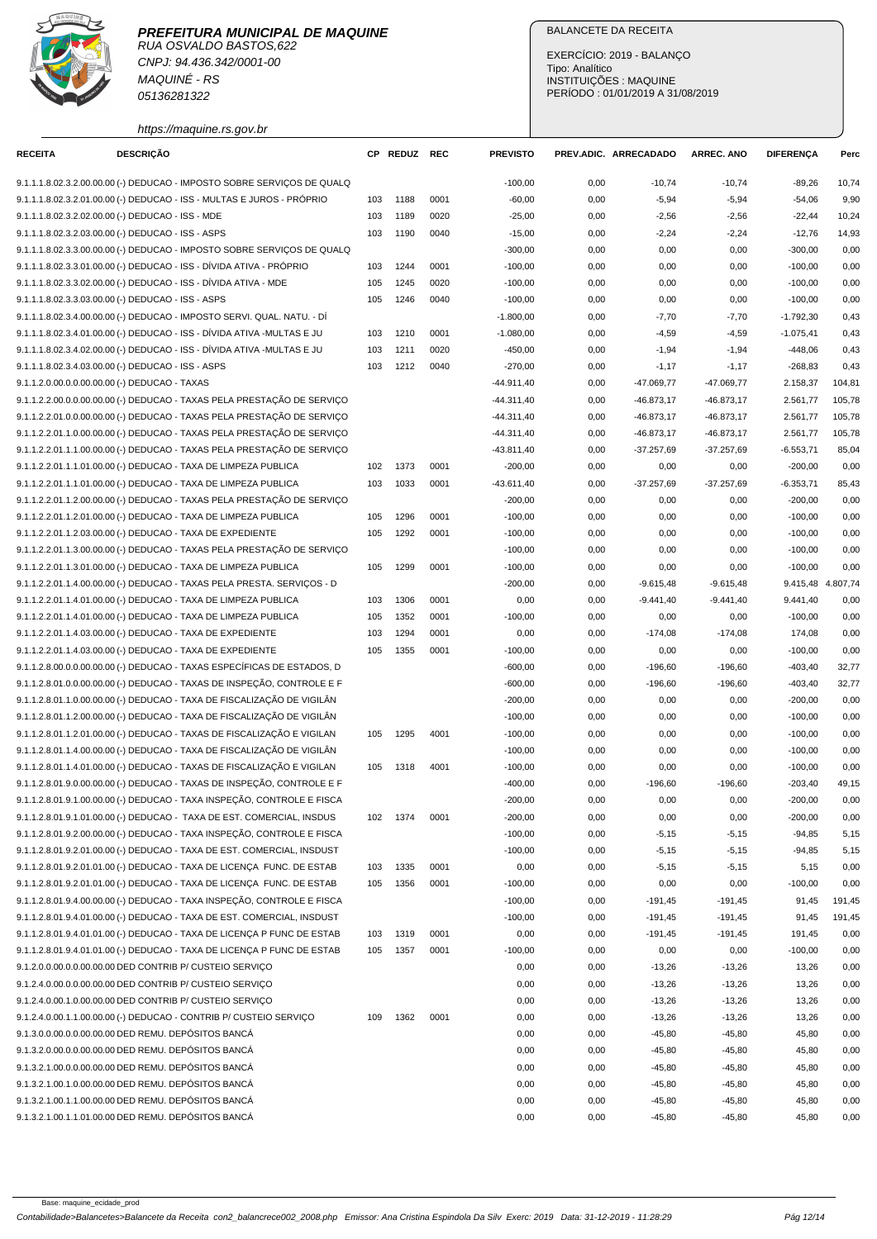RUA OSVALDO BASTOS,622 CNPJ: 94.436.342/0001-00 MAQUINÉ - RS 05136281322

# BALANCETE DA RECEITA

EXERCÍCIO: 2019 - BALANÇO Tipo: Analítico INSTITUIÇÕES : MAQUINE PERÍODO : 01/01/2019 A 31/08/2019

https://maquine.rs.gov.br

| <b>RECEITA</b>                                      | <b>DESCRIÇÃO</b> |                                                                         | CP. | <b>REDUZ REC</b> |      | <b>PREVISTO</b> |      | PREV.ADIC. ARRECADADO | <b>ARREC. ANO</b> | <b>DIFERENÇA</b> | Perc              |
|-----------------------------------------------------|------------------|-------------------------------------------------------------------------|-----|------------------|------|-----------------|------|-----------------------|-------------------|------------------|-------------------|
|                                                     |                  | 9.1.1.1.8.02.3.2.00.00.00 (-) DEDUCAO - IMPOSTO SOBRE SERVIÇOS DE QUALQ |     |                  |      | $-100,00$       | 0,00 | $-10,74$              | $-10,74$          | $-89,26$         | 10,74             |
|                                                     |                  | 9.1.1.1.8.02.3.2.01.00.00 (-) DEDUCAO - ISS - MULTAS E JUROS - PRÓPRIO  | 103 | 1188             | 0001 | $-60,00$        | 0,00 | $-5,94$               | $-5,94$           | $-54,06$         | 9,90              |
| 9.1.1.1.8.02.3.2.02.00.00 (-) DEDUCAO - ISS - MDE   |                  |                                                                         | 103 | 1189             | 0020 | $-25,00$        | 0,00 | $-2,56$               | $-2,56$           | $-22,44$         | 10,24             |
| 9.1.1.1.8.02.3.2.03.00.00 (-) DEDUCAO - ISS - ASPS  |                  |                                                                         | 103 | 1190             | 0040 | $-15,00$        | 0,00 | $-2,24$               | $-2,24$           | $-12,76$         | 14,93             |
|                                                     |                  | 9.1.1.1.8.02.3.3.00.00.00 (-) DEDUCAO - IMPOSTO SOBRE SERVIÇOS DE QUALQ |     |                  |      | $-300,00$       | 0,00 | 0,00                  | 0,00              | $-300,00$        | 0,00              |
|                                                     |                  | 9.1.1.1.8.02.3.3.01.00.00 (-) DEDUCAO - ISS - DÍVIDA ATIVA - PRÓPRIO    | 103 | 1244             | 0001 | $-100,00$       | 0,00 | 0,00                  | 0,00              | $-100,00$        | 0,00              |
|                                                     |                  | 9.1.1.1.8.02.3.3.02.00.00 (-) DEDUCAO - ISS - DÍVIDA ATIVA - MDE        | 105 | 1245             | 0020 | $-100,00$       | 0,00 | 0,00                  | 0,00              | $-100,00$        | 0,00              |
| 9.1.1.1.8.02.3.3.03.00.00 (-) DEDUCAO - ISS - ASPS  |                  |                                                                         | 105 | 1246             | 0040 | $-100,00$       | 0,00 | 0,00                  | 0,00              | $-100,00$        | 0,00              |
|                                                     |                  | 9.1.1.1.8.02.3.4.00.00.00 (-) DEDUCAO - IMPOSTO SERVI. QUAL. NATU. - DÍ |     |                  |      | $-1.800,00$     | 0,00 | $-7,70$               | $-7,70$           | $-1.792,30$      | 0,43              |
|                                                     |                  | 9.1.1.1.8.02.3.4.01.00.00 (-) DEDUCAO - ISS - DÍVIDA ATIVA -MULTAS E JU | 103 | 1210             | 0001 | $-1.080,00$     | 0,00 | $-4,59$               | $-4,59$           | $-1.075,41$      | 0,43              |
|                                                     |                  | 9.1.1.1.8.02.3.4.02.00.00 (-) DEDUCAO - ISS - DÍVIDA ATIVA -MULTAS E JU | 103 | 1211             | 0020 | $-450,00$       | 0,00 | $-1,94$               | $-1,94$           | $-448,06$        | 0,43              |
| 9.1.1.1.8.02.3.4.03.00.00 (-) DEDUCAO - ISS - ASPS  |                  |                                                                         | 103 | 1212             | 0040 | $-270,00$       | 0,00 | $-1,17$               | $-1,17$           | $-268,83$        | 0,43              |
| 9.1.1.2.0.00.0.0.00.00.00 (-) DEDUCAO - TAXAS       |                  |                                                                         |     |                  |      | $-44.911,40$    | 0,00 | $-47.069,77$          | -47.069,77        | 2.158,37         | 104,81            |
|                                                     |                  | 9.1.1.2.2.00.0.0.00.00.00 (-) DEDUCAO - TAXAS PELA PRESTAÇÃO DE SERVIÇO |     |                  |      | $-44.311,40$    | 0,00 | $-46.873,17$          | $-46.873,17$      | 2.561,77         | 105,78            |
|                                                     |                  | 9.1.1.2.2.01.0.0.00.00.00 (-) DEDUCAO - TAXAS PELA PRESTAÇÃO DE SERVIÇO |     |                  |      | $-44.311,40$    | 0,00 | $-46.873,17$          | $-46.873,17$      | 2.561,77         | 105,78            |
|                                                     |                  | 9.1.1.2.2.01.1.0.00.00.00 (-) DEDUCAO - TAXAS PELA PRESTAÇÃO DE SERVIÇO |     |                  |      | $-44.311,40$    | 0,00 | $-46.873,17$          | $-46.873,17$      | 2.561,77         | 105,78            |
|                                                     |                  | 9.1.1.2.2.01.1.1.00.00.00 (-) DEDUCAO - TAXAS PELA PRESTAÇÃO DE SERVIÇO |     |                  |      | $-43.811,40$    | 0,00 | $-37.257,69$          | $-37.257,69$      | $-6.553,71$      | 85,04             |
|                                                     |                  | 9.1.1.2.2.01.1.1.01.00.00 (-) DEDUCAO - TAXA DE LIMPEZA PUBLICA         | 102 | 1373             | 0001 | $-200,00$       | 0,00 | 0,00                  | 0,00              | $-200,00$        | 0,00              |
|                                                     |                  | 9.1.1.2.2.01.1.1.01.00.00 (-) DEDUCAO - TAXA DE LIMPEZA PUBLICA         | 103 | 1033             | 0001 | $-43.611,40$    | 0,00 | $-37.257,69$          | $-37.257,69$      | $-6.353,71$      | 85,43             |
|                                                     |                  | 9.1.1.2.2.01.1.2.00.00.00 (-) DEDUCAO - TAXAS PELA PRESTAÇÃO DE SERVICO |     |                  |      | $-200,00$       | 0,00 | 0,00                  | 0,00              | $-200,00$        | 0,00              |
|                                                     |                  | 9.1.1.2.2.01.1.2.01.00.00 (-) DEDUCAO - TAXA DE LIMPEZA PUBLICA         | 105 | 1296             | 0001 | $-100,00$       | 0,00 | 0,00                  | 0,00              | $-100,00$        | 0,00              |
|                                                     |                  | 9.1.1.2.2.01.1.2.03.00.00 (-) DEDUCAO - TAXA DE EXPEDIENTE              | 105 | 1292             | 0001 | $-100,00$       | 0,00 | 0,00                  | 0,00              | $-100,00$        | 0,00              |
|                                                     |                  | 9.1.1.2.2.01.1.3.00.00.00 (-) DEDUCAO - TAXAS PELA PRESTAÇÃO DE SERVIÇO |     |                  |      | $-100,00$       | 0,00 | 0,00                  | 0,00              | $-100,00$        | 0,00              |
|                                                     |                  | 9.1.1.2.2.01.1.3.01.00.00 (-) DEDUCAO - TAXA DE LIMPEZA PUBLICA         | 105 | 1299             | 0001 | $-100,00$       | 0,00 | 0,00                  | 0,00              | $-100,00$        | 0,00              |
|                                                     |                  | 9.1.1.2.2.01.1.4.00.00.00 (-) DEDUCAO - TAXAS PELA PRESTA. SERVIÇOS - D |     |                  |      | $-200,00$       | 0,00 | $-9.615,48$           | $-9.615,48$       |                  | 9.415,48 4.807,74 |
|                                                     |                  | 9.1.1.2.2.01.1.4.01.00.00 (-) DEDUCAO - TAXA DE LIMPEZA PUBLICA         | 103 | 1306             | 0001 | 0,00            | 0,00 | $-9.441,40$           | $-9.441,40$       | 9.441,40         | 0,00              |
|                                                     |                  | 9.1.1.2.2.01.1.4.01.00.00 (-) DEDUCAO - TAXA DE LIMPEZA PUBLICA         | 105 | 1352             | 0001 | $-100,00$       | 0,00 | 0,00                  | 0,00              | $-100,00$        | 0,00              |
|                                                     |                  | 9.1.1.2.2.01.1.4.03.00.00 (-) DEDUCAO - TAXA DE EXPEDIENTE              | 103 | 1294             | 0001 | 0,00            | 0,00 | $-174,08$             | $-174,08$         | 174,08           | 0,00              |
|                                                     |                  | 9.1.1.2.2.01.1.4.03.00.00 (-) DEDUCAO - TAXA DE EXPEDIENTE              | 105 | 1355             | 0001 | $-100,00$       | 0,00 | 0,00                  | 0,00              | $-100,00$        | 0,00              |
|                                                     |                  | 9.1.1.2.8.00.0.0.00.00.00 (-) DEDUCAO - TAXAS ESPECÍFICAS DE ESTADOS, D |     |                  |      | $-600,00$       | 0,00 | $-196,60$             | $-196,60$         | $-403,40$        | 32,77             |
|                                                     |                  | 9.1.1.2.8.01.0.0.00.00.00 (-) DEDUCAO - TAXAS DE INSPEÇÃO, CONTROLE E F |     |                  |      | $-600,00$       | 0,00 | $-196,60$             | $-196,60$         | $-403,40$        | 32,77             |
|                                                     |                  | 9.1.1.2.8.01.1.0.00.00.00 (-) DEDUCAO - TAXA DE FISCALIZAÇÃO DE VIGILÂN |     |                  |      | $-200,00$       | 0,00 | 0,00                  | 0,00              | $-200,00$        | 0,00              |
|                                                     |                  | 9.1.1.2.8.01.1.2.00.00.00 (-) DEDUCAO - TAXA DE FISCALIZAÇÃO DE VIGILÂN |     |                  |      | $-100,00$       | 0,00 | 0,00                  | 0,00              | $-100,00$        | 0,00              |
|                                                     |                  | 9.1.1.2.8.01.1.2.01.00.00 (-) DEDUCAO - TAXAS DE FISCALIZAÇÃO E VIGILAN | 105 | 1295             | 4001 | $-100,00$       | 0,00 | 0,00                  | 0,00              | $-100,00$        | 0,00              |
|                                                     |                  | 9.1.1.2.8.01.1.4.00.00.00 (-) DEDUCAO - TAXA DE FISCALIZAÇÃO DE VIGILÂN |     |                  |      | $-100,00$       | 0,00 | 0,00                  | 0,00              | $-100,00$        | 0,00              |
|                                                     |                  | 9.1.1.2.8.01.1.4.01.00.00 (-) DEDUCAO - TAXAS DE FISCALIZAÇÃO E VIGILAN | 105 | 1318             | 4001 | $-100,00$       | 0,00 | 0,00                  | 0,00              | $-100,00$        | 0,00              |
|                                                     |                  | 9.1.1.2.8.01.9.0.00.00.00 (-) DEDUCAO - TAXAS DE INSPECÃO, CONTROLE E F |     |                  |      | $-400,00$       | 0,00 | $-196,60$             | $-196,60$         | $-203,40$        | 49,15             |
|                                                     |                  | 9.1.1.2.8.01.9.1.00.00.00 (-) DEDUCAO - TAXA INSPEÇÃO, CONTROLE E FISCA |     |                  |      | $-200,00$       | 0,00 | 0,00                  | 0,00              | $-200,00$        | 0,00              |
|                                                     |                  | 9.1.1.2.8.01.9.1.01.00.00 (-) DEDUCAO - TAXA DE EST. COMERCIAL, INSDUS  | 102 | 1374             | 0001 | $-200,00$       | 0,00 | 0,00                  | 0,00              | $-200,00$        | 0,00              |
|                                                     |                  | 9.1.1.2.8.01.9.2.00.00.00 (-) DEDUCAO - TAXA INSPEÇÃO, CONTROLE E FISCA |     |                  |      | $-100,00$       | 0,00 | $-5,15$               | $-5,15$           | $-94,85$         | 5,15              |
|                                                     |                  | 9.1.1.2.8.01.9.2.01.00.00 (-) DEDUCAO - TAXA DE EST. COMERCIAL, INSDUST |     |                  |      | $-100,00$       | 0,00 | $-5,15$               | $-5,15$           | $-94,85$         | 5,15              |
|                                                     |                  | 9.1.1.2.8.01.9.2.01.01.00 (-) DEDUCAO - TAXA DE LICENÇA FUNC. DE ESTAB  | 103 | 1335             | 0001 | 0,00            | 0,00 | $-5,15$               | $-5,15$           | 5,15             | 0,00              |
|                                                     |                  | 9.1.1.2.8.01.9.2.01.01.00 (-) DEDUCAO - TAXA DE LICENÇA FUNC. DE ESTAB  | 105 | 1356             | 0001 | $-100,00$       | 0,00 | 0,00                  | 0,00              | $-100,00$        | 0,00              |
|                                                     |                  | 9.1.1.2.8.01.9.4.00.00.00 (-) DEDUCAO - TAXA INSPECÃO, CONTROLE E FISCA |     |                  |      | $-100,00$       | 0,00 | $-191,45$             | $-191,45$         | 91,45            | 191,45            |
|                                                     |                  | 9.1.1.2.8.01.9.4.01.00.00 (-) DEDUCAO - TAXA DE EST. COMERCIAL, INSDUST |     |                  |      | $-100,00$       | 0,00 | $-191,45$             | $-191,45$         | 91,45            | 191,45            |
|                                                     |                  | 9.1.1.2.8.01.9.4.01.01.00 (-) DEDUCAO - TAXA DE LICENÇA P FUNC DE ESTAB | 103 | 1319             | 0001 | 0,00            | 0,00 | $-191,45$             | $-191,45$         | 191,45           | 0,00              |
|                                                     |                  | 9.1.1.2.8.01.9.4.01.01.00 (-) DEDUCAO - TAXA DE LICENCA P FUNC DE ESTAB | 105 | 1357             | 0001 | $-100,00$       | 0,00 | 0,00                  | 0,00              | $-100,00$        | 0,00              |
|                                                     |                  | 9.1.2.0.0.00.0.00.00.00.00 DED CONTRIB P/ CUSTEIO SERVIÇO               |     |                  |      | 0,00            | 0,00 | $-13,26$              | $-13,26$          | 13,26            | 0,00              |
|                                                     |                  | 9.1.2.4.0.00.0.0.00.00.00 DED CONTRIB P/ CUSTEIO SERVIÇO                |     |                  |      | 0,00            | 0,00 | $-13,26$              | $-13,26$          | 13,26            | 0,00              |
|                                                     |                  | 9.1.2.4.0.00.1.0.00.00.00 DED CONTRIB P/ CUSTEIO SERVIÇO                |     |                  |      | 0,00            | 0,00 | $-13,26$              | $-13,26$          | 13,26            | 0,00              |
|                                                     |                  | 9.1.2.4.0.00.1.1.00.00.00 (-) DEDUCAO - CONTRIB P/ CUSTEIO SERVIÇO      | 109 | 1362             | 0001 | 0,00            | 0,00 | $-13,26$              | $-13,26$          | 13,26            | 0,00              |
| 9.1.3.0.0.00.0.0.00.00.00 DED REMU. DEPÓSITOS BANCÁ |                  |                                                                         |     |                  |      | 0,00            | 0,00 | $-45,80$              | $-45,80$          | 45,80            | 0,00              |
| 9.1.3.2.0.00.0.0.00.00.00 DED REMU. DEPÓSITOS BANCÁ |                  |                                                                         |     |                  |      | 0,00            | 0,00 | $-45,80$              | $-45,80$          | 45,80            | 0,00              |
| 9.1.3.2.1.00.0.0.00.00.00 DED REMU. DEPÓSITOS BANCÁ |                  |                                                                         |     |                  |      | 0,00            | 0,00 | $-45,80$              | $-45,80$          | 45,80            | 0,00              |
| 9.1.3.2.1.00.1.0.00.00.00 DED REMU. DEPÓSITOS BANCÁ |                  |                                                                         |     |                  |      | 0,00            | 0,00 | $-45,80$              | $-45,80$          | 45,80            | 0,00              |
| 9.1.3.2.1.00.1.1.00.00.00 DED REMU. DEPÓSITOS BANCÁ |                  |                                                                         |     |                  |      | 0,00            | 0,00 | $-45,80$              | $-45,80$          | 45,80            | 0,00              |
| 9.1.3.2.1.00.1.1.01.00.00 DED REMU. DEPÓSITOS BANCÁ |                  |                                                                         |     |                  |      | 0,00            | 0,00 | $-45,80$              | $-45,80$          | 45,80            | 0,00              |
|                                                     |                  |                                                                         |     |                  |      |                 |      |                       |                   |                  |                   |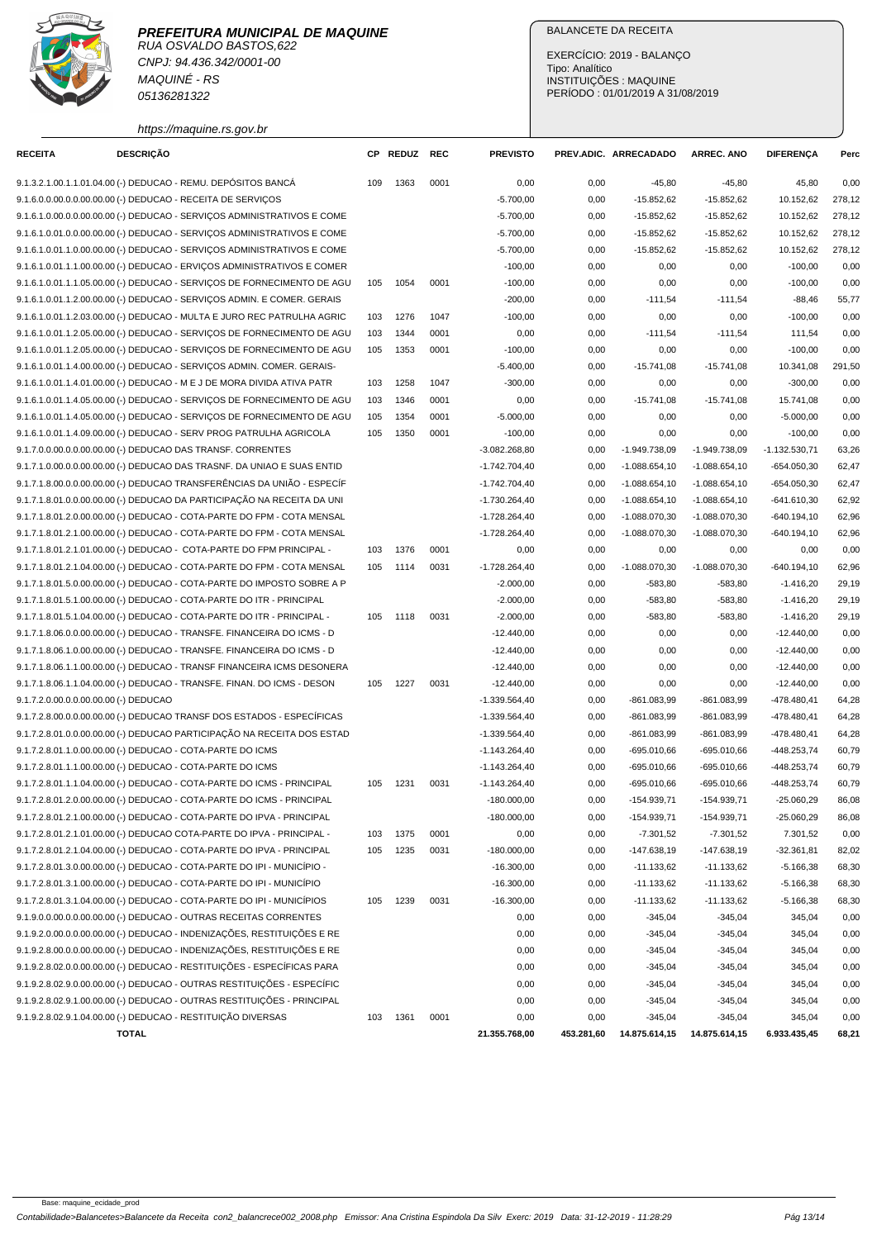RUA OSVALDO BASTOS,622 CNPJ: 94.436.342/0001-00 MAQUINÉ - RS 05136281322

# BALANCETE DA RECEITA

EXERCÍCIO: 2019 - BALANÇO Tipo: Analítico INSTITUIÇÕES : MAQUINE PERÍODO : 01/01/2019 A 31/08/2019

https://maquine.rs.gov.br

| <b>RECEITA</b> | <b>DESCRIÇÃO</b>                      |                                                                          | CP. | <b>REDUZ</b> | REC  | <b>PREVISTO</b> |              | PREV.ADIC. ARRECADADO  | <b>ARREC. ANO</b>      | <b>DIFERENÇA</b> | Perc         |
|----------------|---------------------------------------|--------------------------------------------------------------------------|-----|--------------|------|-----------------|--------------|------------------------|------------------------|------------------|--------------|
|                |                                       | 9.1.3.2.1.00.1.1.01.04.00 (-) DEDUCAO - REMU. DEPÓSITOS BANCÁ            | 109 | 1363         | 0001 | 0,00            | 0,00         | $-45,80$               | $-45,80$               | 45,80            | 0,00         |
|                |                                       | 9.1.6.0.0.00.0.0.00.00.00 (-) DEDUCAO - RECEITA DE SERVIÇOS              |     |              |      | $-5.700,00$     | 0,00         | $-15.852,62$           | $-15.852,62$           | 10.152,62        | 278,12       |
|                |                                       | 9.1.6.1.0.00.0.0.00.00.00 (-) DEDUCAO - SERVIÇOS ADMINISTRATIVOS E COME  |     |              |      | $-5.700,00$     | 0,00         | $-15.852,62$           | $-15.852,62$           | 10.152,62        | 278,12       |
|                |                                       | 9.1.6.1.0.01.0.00.00.00.00 (-) DEDUCAO - SERVICOS ADMINISTRATIVOS E COME |     |              |      | $-5.700,00$     | 0,00         | $-15.852,62$           | $-15.852,62$           | 10.152,62        | 278,12       |
|                |                                       | 9.1.6.1.0.01.1.0.00.00.00 (-) DEDUCAO - SERVICOS ADMINISTRATIVOS E COME  |     |              |      | $-5.700,00$     | 0,00         | $-15.852,62$           | $-15.852,62$           | 10.152,62        | 278,12       |
|                |                                       | 9.1.6.1.0.01.1.1.00.00.00 (-) DEDUCAO - ERVIÇOS ADMINISTRATIVOS E COMER  |     |              |      | $-100,00$       | 0,00         | 0,00                   | 0,00                   | $-100,00$        | 0,00         |
|                |                                       | 9.1.6.1.0.01.1.1.05.00.00 (-) DEDUCAO - SERVIÇOS DE FORNECIMENTO DE AGU  | 105 | 1054         | 0001 | $-100,00$       | 0,00         | 0,00                   | 0,00                   | $-100,00$        | 0,00         |
|                |                                       | 9.1.6.1.0.01.1.2.00.00.00 (-) DEDUCAO - SERVICOS ADMIN. E COMER. GERAIS  |     |              |      | $-200,00$       | 0,00         | $-111,54$              | $-111,54$              | $-88,46$         | 55,77        |
|                |                                       | 9.1.6.1.0.01.1.2.03.00.00 (-) DEDUCAO - MULTA E JURO REC PATRULHA AGRIC  | 103 | 1276         | 1047 | $-100,00$       | 0,00         | 0,00                   | 0,00                   | $-100,00$        | 0,00         |
|                |                                       | 9.1.6.1.0.01.1.2.05.00.00 (-) DEDUCAO - SERVIÇOS DE FORNECIMENTO DE AGU  | 103 | 1344         | 0001 | 0,00            | 0,00         | $-111,54$              | $-111,54$              | 111,54           | 0,00         |
|                |                                       | 9.1.6.1.0.01.1.2.05.00.00 (-) DEDUCAO - SERVIÇOS DE FORNECIMENTO DE AGU  | 105 | 1353         | 0001 | $-100,00$       | 0,00         | 0,00                   | 0,00                   | $-100,00$        | 0,00         |
|                |                                       | 9.1.6.1.0.01.1.4.00.00.00 (-) DEDUCAO - SERVIÇOS ADMIN. COMER. GERAIS-   |     |              |      | $-5.400,00$     | 0,00         | $-15.741,08$           | $-15.741,08$           | 10.341,08        | 291,50       |
|                |                                       | 9.1.6.1.0.01.1.4.01.00.00 (-) DEDUCAO - M E J DE MORA DIVIDA ATIVA PATR  | 103 | 1258         | 1047 | $-300,00$       | 0,00         | 0,00                   | 0,00                   | $-300,00$        | 0,00         |
|                |                                       | 9.1.6.1.0.01.1.4.05.00.00 (-) DEDUCAO - SERVIÇOS DE FORNECIMENTO DE AGU  | 103 | 1346         | 0001 | 0,00            | 0,00         | $-15.741,08$           | $-15.741,08$           | 15.741,08        | 0,00         |
|                |                                       | 9.1.6.1.0.01.1.4.05.00.00 (-) DEDUCAO - SERVIÇOS DE FORNECIMENTO DE AGU  | 105 | 1354         | 0001 | $-5.000,00$     | 0,00         | 0,00                   | 0,00                   | $-5.000,00$      | 0,00         |
|                |                                       | 9.1.6.1.0.01.1.4.09.00.00 (-) DEDUCAO - SERV PROG PATRULHA AGRICOLA      | 105 | 1350         | 0001 | $-100,00$       | 0,00         | 0,00                   | 0,00                   | $-100,00$        | 0,00         |
|                |                                       | 9.1.7.0.0.00.0.0.00.00.00 (-) DEDUCAO DAS TRANSF. CORRENTES              |     |              |      | $-3.082.268,80$ | 0,00         | -1.949.738,09          | -1.949.738,09          | $-1.132.530,71$  | 63,26        |
|                |                                       | 9.1.7.1.0.00.0.0.00.00.00 (-) DEDUCAO DAS TRASNF. DA UNIAO E SUAS ENTID  |     |              |      | $-1.742.704,40$ | 0,00         | $-1.088.654,10$        | $-1.088.654, 10$       | $-654.050,30$    | 62,47        |
|                |                                       | 9.1.7.1.8.00.0.0.00.00.00 (-) DEDUCAO TRANSFERÊNCIAS DA UNIÃO - ESPECÍF  |     |              |      | $-1.742.704,40$ | 0,00         | $-1.088.654,10$        | $-1.088.654, 10$       | $-654.050,30$    | 62,47        |
|                |                                       | 9.1.7.1.8.01.0.0.00.00.00 (-) DEDUCAO DA PARTICIPAÇÃO NA RECEITA DA UNI  |     |              |      | $-1.730.264,40$ | 0,00         | $-1.088.654,10$        | $-1.088.654, 10$       | $-641.610,30$    | 62,92        |
|                |                                       | 9.1.7.1.8.01.2.0.00.00.00 (-) DEDUCAO - COTA-PARTE DO FPM - COTA MENSAL  |     |              |      | $-1.728.264,40$ | 0,00         | $-1.088.070,30$        | $-1.088.070,30$        | $-640.194,10$    | 62,96        |
|                |                                       | 9.1.7.1.8.01.2.1.00.00.00 (-) DEDUCAO - COTA-PARTE DO FPM - COTA MENSAL  |     |              |      | $-1.728.264,40$ | 0,00         | $-1.088.070,30$        | $-1.088.070,30$        | $-640.194,10$    | 62,96        |
|                |                                       | 9.1.7.1.8.01.2.1.01.00.00 (-) DEDUCAO - COTA-PARTE DO FPM PRINCIPAL -    | 103 | 1376         | 0001 | 0,00            | 0,00         | 0,00                   | 0,00                   | 0,00             | 0,00         |
|                |                                       | 9.1.7.1.8.01.2.1.04.00.00 (-) DEDUCAO - COTA-PARTE DO FPM - COTA MENSAL  | 105 | 1114         | 0031 | $-1.728.264,40$ | 0,00         | $-1.088.070,30$        | $-1.088.070,30$        | $-640.194,10$    | 62,96        |
|                |                                       | 9.1.7.1.8.01.5.0.00.00.00 (-) DEDUCAO - COTA-PARTE DO IMPOSTO SOBRE A P  |     |              |      | $-2.000,00$     | 0,00         | $-583,80$              | $-583,80$              | $-1.416,20$      | 29,19        |
|                |                                       | 9.1.7.1.8.01.5.1.00.00.00 (-) DEDUCAO - COTA-PARTE DO ITR - PRINCIPAL    |     |              |      | $-2.000,00$     | 0,00         | $-583,80$              | $-583,80$              | $-1.416,20$      | 29,19        |
|                |                                       | 9.1.7.1.8.01.5.1.04.00.00 (-) DEDUCAO - COTA-PARTE DO ITR - PRINCIPAL -  | 105 | 1118         | 0031 | $-2.000,00$     | 0,00         | $-583,80$              | $-583,80$              | $-1.416,20$      | 29,19        |
|                |                                       | 9.1.7.1.8.06.0.0.00.00.00 (-) DEDUCAO - TRANSFE. FINANCEIRA DO ICMS - D  |     |              |      | $-12.440,00$    | 0,00         | 0,00                   | 0,00                   | $-12.440,00$     | 0,00         |
|                |                                       | 9.1.7.1.8.06.1.0.00.00.00 (-) DEDUCAO - TRANSFE. FINANCEIRA DO ICMS - D  |     |              |      | $-12.440,00$    | 0,00         | 0,00                   | 0,00                   | $-12.440,00$     | 0,00         |
|                |                                       | 9.1.7.1.8.06.1.1.00.00.00 (-) DEDUCAO - TRANSF FINANCEIRA ICMS DESONERA  |     |              |      | $-12.440,00$    | 0,00         | 0,00                   | 0,00                   | $-12.440,00$     | 0,00         |
|                |                                       | 9.1.7.1.8.06.1.1.04.00.00 (-) DEDUCAO - TRANSFE. FINAN. DO ICMS - DESON  | 105 | 1227         | 0031 | $-12.440,00$    | 0,00         | 0,00                   | 0,00                   | $-12.440,00$     | 0,00         |
|                | 9.1.7.2.0.00.0.0.00.00.00 (-) DEDUCAO |                                                                          |     |              |      | $-1.339.564,40$ | 0,00         | $-861.083,99$          | -861.083,99            | -478.480,41      | 64,28        |
|                |                                       | 9.1.7.2.8.00.0.0.00.00.00 (-) DEDUCAO TRANSF DOS ESTADOS - ESPECÍFICAS   |     |              |      | $-1.339.564,40$ | 0,00         | -861.083,99            | -861.083,99            | $-478.480,41$    | 64,28        |
|                |                                       | 9.1.7.2.8.01.0.0.00.00.00 (-) DEDUCAO PARTICIPAÇÃO NA RECEITA DOS ESTAD  |     |              |      | $-1.339.564,40$ | 0,00         | $-861.083,99$          | $-861.083,99$          | $-478.480,41$    | 64,28        |
|                |                                       | 9.1.7.2.8.01.1.0.00.00.00 (-) DEDUCAO - COTA-PARTE DO ICMS               |     |              |      | $-1.143.264,40$ | 0,00         | -695.010,66            | $-695.010,66$          | -448.253,74      | 60,79        |
|                |                                       | 9.1.7.2.8.01.1.1.00.00.00 (-) DEDUCAO - COTA-PARTE DO ICMS               |     |              |      | $-1.143.264,40$ | 0,00         | $-695.010,66$          | $-695.010,66$          | -448.253,74      | 60,79        |
|                |                                       | 9.1.7.2.8.01.1.1.04.00.00 (-) DEDUCAO - COTA-PARTE DO ICMS - PRINCIPAL   | 105 | 1231         | 0031 | $-1.143.264,40$ | 0,00         | -695.010,66            | $-695.010,66$          | $-448.253,74$    | 60,79        |
|                |                                       | 9.1.7.2.8.01.2.0.00.00.00 (-) DEDUCAO - COTA-PARTE DO ICMS - PRINCIPAL   |     |              |      | $-180.000,00$   | 0,00         | $-154.939,71$          | $-154.939.71$          | $-25.060,29$     | 86,08        |
|                |                                       | 9.1.7.2.8.01.2.1.00.00.00 (-) DEDUCAO - COTA-PARTE DO IPVA - PRINCIPAL   |     |              |      | $-180.000,00$   | 0,00         | -154.939,71            | -154.939,71            | -25.060,29       | 86,08        |
|                |                                       | 9.1.7.2.8.01.2.1.01.00.00 (-) DEDUCAO COTA-PARTE DO IPVA - PRINCIPAL -   | 103 | 1375         | 0001 | 0,00            | 0,00         | $-7.301,52$            | $-7.301,52$            | 7.301,52         | 0,00         |
|                |                                       | 9.1.7.2.8.01.2.1.04.00.00 (-) DEDUCAO - COTA-PARTE DO IPVA - PRINCIPAL   | 105 | 1235         | 0031 | $-180.000,00$   | 0,00         | -147.638,19            | $-147.638,19$          | $-32.361,81$     | 82,02        |
|                |                                       | 9.1.7.2.8.01.3.0.00.00.00 (-) DEDUCAO - COTA-PARTE DO IPI - MUNICÍPIO -  |     |              |      | $-16.300,00$    | 0,00         | $-11.133,62$           | $-11.133,62$           | $-5.166,38$      | 68,30        |
|                |                                       | 9.1.7.2.8.01.3.1.00.00.00 (-) DEDUCAO - COTA-PARTE DO IPI - MUNICÍPIO    |     |              |      | $-16.300,00$    | 0,00         | $-11.133,62$           | $-11.133.62$           | $-5.166,38$      | 68,30        |
|                |                                       | 9.1.7.2.8.01.3.1.04.00.00 (-) DEDUCAO - COTA-PARTE DO IPI - MUNICÍPIOS   | 105 | 1239         | 0031 | $-16.300,00$    | 0,00         | $-11.133,62$           | $-11.133,62$           | $-5.166,38$      | 68,30        |
|                |                                       | 9.1.9.0.0.00.0.0.00.00.00 (-) DEDUCAO - OUTRAS RECEITAS CORRENTES        |     |              |      | 0,00            | 0,00         | $-345,04$              | $-345,04$              | 345,04           | 0,00         |
|                |                                       | 9.1.9.2.0.00.0.0.00.00.00 (-) DEDUCAO - INDENIZAÇÕES, RESTITUIÇÕES E RE  |     |              |      | 0,00            | 0,00         | $-345,04$              | $-345,04$              | 345,04           | 0,00         |
|                |                                       | 9.1.9.2.8.00.0.0.00.00.00 (-) DEDUCAO - INDENIZAÇÕES, RESTITUIÇÕES E RE  |     |              |      | 0,00            | 0,00         | $-345,04$              | $-345,04$              | 345,04           | 0,00         |
|                |                                       | 9.1.9.2.8.02.0.0.00.00.00 (-) DEDUCAO - RESTITUIÇÕES - ESPECÍFICAS PARA  |     |              |      | 0,00            |              | $-345,04$              |                        |                  |              |
|                |                                       | 9.1.9.2.8.02.9.0.00.00.00 (-) DEDUCAO - OUTRAS RESTITUIÇÕES - ESPECÍFIC  |     |              |      |                 | 0,00         |                        | $-345,04$              | 345,04           | 0,00         |
|                |                                       | 9.1.9.2.8.02.9.1.00.00.00 (-) DEDUCAO - OUTRAS RESTITUIÇÕES - PRINCIPAL  |     |              |      | 0,00<br>0,00    | 0,00<br>0,00 | $-345,04$<br>$-345,04$ | $-345,04$              | 345,04           | 0,00<br>0,00 |
|                |                                       | 9.1.9.2.8.02.9.1.04.00.00 (-) DEDUCAO - RESTITUIÇÃO DIVERSAS             | 103 | 1361         | 0001 | 0,00            | 0,00         | $-345,04$              | $-345,04$<br>$-345,04$ | 345,04<br>345,04 | 0,00         |
|                | <b>TOTAL</b>                          |                                                                          |     |              |      | 21.355.768,00   | 453.281,60   | 14.875.614,15          | 14.875.614,15          | 6.933.435,45     | 68,21        |
|                |                                       |                                                                          |     |              |      |                 |              |                        |                        |                  |              |
|                |                                       |                                                                          |     |              |      |                 |              |                        |                        |                  |              |